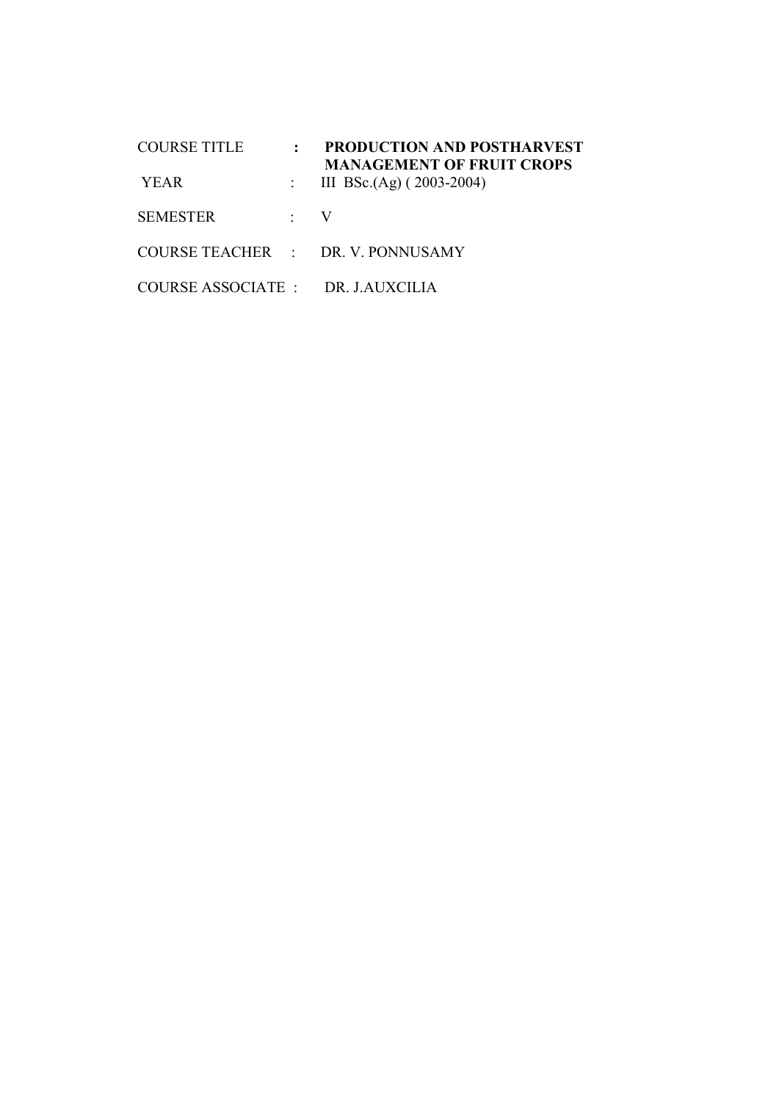| <b>COURSE TITLE</b>                |                | <b>PRODUCTION AND POSTHARVEST</b><br><b>MANAGEMENT OF FRUIT CROPS</b> |
|------------------------------------|----------------|-----------------------------------------------------------------------|
| YEAR                               |                | III BSc.(Ag) $(2003-2004)$                                            |
| <b>SEMESTER</b>                    | $\therefore$ V |                                                                       |
|                                    |                | COURSE TEACHER : DR. V. PONNUSAMY                                     |
| COURSE ASSOCIATE : DR. J. AUXCILIA |                |                                                                       |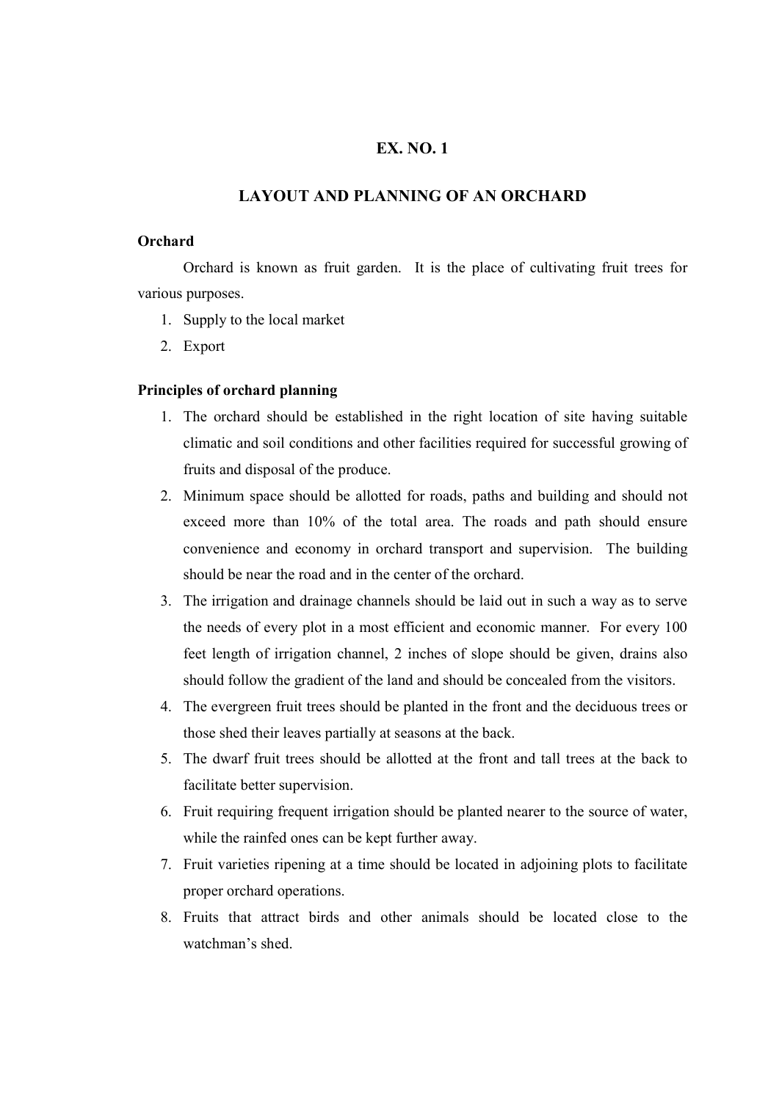## LAYOUT AND PLANNING OF AN ORCHARD

## **Orchard**

 Orchard is known as fruit garden. It is the place of cultivating fruit trees for various purposes.

- 1. Supply to the local market
- 2. Export

### Principles of orchard planning

- 1. The orchard should be established in the right location of site having suitable climatic and soil conditions and other facilities required for successful growing of fruits and disposal of the produce.
- 2. Minimum space should be allotted for roads, paths and building and should not exceed more than 10% of the total area. The roads and path should ensure convenience and economy in orchard transport and supervision. The building should be near the road and in the center of the orchard.
- 3. The irrigation and drainage channels should be laid out in such a way as to serve the needs of every plot in a most efficient and economic manner. For every 100 feet length of irrigation channel, 2 inches of slope should be given, drains also should follow the gradient of the land and should be concealed from the visitors.
- 4. The evergreen fruit trees should be planted in the front and the deciduous trees or those shed their leaves partially at seasons at the back.
- 5. The dwarf fruit trees should be allotted at the front and tall trees at the back to facilitate better supervision.
- 6. Fruit requiring frequent irrigation should be planted nearer to the source of water, while the rainfed ones can be kept further away.
- 7. Fruit varieties ripening at a time should be located in adjoining plots to facilitate proper orchard operations.
- 8. Fruits that attract birds and other animals should be located close to the watchman's shed.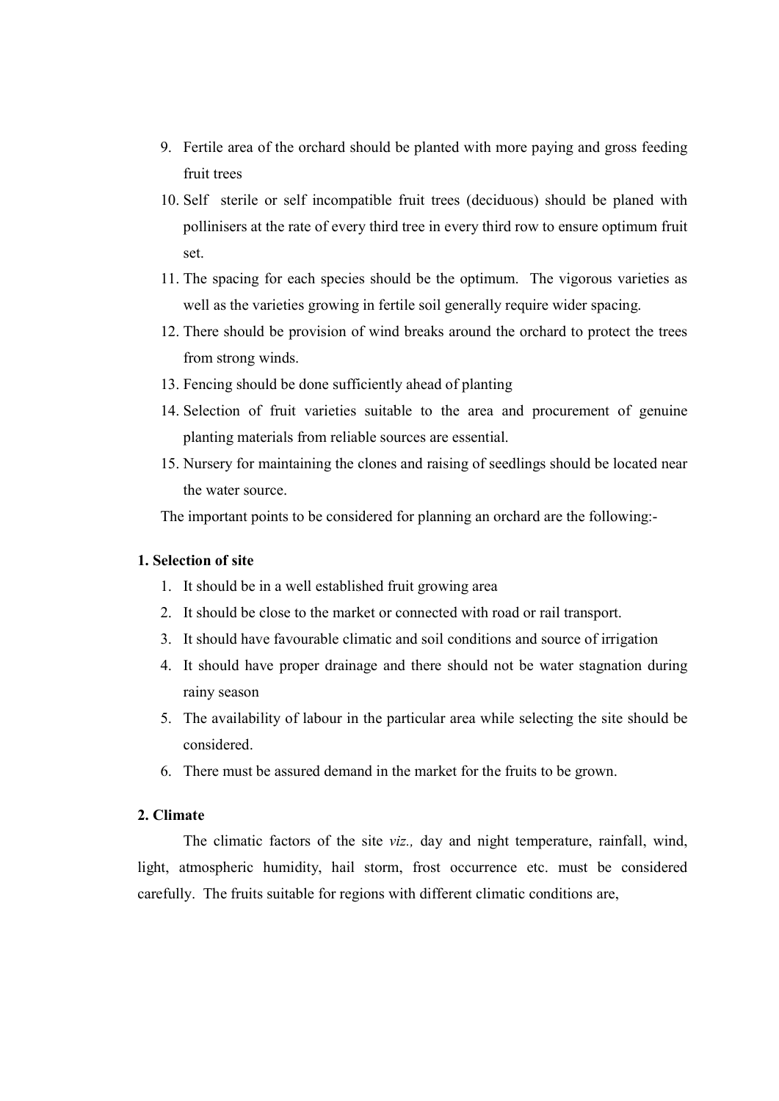- 9. Fertile area of the orchard should be planted with more paying and gross feeding fruit trees
- 10. Self sterile or self incompatible fruit trees (deciduous) should be planed with pollinisers at the rate of every third tree in every third row to ensure optimum fruit set.
- 11. The spacing for each species should be the optimum. The vigorous varieties as well as the varieties growing in fertile soil generally require wider spacing.
- 12. There should be provision of wind breaks around the orchard to protect the trees from strong winds.
- 13. Fencing should be done sufficiently ahead of planting
- 14. Selection of fruit varieties suitable to the area and procurement of genuine planting materials from reliable sources are essential.
- 15. Nursery for maintaining the clones and raising of seedlings should be located near the water source.

The important points to be considered for planning an orchard are the following:-

### 1. Selection of site

- 1. It should be in a well established fruit growing area
- 2. It should be close to the market or connected with road or rail transport.
- 3. It should have favourable climatic and soil conditions and source of irrigation
- 4. It should have proper drainage and there should not be water stagnation during rainy season
- 5. The availability of labour in the particular area while selecting the site should be considered.
- 6. There must be assured demand in the market for the fruits to be grown.

## 2. Climate

 The climatic factors of the site viz., day and night temperature, rainfall, wind, light, atmospheric humidity, hail storm, frost occurrence etc. must be considered carefully. The fruits suitable for regions with different climatic conditions are,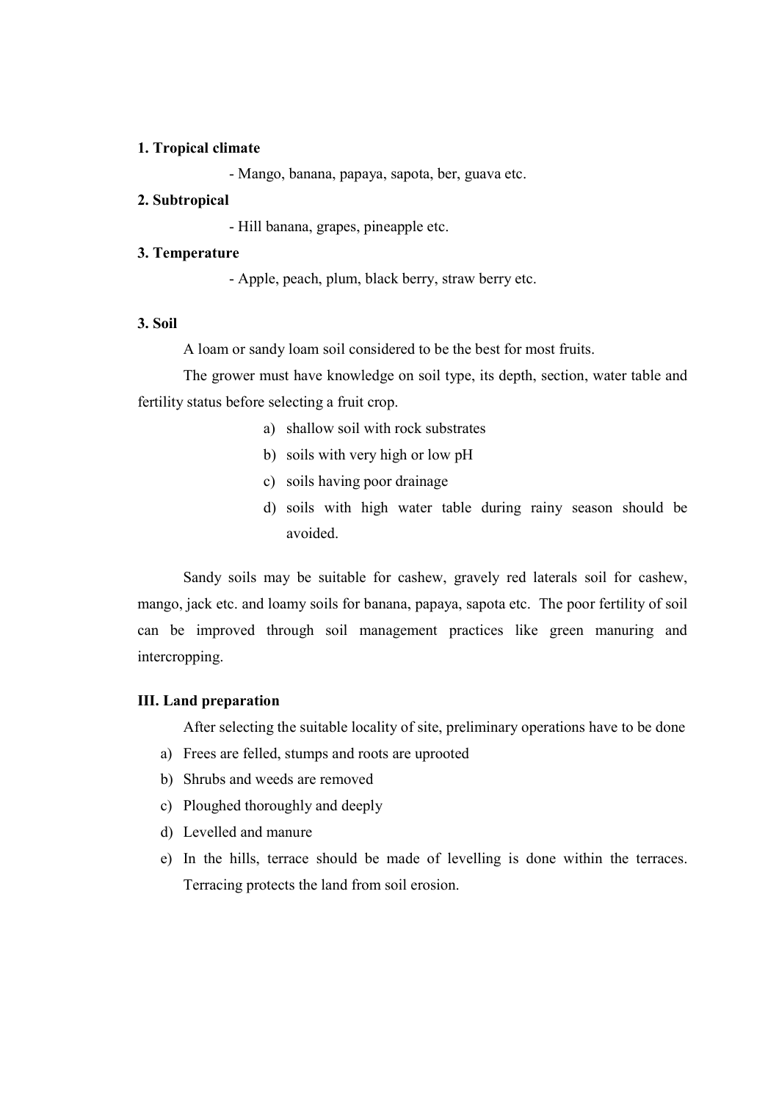### 1. Tropical climate

- Mango, banana, papaya, sapota, ber, guava etc.

#### 2. Subtropical

- Hill banana, grapes, pineapple etc.

### 3. Temperature

- Apple, peach, plum, black berry, straw berry etc.

## 3. Soil

A loam or sandy loam soil considered to be the best for most fruits.

 The grower must have knowledge on soil type, its depth, section, water table and fertility status before selecting a fruit crop.

- a) shallow soil with rock substrates
- b) soils with very high or low pH
- c) soils having poor drainage
- d) soils with high water table during rainy season should be avoided.

 Sandy soils may be suitable for cashew, gravely red laterals soil for cashew, mango, jack etc. and loamy soils for banana, papaya, sapota etc. The poor fertility of soil can be improved through soil management practices like green manuring and intercropping.

### III. Land preparation

After selecting the suitable locality of site, preliminary operations have to be done

- a) Frees are felled, stumps and roots are uprooted
- b) Shrubs and weeds are removed
- c) Ploughed thoroughly and deeply
- d) Levelled and manure
- e) In the hills, terrace should be made of levelling is done within the terraces. Terracing protects the land from soil erosion.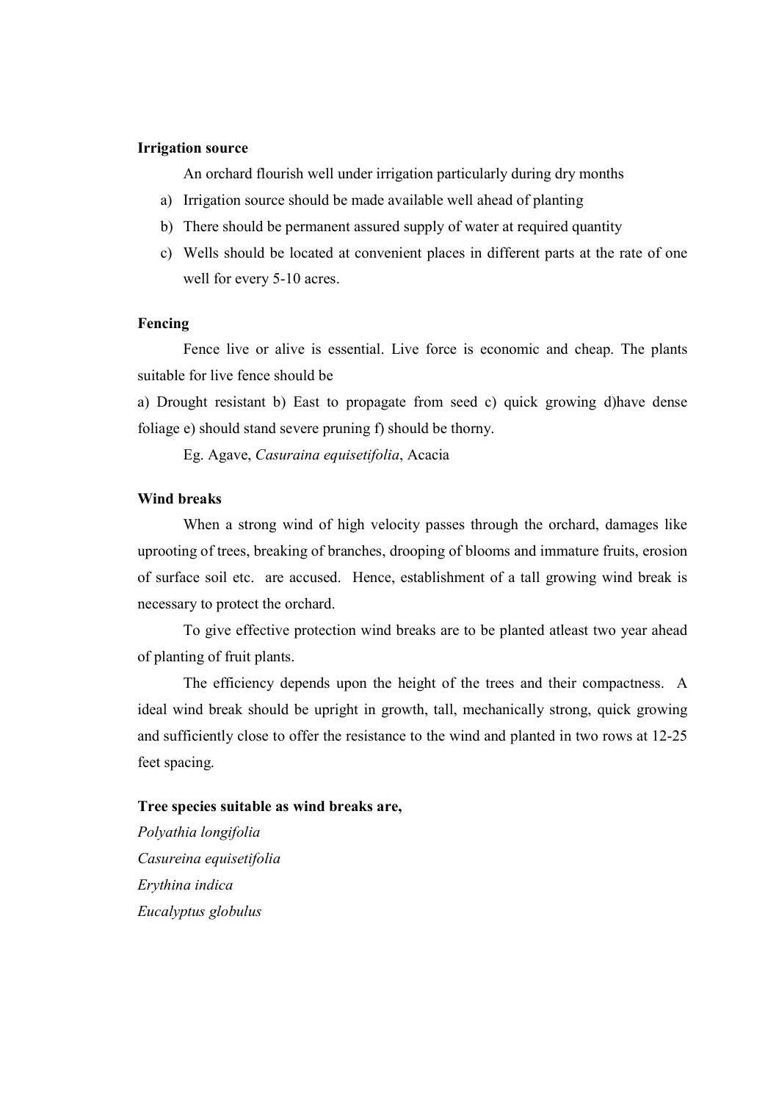### Irrigation source

An orchard flourish well under irrigation particularly during dry months

- a) Irrigation source should be made available well ahead of planting
- b) There should be permanent assured supply of water at required quantity
- c) Wells should be located at convenient places in different parts at the rate of one well for every 5-10 acres.

### Fencing

 Fence live or alive is essential. Live force is economic and cheap. The plants suitable for live fence should be

a) Drought resistant b) East to propagate from seed c) quick growing d)have dense foliage e) should stand severe pruning f) should be thorny.

Eg. Agave, Casuraina equisetifolia, Acacia

### Wind breaks

 When a strong wind of high velocity passes through the orchard, damages like uprooting of trees, breaking of branches, drooping of blooms and immature fruits, erosion of surface soil etc. are accused. Hence, establishment of a tall growing wind break is necessary to protect the orchard.

 To give effective protection wind breaks are to be planted atleast two year ahead of planting of fruit plants.

 The efficiency depends upon the height of the trees and their compactness. A ideal wind break should be upright in growth, tall, mechanically strong, quick growing and sufficiently close to offer the resistance to the wind and planted in two rows at 12-25 feet spacing.

### Tree species suitable as wind breaks are,

Polyathia longifolia Casureina equisetifolia Erythina indica Eucalyptus globulus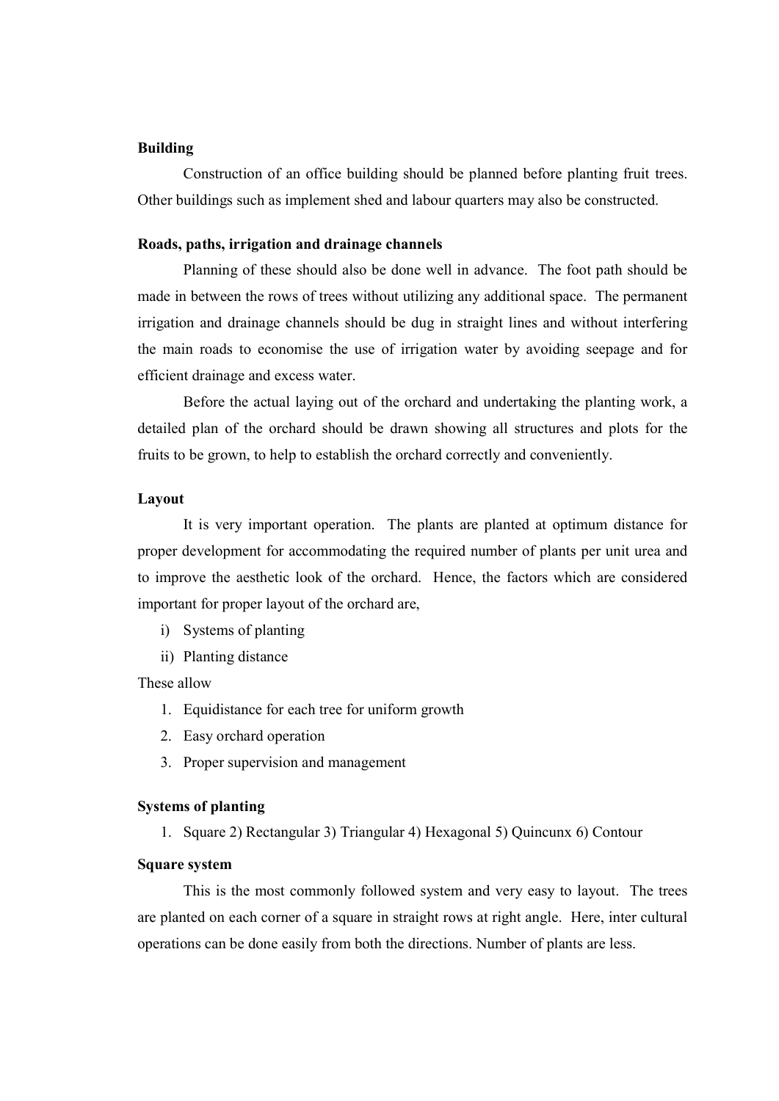### Building

 Construction of an office building should be planned before planting fruit trees. Other buildings such as implement shed and labour quarters may also be constructed.

### Roads, paths, irrigation and drainage channels

 Planning of these should also be done well in advance. The foot path should be made in between the rows of trees without utilizing any additional space. The permanent irrigation and drainage channels should be dug in straight lines and without interfering the main roads to economise the use of irrigation water by avoiding seepage and for efficient drainage and excess water.

 Before the actual laying out of the orchard and undertaking the planting work, a detailed plan of the orchard should be drawn showing all structures and plots for the fruits to be grown, to help to establish the orchard correctly and conveniently.

### Layout

 It is very important operation. The plants are planted at optimum distance for proper development for accommodating the required number of plants per unit urea and to improve the aesthetic look of the orchard. Hence, the factors which are considered important for proper layout of the orchard are,

- i) Systems of planting
- ii) Planting distance

These allow

- 1. Equidistance for each tree for uniform growth
- 2. Easy orchard operation
- 3. Proper supervision and management

### Systems of planting

1. Square 2) Rectangular 3) Triangular 4) Hexagonal 5) Quincunx 6) Contour

### Square system

 This is the most commonly followed system and very easy to layout. The trees are planted on each corner of a square in straight rows at right angle. Here, inter cultural operations can be done easily from both the directions. Number of plants are less.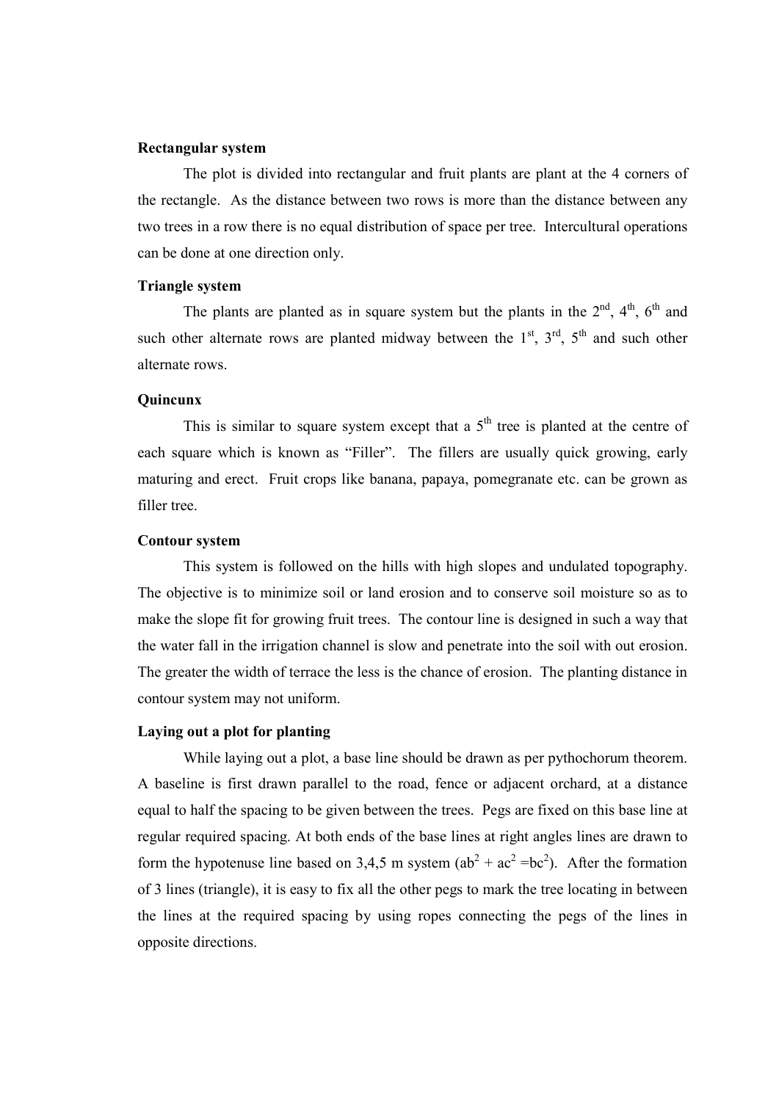### Rectangular system

 The plot is divided into rectangular and fruit plants are plant at the 4 corners of the rectangle. As the distance between two rows is more than the distance between any two trees in a row there is no equal distribution of space per tree. Intercultural operations can be done at one direction only.

### Triangle system

The plants are planted as in square system but the plants in the  $2<sup>nd</sup>$ ,  $4<sup>th</sup>$ ,  $6<sup>th</sup>$  and such other alternate rows are planted midway between the  $1<sup>st</sup>$ ,  $3<sup>rd</sup>$ ,  $5<sup>th</sup>$  and such other alternate rows.

### **Ouincunx**

This is similar to square system except that a  $5<sup>th</sup>$  tree is planted at the centre of each square which is known as "Filler". The fillers are usually quick growing, early maturing and erect. Fruit crops like banana, papaya, pomegranate etc. can be grown as filler tree.

### Contour system

 This system is followed on the hills with high slopes and undulated topography. The objective is to minimize soil or land erosion and to conserve soil moisture so as to make the slope fit for growing fruit trees. The contour line is designed in such a way that the water fall in the irrigation channel is slow and penetrate into the soil with out erosion. The greater the width of terrace the less is the chance of erosion. The planting distance in contour system may not uniform.

### Laying out a plot for planting

While laying out a plot, a base line should be drawn as per pythochorum theorem. A baseline is first drawn parallel to the road, fence or adjacent orchard, at a distance equal to half the spacing to be given between the trees. Pegs are fixed on this base line at regular required spacing. At both ends of the base lines at right angles lines are drawn to form the hypotenuse line based on 3,4,5 m system  $(ab^{2} + ac^{2} = bc^{2})$ . After the formation of 3 lines (triangle), it is easy to fix all the other pegs to mark the tree locating in between the lines at the required spacing by using ropes connecting the pegs of the lines in opposite directions.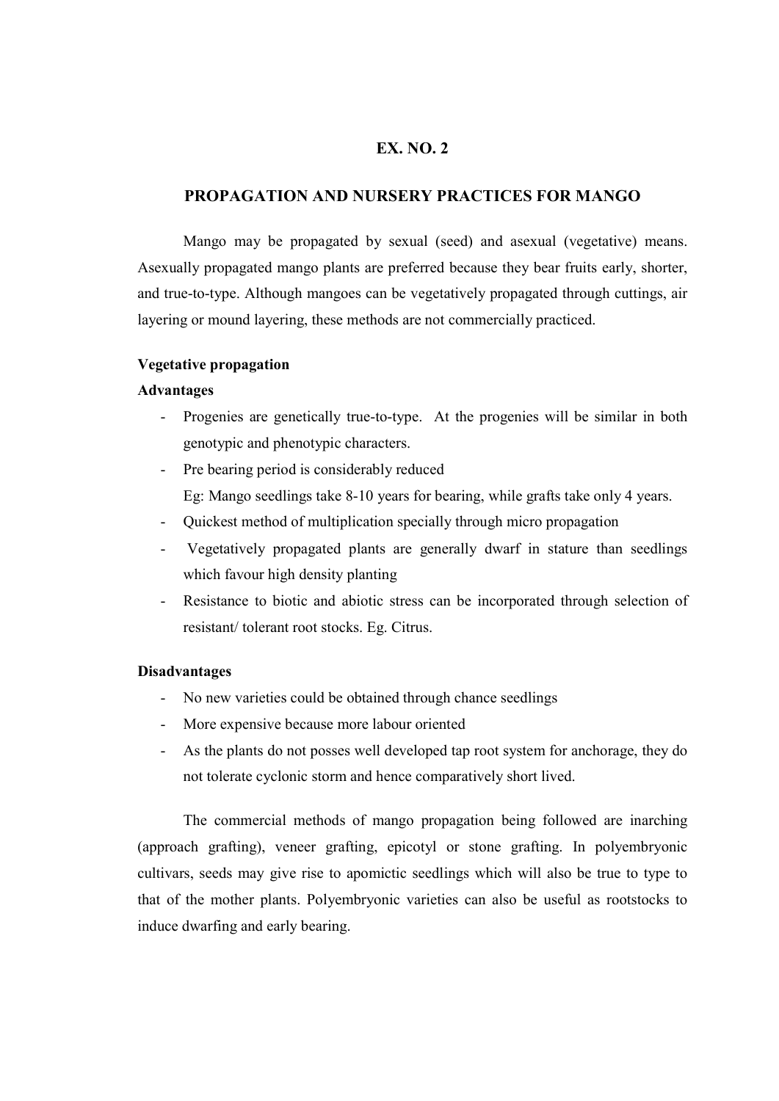### PROPAGATION AND NURSERY PRACTICES FOR MANGO

 Mango may be propagated by sexual (seed) and asexual (vegetative) means. Asexually propagated mango plants are preferred because they bear fruits early, shorter, and true-to-type. Although mangoes can be vegetatively propagated through cuttings, air layering or mound layering, these methods are not commercially practiced.

## Vegetative propagation

#### Advantages

- Progenies are genetically true-to-type. At the progenies will be similar in both genotypic and phenotypic characters.
- Pre bearing period is considerably reduced Eg: Mango seedlings take 8-10 years for bearing, while grafts take only 4 years.
- Quickest method of multiplication specially through micro propagation
- Vegetatively propagated plants are generally dwarf in stature than seedlings which favour high density planting
- Resistance to biotic and abiotic stress can be incorporated through selection of resistant/ tolerant root stocks. Eg. Citrus.

#### Disadvantages

- No new varieties could be obtained through chance seedlings
- More expensive because more labour oriented
- As the plants do not posses well developed tap root system for anchorage, they do not tolerate cyclonic storm and hence comparatively short lived.

 The commercial methods of mango propagation being followed are inarching (approach grafting), veneer grafting, epicotyl or stone grafting. In polyembryonic cultivars, seeds may give rise to apomictic seedlings which will also be true to type to that of the mother plants. Polyembryonic varieties can also be useful as rootstocks to induce dwarfing and early bearing.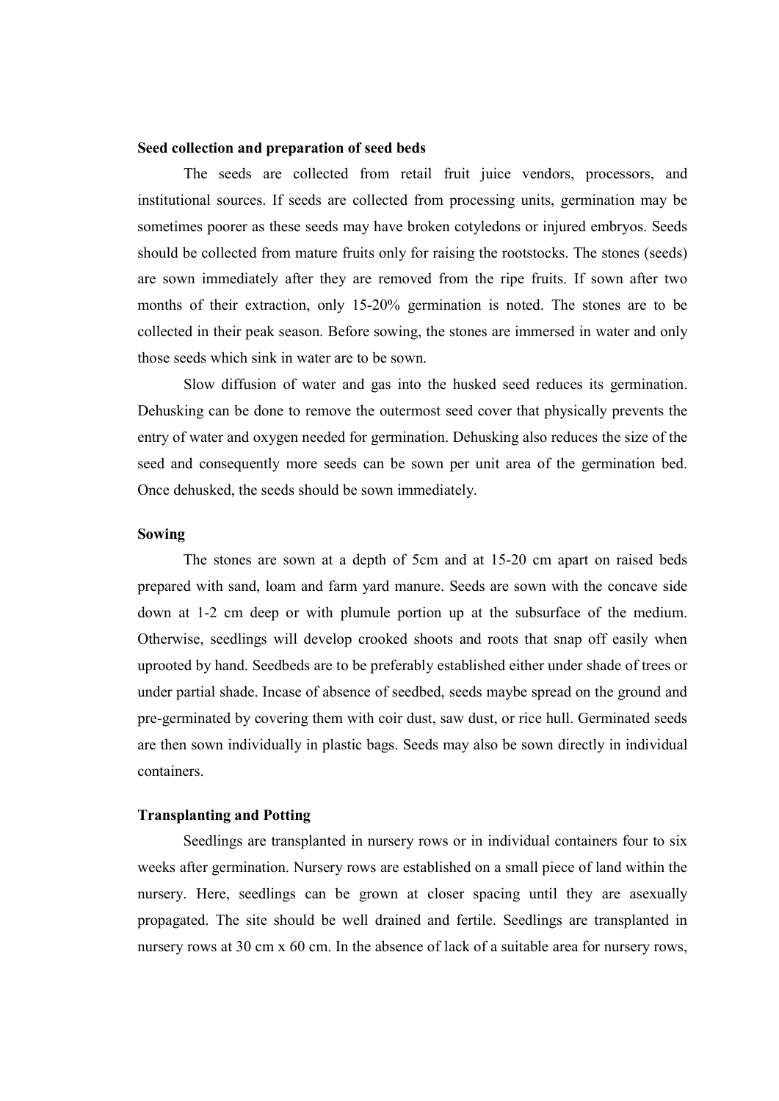### Seed collection and preparation of seed beds

The seeds are collected from retail fruit juice vendors, processors, and institutional sources. If seeds are collected from processing units, germination may be sometimes poorer as these seeds may have broken cotyledons or injured embryos. Seeds should be collected from mature fruits only for raising the rootstocks. The stones (seeds) are sown immediately after they are removed from the ripe fruits. If sown after two months of their extraction, only 15-20% germination is noted. The stones are to be collected in their peak season. Before sowing, the stones are immersed in water and only those seeds which sink in water are to be sown.

Slow diffusion of water and gas into the husked seed reduces its germination. Dehusking can be done to remove the outermost seed cover that physically prevents the entry of water and oxygen needed for germination. Dehusking also reduces the size of the seed and consequently more seeds can be sown per unit area of the germination bed. Once dehusked, the seeds should be sown immediately.

#### Sowing

 The stones are sown at a depth of 5cm and at 15-20 cm apart on raised beds prepared with sand, loam and farm yard manure. Seeds are sown with the concave side down at 1-2 cm deep or with plumule portion up at the subsurface of the medium. Otherwise, seedlings will develop crooked shoots and roots that snap off easily when uprooted by hand. Seedbeds are to be preferably established either under shade of trees or under partial shade. Incase of absence of seedbed, seeds maybe spread on the ground and pre-germinated by covering them with coir dust, saw dust, or rice hull. Germinated seeds are then sown individually in plastic bags. Seeds may also be sown directly in individual containers.

#### Transplanting and Potting

 Seedlings are transplanted in nursery rows or in individual containers four to six weeks after germination. Nursery rows are established on a small piece of land within the nursery. Here, seedlings can be grown at closer spacing until they are asexually propagated. The site should be well drained and fertile. Seedlings are transplanted in nursery rows at 30 cm x 60 cm. In the absence of lack of a suitable area for nursery rows,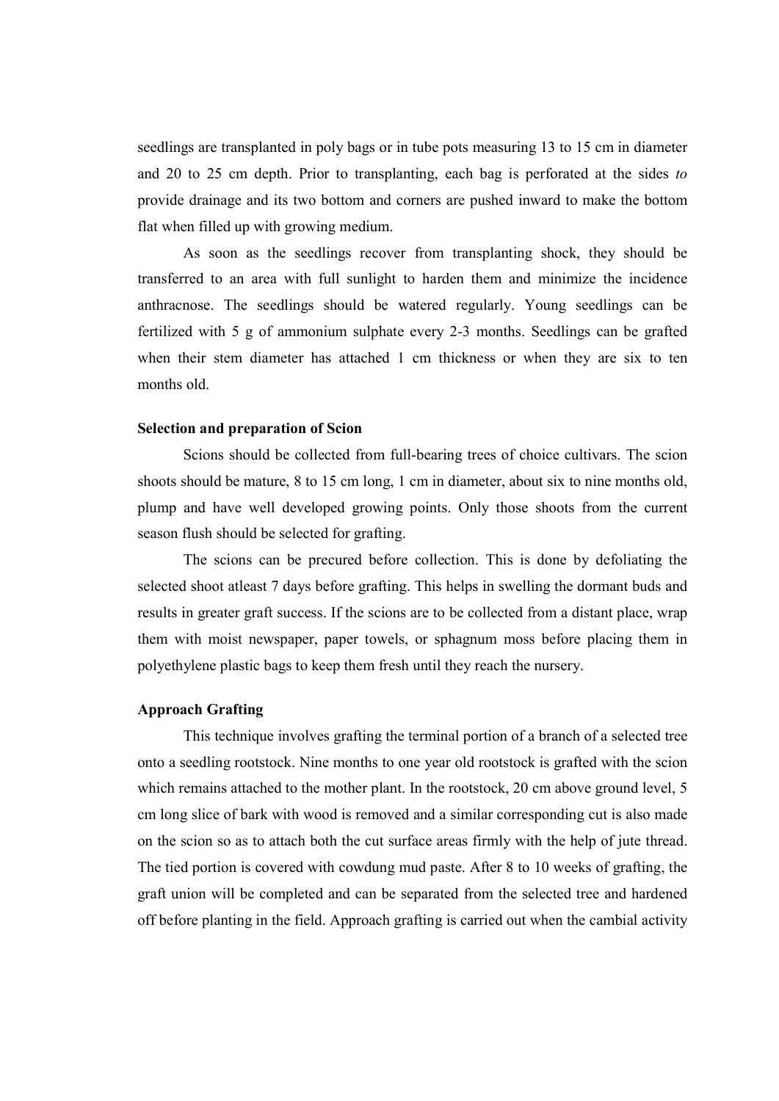seedlings are transplanted in poly bags or in tube pots measuring 13 to 15 cm in diameter and 20 to 25 cm depth. Prior to transplanting, each bag is perforated at the sides to provide drainage and its two bottom and corners are pushed inward to make the bottom flat when filled up with growing medium.

 As soon as the seedlings recover from transplanting shock, they should be transferred to an area with full sunlight to harden them and minimize the incidence anthracnose. The seedlings should be watered regularly. Young seedlings can be fertilized with 5 g of ammonium sulphate every 2-3 months. Seedlings can be grafted when their stem diameter has attached 1 cm thickness or when they are six to ten months old.

#### Selection and preparation of Scion

 Scions should be collected from full-bearing trees of choice cultivars. The scion shoots should be mature, 8 to 15 cm long, 1 cm in diameter, about six to nine months old, plump and have well developed growing points. Only those shoots from the current season flush should be selected for grafting.

 The scions can be precured before collection. This is done by defoliating the selected shoot atleast 7 days before grafting. This helps in swelling the dormant buds and results in greater graft success. If the scions are to be collected from a distant place, wrap them with moist newspaper, paper towels, or sphagnum moss before placing them in polyethylene plastic bags to keep them fresh until they reach the nursery.

### Approach Grafting

 This technique involves grafting the terminal portion of a branch of a selected tree onto a seedling rootstock. Nine months to one year old rootstock is grafted with the scion which remains attached to the mother plant. In the rootstock, 20 cm above ground level, 5 cm long slice of bark with wood is removed and a similar corresponding cut is also made on the scion so as to attach both the cut surface areas firmly with the help of jute thread. The tied portion is covered with cowdung mud paste. After 8 to 10 weeks of grafting, the graft union will be completed and can be separated from the selected tree and hardened off before planting in the field. Approach grafting is carried out when the cambial activity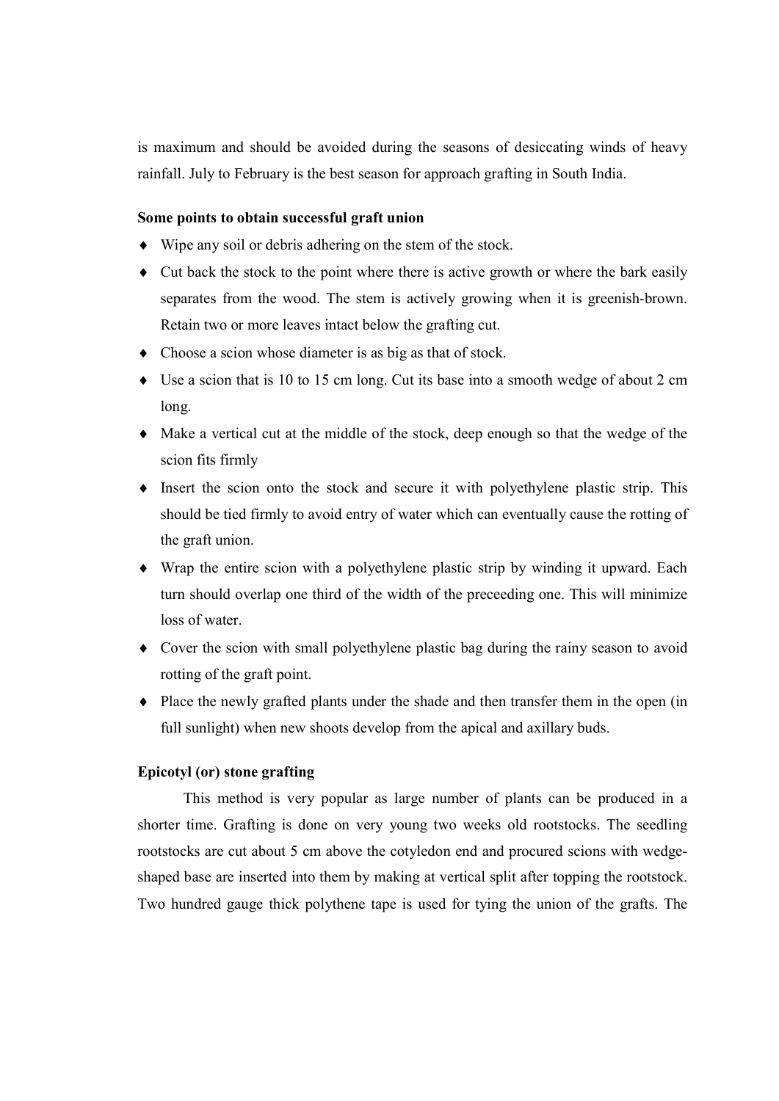is maximum and should be avoided during the seasons of desiccating winds of heavy rainfall. July to February is the best season for approach grafting in South India.

### Some points to obtain successful graft union

- Wipe any soil or debris adhering on the stem of the stock.
- Cut back the stock to the point where there is active growth or where the bark easily separates from the wood. The stem is actively growing when it is greenish-brown. Retain two or more leaves intact below the grafting cut.
- Choose a scion whose diameter is as big as that of stock.
- Use a scion that is 10 to 15 cm long. Cut its base into a smooth wedge of about 2 cm long.
- Make a vertical cut at the middle of the stock, deep enough so that the wedge of the scion fits firmly
- $\bullet$  Insert the scion onto the stock and secure it with polyethylene plastic strip. This should be tied firmly to avoid entry of water which can eventually cause the rotting of the graft union.
- Wrap the entire scion with a polyethylene plastic strip by winding it upward. Each turn should overlap one third of the width of the preceeding one. This will minimize loss of water.
- Cover the scion with small polyethylene plastic bag during the rainy season to avoid rotting of the graft point.
- Place the newly grafted plants under the shade and then transfer them in the open (in full sunlight) when new shoots develop from the apical and axillary buds.

## Epicotyl (or) stone grafting

 This method is very popular as large number of plants can be produced in a shorter time. Grafting is done on very young two weeks old rootstocks. The seedling rootstocks are cut about 5 cm above the cotyledon end and procured scions with wedgeshaped base are inserted into them by making at vertical split after topping the rootstock. Two hundred gauge thick polythene tape is used for tying the union of the grafts. The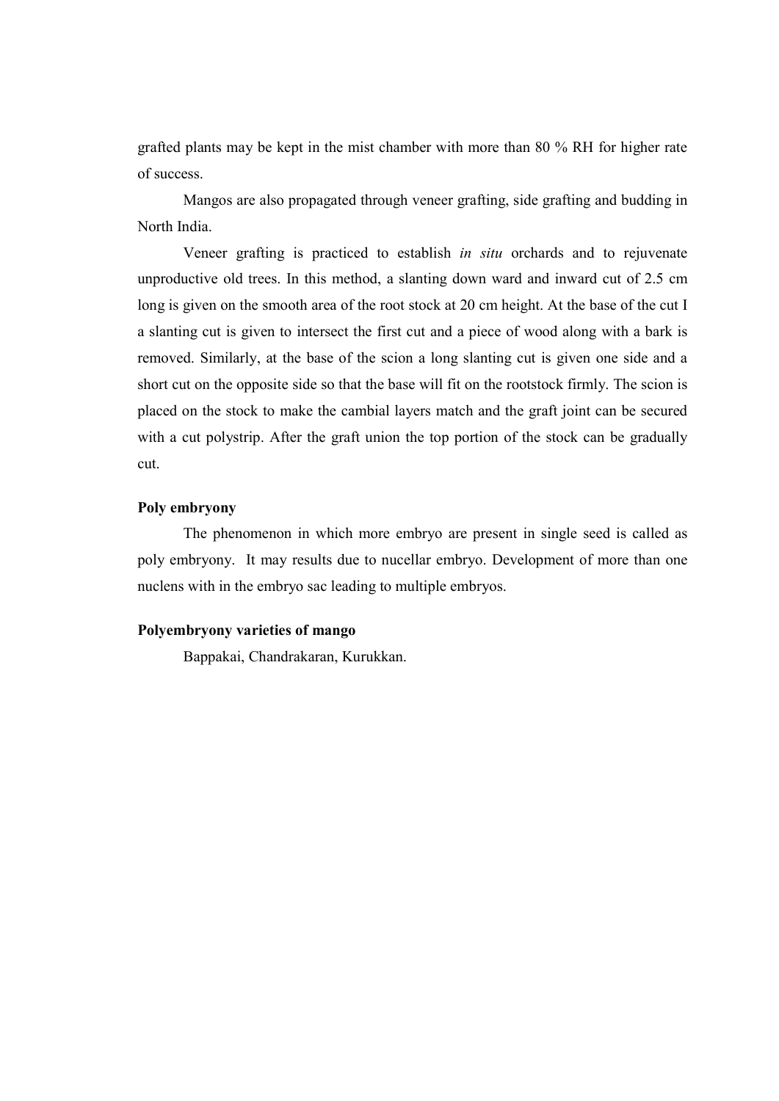grafted plants may be kept in the mist chamber with more than 80 % RH for higher rate of success.

 Mangos are also propagated through veneer grafting, side grafting and budding in North India.

 Veneer grafting is practiced to establish in situ orchards and to rejuvenate unproductive old trees. In this method, a slanting down ward and inward cut of 2.5 cm long is given on the smooth area of the root stock at 20 cm height. At the base of the cut I a slanting cut is given to intersect the first cut and a piece of wood along with a bark is removed. Similarly, at the base of the scion a long slanting cut is given one side and a short cut on the opposite side so that the base will fit on the rootstock firmly. The scion is placed on the stock to make the cambial layers match and the graft joint can be secured with a cut polystrip. After the graft union the top portion of the stock can be gradually cut.

## Poly embryony

 The phenomenon in which more embryo are present in single seed is called as poly embryony. It may results due to nucellar embryo. Development of more than one nuclens with in the embryo sac leading to multiple embryos.

### Polyembryony varieties of mango

Bappakai, Chandrakaran, Kurukkan.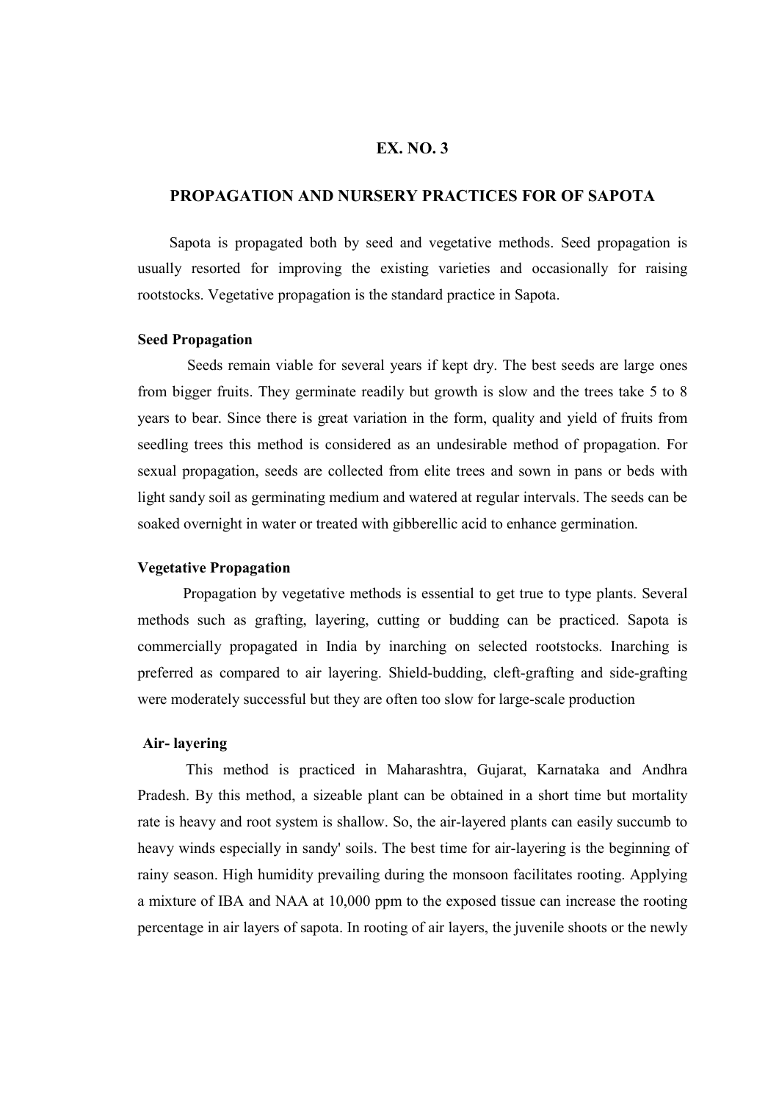### PROPAGATION AND NURSERY PRACTICES FOR OF SAPOTA

 Sapota is propagated both by seed and vegetative methods. Seed propagation is usually resorted for improving the existing varieties and occasionally for raising rootstocks. Vegetative propagation is the standard practice in Sapota.

### Seed Propagation

Seeds remain viable for several years if kept dry. The best seeds are large ones from bigger fruits. They germinate readily but growth is slow and the trees take 5 to 8 years to bear. Since there is great variation in the form, quality and yield of fruits from seedling trees this method is considered as an undesirable method of propagation. For sexual propagation, seeds are collected from elite trees and sown in pans or beds with light sandy soil as germinating medium and watered at regular intervals. The seeds can be soaked overnight in water or treated with gibberellic acid to enhance germination.

### Vegetative Propagation

Propagation by vegetative methods is essential to get true to type plants. Several methods such as grafting, layering, cutting or budding can be practiced. Sapota is commercially propagated in India by inarching on selected rootstocks. Inarching is preferred as compared to air layering. Shield-budding, cleft-grafting and side-grafting were moderately successful but they are often too slow for large-scale production

#### Air- layering

This method is practiced in Maharashtra, Gujarat, Karnataka and Andhra Pradesh. By this method, a sizeable plant can be obtained in a short time but mortality rate is heavy and root system is shallow. So, the air-layered plants can easily succumb to heavy winds especially in sandy' soils. The best time for air-layering is the beginning of rainy season. High humidity prevailing during the monsoon facilitates rooting. Applying a mixture of IBA and NAA at 10,000 ppm to the exposed tissue can increase the rooting percentage in air layers of sapota. In rooting of air layers, the juvenile shoots or the newly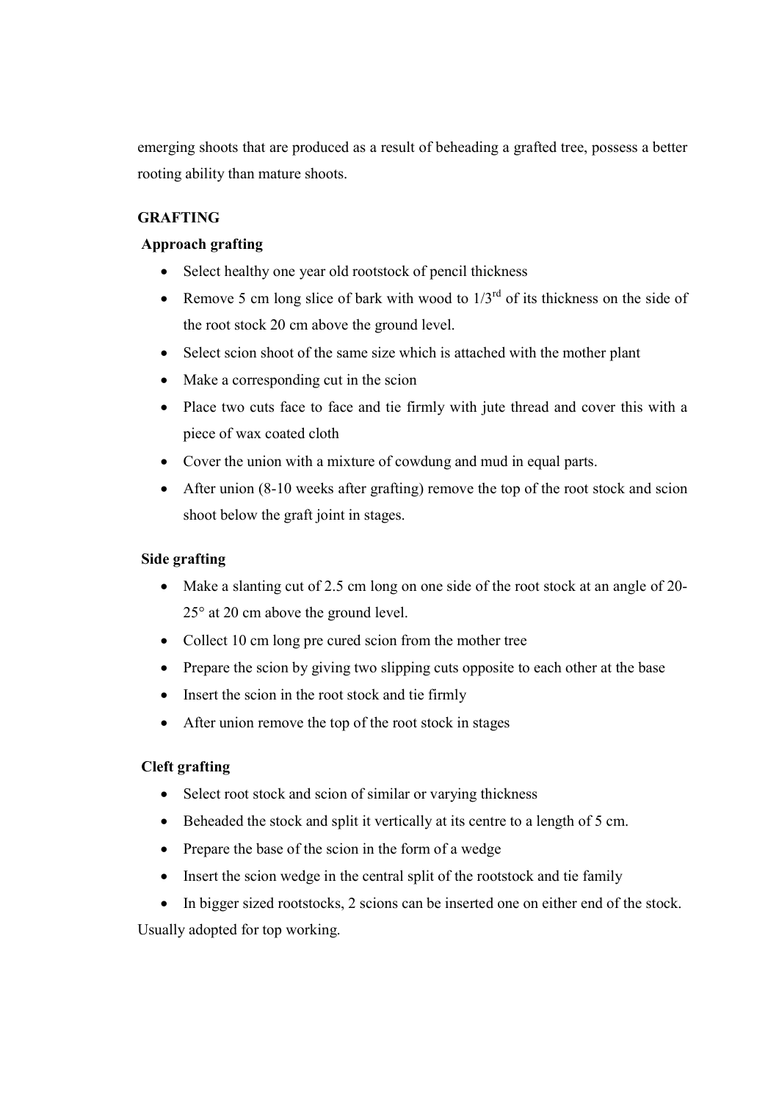emerging shoots that are produced as a result of beheading a grafted tree, possess a better rooting ability than mature shoots.

## **GRAFTING**

## Approach grafting

- Select healthy one year old rootstock of pencil thickness
- Remove 5 cm long slice of bark with wood to  $1/3^{rd}$  of its thickness on the side of the root stock 20 cm above the ground level.
- Select scion shoot of the same size which is attached with the mother plant
- Make a corresponding cut in the scion
- Place two cuts face to face and tie firmly with jute thread and cover this with a piece of wax coated cloth
- Cover the union with a mixture of cowdung and mud in equal parts.
- After union (8-10 weeks after grafting) remove the top of the root stock and scion shoot below the graft joint in stages.

## Side grafting

- Make a slanting cut of 2.5 cm long on one side of the root stock at an angle of 20- 25° at 20 cm above the ground level.
- Collect 10 cm long pre cured scion from the mother tree
- Prepare the scion by giving two slipping cuts opposite to each other at the base
- Insert the scion in the root stock and tie firmly
- After union remove the top of the root stock in stages

## Cleft grafting

- Select root stock and scion of similar or varying thickness
- Beheaded the stock and split it vertically at its centre to a length of 5 cm.
- Prepare the base of the scion in the form of a wedge
- Insert the scion wedge in the central split of the rootstock and tie family
- In bigger sized rootstocks, 2 scions can be inserted one on either end of the stock.

Usually adopted for top working.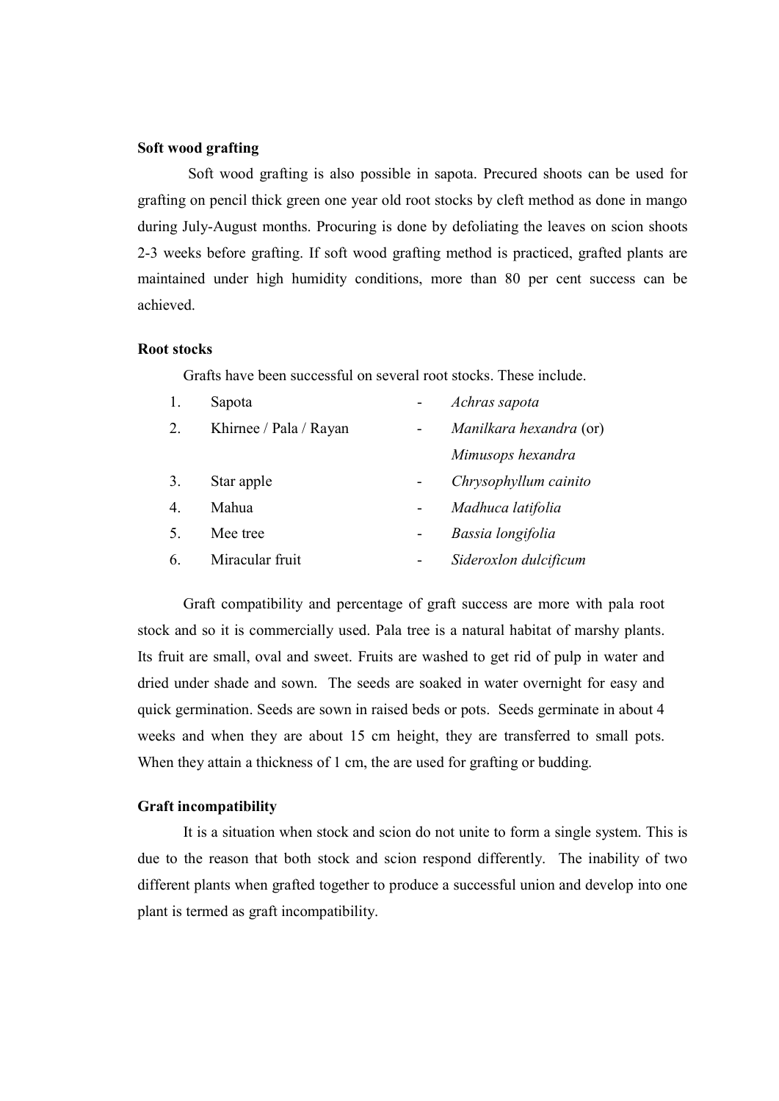### Soft wood grafting

Soft wood grafting is also possible in sapota. Precured shoots can be used for grafting on pencil thick green one year old root stocks by cleft method as done in mango during July-August months. Procuring is done by defoliating the leaves on scion shoots 2-3 weeks before grafting. If soft wood grafting method is practiced, grafted plants are maintained under high humidity conditions, more than 80 per cent success can be achieved.

### Root stocks

Grafts have been successful on several root stocks. These include.

|    | Sapota                 | Achras sapota           |
|----|------------------------|-------------------------|
| 2. | Khirnee / Pala / Rayan | Manilkara hexandra (or) |
|    |                        | Mimusops hexandra       |
| 3. | Star apple             | Chrysophyllum cainito   |
| 4. | Mahua                  | Madhuca latifolia       |
|    | Mee tree               | Bassia longifolia       |
| 6. | Miracular fruit        | Sideroxlon dulcificum   |

 Graft compatibility and percentage of graft success are more with pala root stock and so it is commercially used. Pala tree is a natural habitat of marshy plants. Its fruit are small, oval and sweet. Fruits are washed to get rid of pulp in water and dried under shade and sown. The seeds are soaked in water overnight for easy and quick germination. Seeds are sown in raised beds or pots. Seeds germinate in about 4 weeks and when they are about 15 cm height, they are transferred to small pots. When they attain a thickness of 1 cm, the are used for grafting or budding.

### Graft incompatibility

 It is a situation when stock and scion do not unite to form a single system. This is due to the reason that both stock and scion respond differently. The inability of two different plants when grafted together to produce a successful union and develop into one plant is termed as graft incompatibility.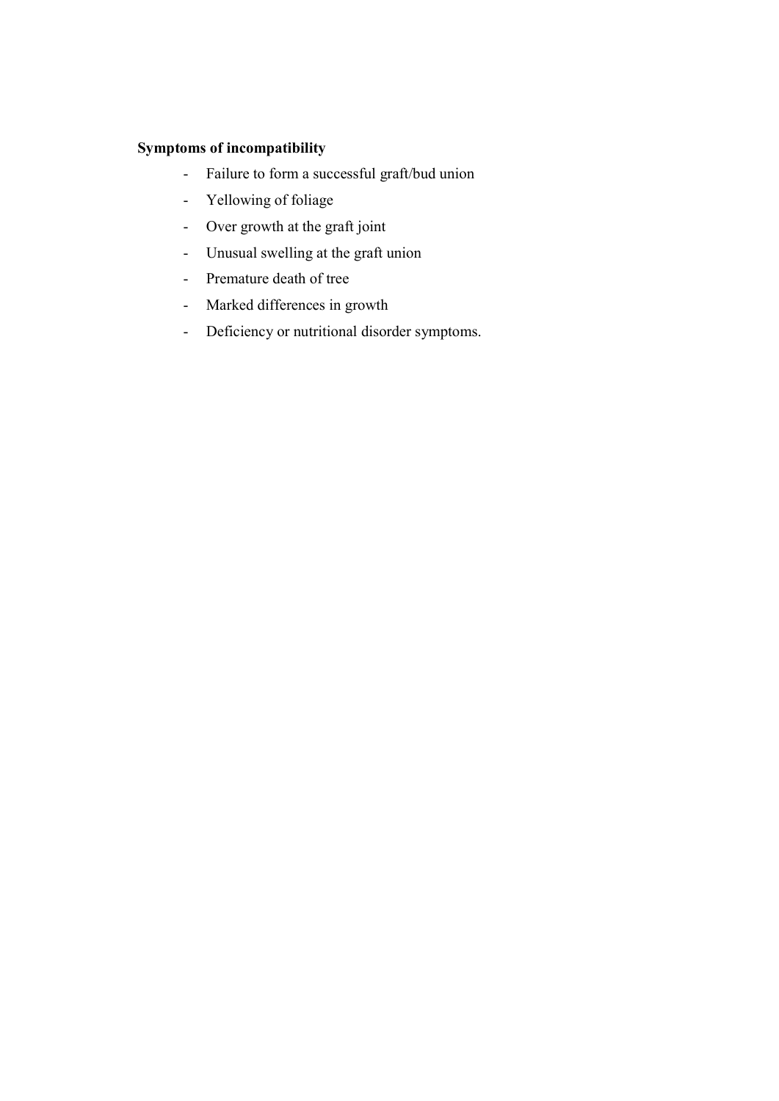## Symptoms of incompatibility

- Failure to form a successful graft/bud union
- Yellowing of foliage
- Over growth at the graft joint
- Unusual swelling at the graft union
- Premature death of tree
- Marked differences in growth
- Deficiency or nutritional disorder symptoms.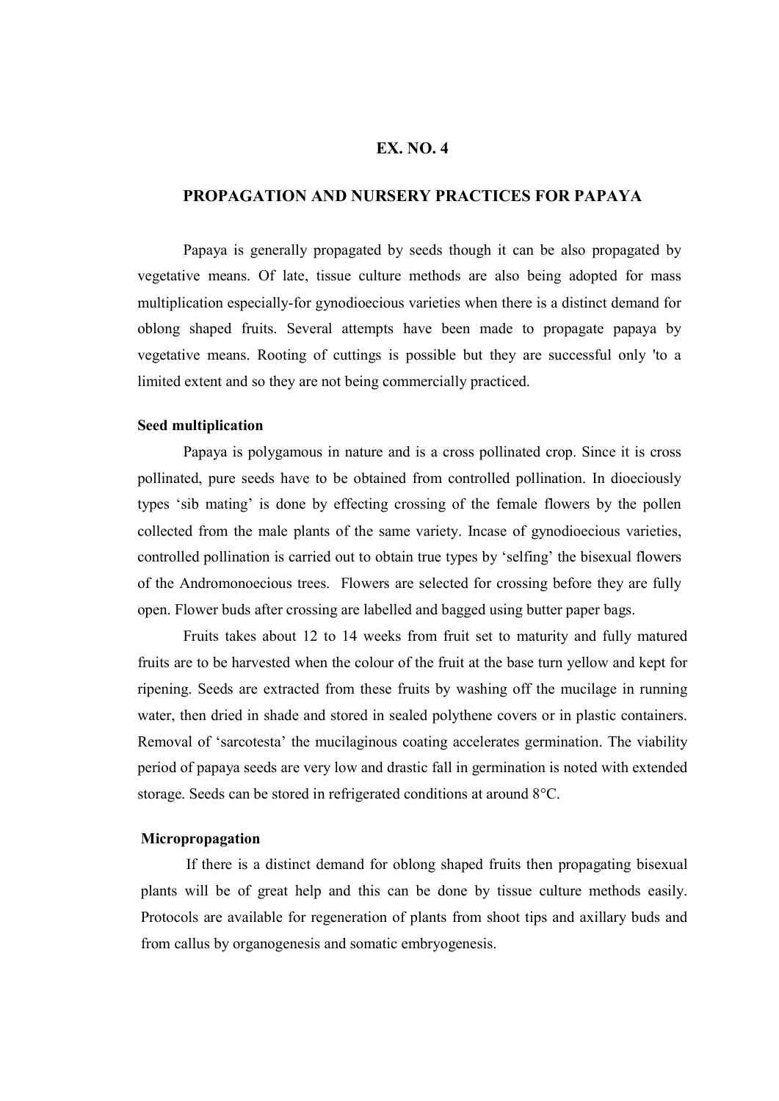### PROPAGATION AND NURSERY PRACTICES FOR PAPAYA

 Papaya is generally propagated by seeds though it can be also propagated by vegetative means. Of late, tissue culture methods are also being adopted for mass multiplication especially-for gynodioecious varieties when there is a distinct demand for oblong shaped fruits. Several attempts have been made to propagate papaya by vegetative means. Rooting of cuttings is possible but they are successful only 'to a limited extent and so they are not being commercially practiced.

### Seed multiplication

 Papaya is polygamous in nature and is a cross pollinated crop. Since it is cross pollinated, pure seeds have to be obtained from controlled pollination. In dioeciously types 'sib mating' is done by effecting crossing of the female flowers by the pollen collected from the male plants of the same variety. Incase of gynodioecious varieties, controlled pollination is carried out to obtain true types by 'selfing' the bisexual flowers of the Andromonoecious trees. Flowers are selected for crossing before they are fully open. Flower buds after crossing are labelled and bagged using butter paper bags.

 Fruits takes about 12 to 14 weeks from fruit set to maturity and fully matured fruits are to be harvested when the colour of the fruit at the base turn yellow and kept for ripening. Seeds are extracted from these fruits by washing off the mucilage in running water, then dried in shade and stored in sealed polythene covers or in plastic containers. Removal of 'sarcotesta' the mucilaginous coating accelerates germination. The viability period of papaya seeds are very low and drastic fall in germination is noted with extended storage. Seeds can be stored in refrigerated conditions at around 8°C.

### Micropropagation

If there is a distinct demand for oblong shaped fruits then propagating bisexual plants will be of great help and this can be done by tissue culture methods easily. Protocols are available for regeneration of plants from shoot tips and axillary buds and from callus by organogenesis and somatic embryogenesis.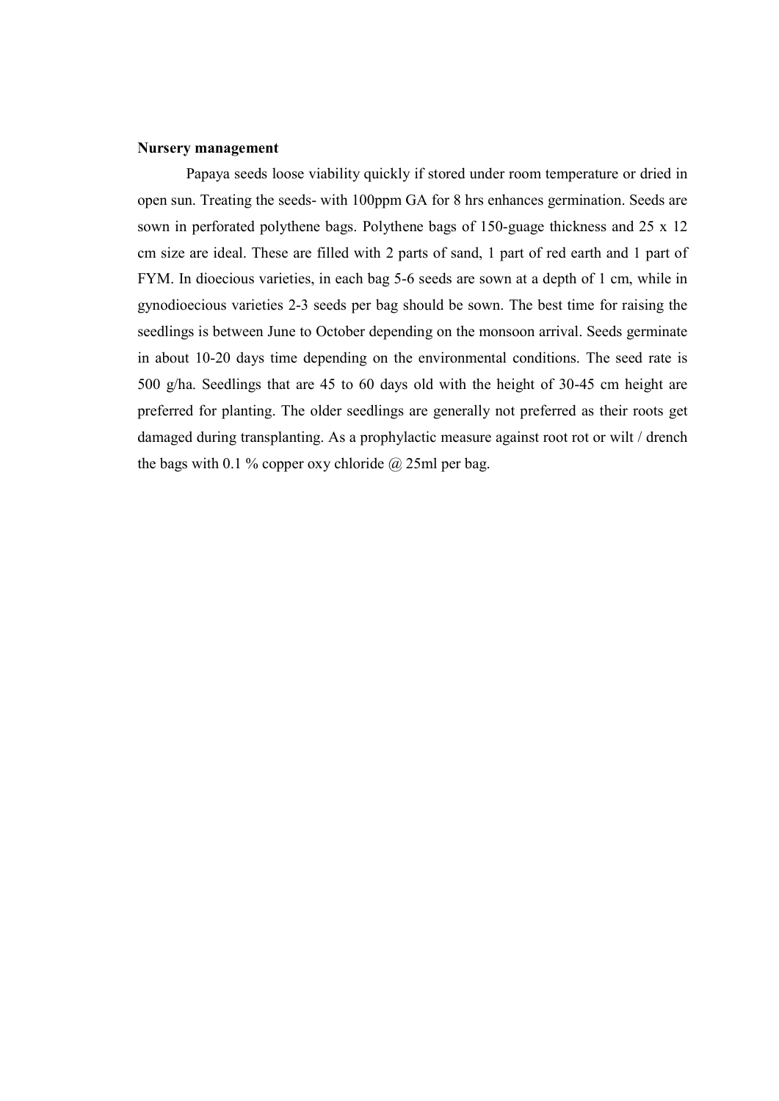### Nursery management

Papaya seeds loose viability quickly if stored under room temperature or dried in open sun. Treating the seeds- with 100ppm GA for 8 hrs enhances germination. Seeds are sown in perforated polythene bags. Polythene bags of 150-guage thickness and 25 x 12 cm size are ideal. These are filled with 2 parts of sand, 1 part of red earth and 1 part of FYM. In dioecious varieties, in each bag 5-6 seeds are sown at a depth of 1 cm, while in gynodioecious varieties 2-3 seeds per bag should be sown. The best time for raising the seedlings is between June to October depending on the monsoon arrival. Seeds germinate in about 10-20 days time depending on the environmental conditions. The seed rate is 500 g/ha. Seedlings that are 45 to 60 days old with the height of 30-45 cm height are preferred for planting. The older seedlings are generally not preferred as their roots get damaged during transplanting. As a prophylactic measure against root rot or wilt / drench the bags with 0.1 % copper oxy chloride  $\omega$  25ml per bag.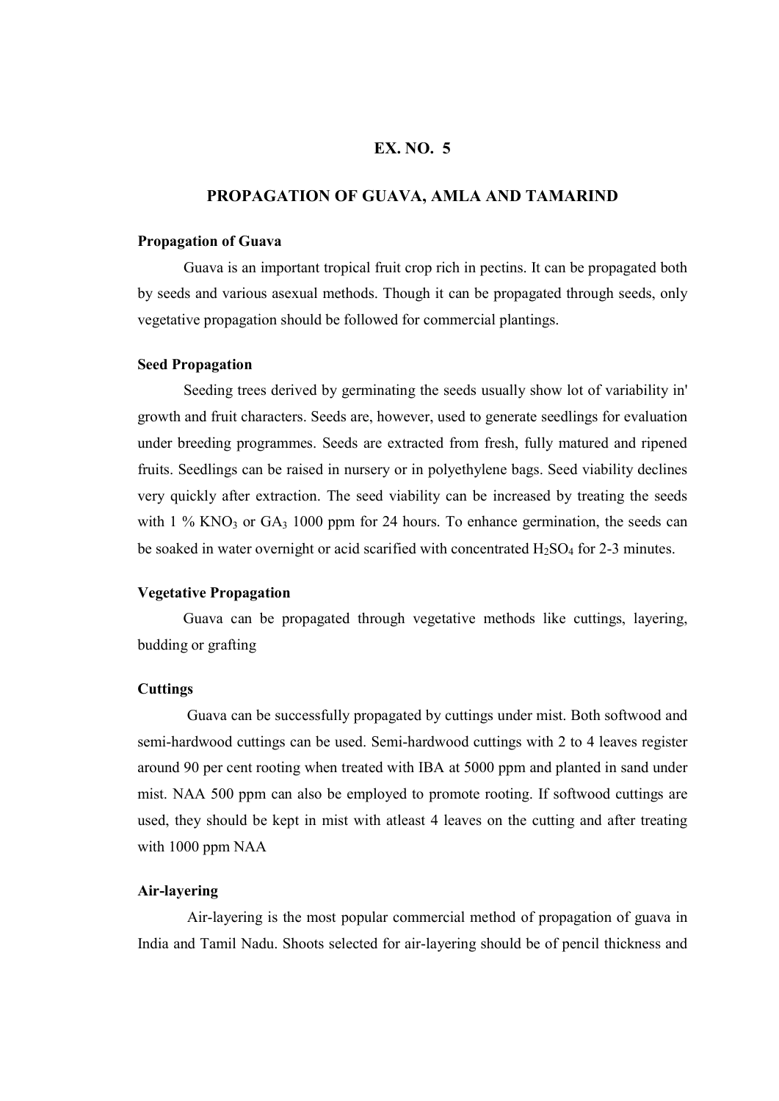### PROPAGATION OF GUAVA, AMLA AND TAMARIND

#### Propagation of Guava

Guava is an important tropical fruit crop rich in pectins. It can be propagated both by seeds and various asexual methods. Though it can be propagated through seeds, only vegetative propagation should be followed for commercial plantings.

## Seed Propagation

Seeding trees derived by germinating the seeds usually show lot of variability in' growth and fruit characters. Seeds are, however, used to generate seedlings for evaluation under breeding programmes. Seeds are extracted from fresh, fully matured and ripened fruits. Seedlings can be raised in nursery or in polyethylene bags. Seed viability declines very quickly after extraction. The seed viability can be increased by treating the seeds with  $1\%$  KNO<sub>3</sub> or GA<sub>3</sub> 1000 ppm for 24 hours. To enhance germination, the seeds can be soaked in water overnight or acid scarified with concentrated  $H_2SO_4$  for 2-3 minutes.

#### Vegetative Propagation

Guava can be propagated through vegetative methods like cuttings, layering, budding or grafting

#### **Cuttings**

 Guava can be successfully propagated by cuttings under mist. Both softwood and semi-hardwood cuttings can be used. Semi-hardwood cuttings with 2 to 4 leaves register around 90 per cent rooting when treated with IBA at 5000 ppm and planted in sand under mist. NAA 500 ppm can also be employed to promote rooting. If softwood cuttings are used, they should be kept in mist with atleast 4 leaves on the cutting and after treating with 1000 ppm NAA

#### Air-layering

 Air-layering is the most popular commercial method of propagation of guava in India and Tamil Nadu. Shoots selected for air-layering should be of pencil thickness and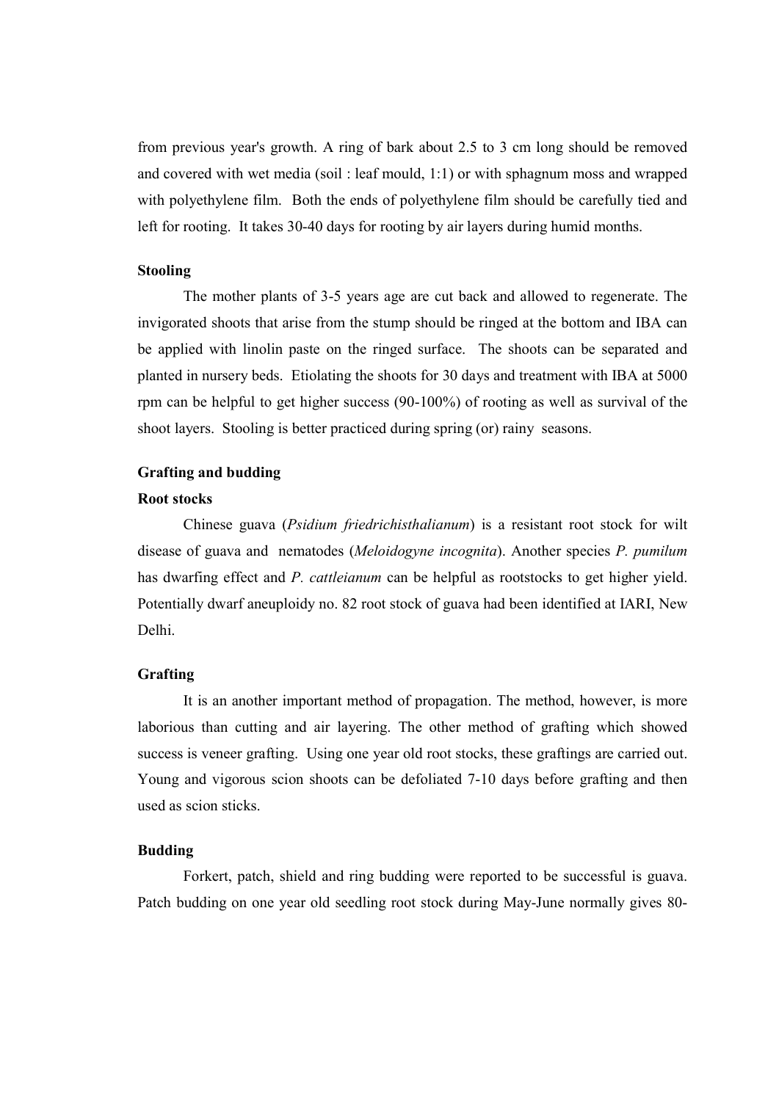from previous year's growth. A ring of bark about 2.5 to 3 cm long should be removed and covered with wet media (soil : leaf mould, 1:1) or with sphagnum moss and wrapped with polyethylene film. Both the ends of polyethylene film should be carefully tied and left for rooting. It takes 30-40 days for rooting by air layers during humid months.

#### Stooling

 The mother plants of 3-5 years age are cut back and allowed to regenerate. The invigorated shoots that arise from the stump should be ringed at the bottom and IBA can be applied with linolin paste on the ringed surface. The shoots can be separated and planted in nursery beds. Etiolating the shoots for 30 days and treatment with IBA at 5000 rpm can be helpful to get higher success (90-100%) of rooting as well as survival of the shoot layers. Stooling is better practiced during spring (or) rainy seasons.

### Grafting and budding

### Root stocks

 Chinese guava (Psidium friedrichisthalianum) is a resistant root stock for wilt disease of guava and nematodes (Meloidogyne incognita). Another species P. pumilum has dwarfing effect and P. cattleianum can be helpful as rootstocks to get higher yield. Potentially dwarf aneuploidy no. 82 root stock of guava had been identified at IARI, New Delhi.

#### Grafting

 It is an another important method of propagation. The method, however, is more laborious than cutting and air layering. The other method of grafting which showed success is veneer grafting. Using one year old root stocks, these graftings are carried out. Young and vigorous scion shoots can be defoliated 7-10 days before grafting and then used as scion sticks.

### Budding

 Forkert, patch, shield and ring budding were reported to be successful is guava. Patch budding on one year old seedling root stock during May-June normally gives 80-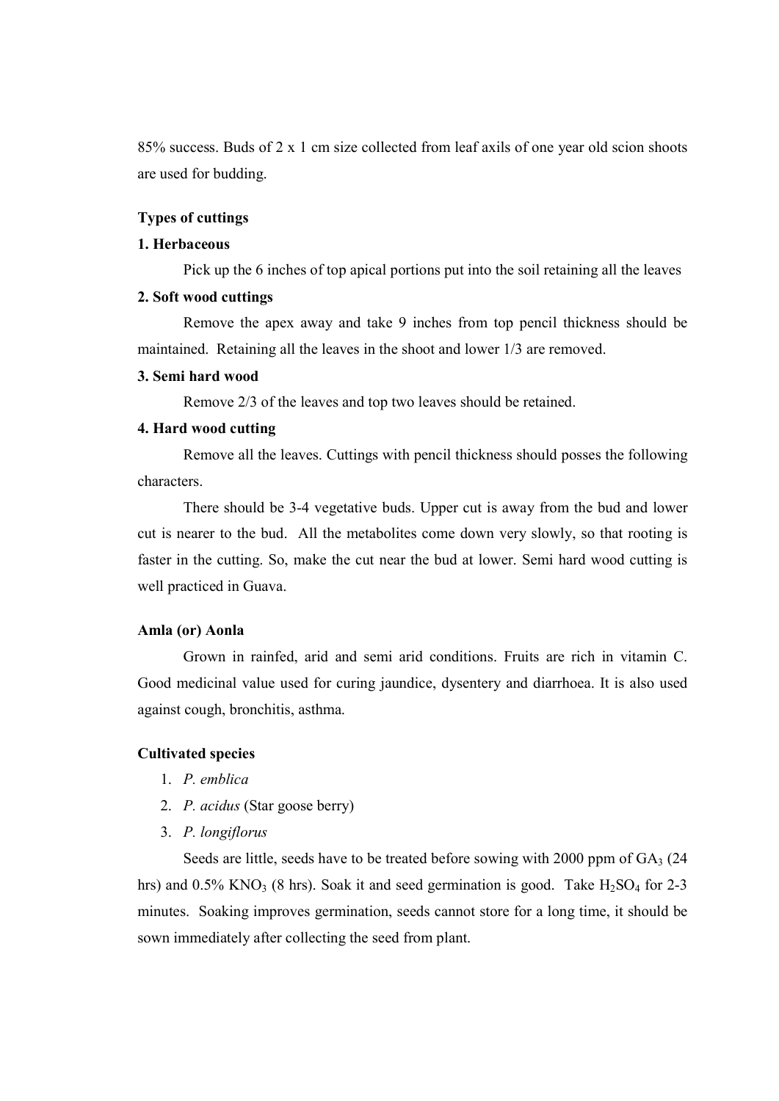85% success. Buds of 2 x 1 cm size collected from leaf axils of one year old scion shoots are used for budding.

## Types of cuttings

## 1. Herbaceous

Pick up the 6 inches of top apical portions put into the soil retaining all the leaves

## 2. Soft wood cuttings

 Remove the apex away and take 9 inches from top pencil thickness should be maintained. Retaining all the leaves in the shoot and lower 1/3 are removed.

### 3. Semi hard wood

Remove 2/3 of the leaves and top two leaves should be retained.

#### 4. Hard wood cutting

 Remove all the leaves. Cuttings with pencil thickness should posses the following characters.

 There should be 3-4 vegetative buds. Upper cut is away from the bud and lower cut is nearer to the bud. All the metabolites come down very slowly, so that rooting is faster in the cutting. So, make the cut near the bud at lower. Semi hard wood cutting is well practiced in Guava.

#### Amla (or) Aonla

 Grown in rainfed, arid and semi arid conditions. Fruits are rich in vitamin C. Good medicinal value used for curing jaundice, dysentery and diarrhoea. It is also used against cough, bronchitis, asthma.

### Cultivated species

- 1. P. emblica
- 2. P. acidus (Star goose berry)
- 3. P. longiflorus

Seeds are little, seeds have to be treated before sowing with  $2000$  ppm of  $GA<sub>3</sub>$  (24) hrs) and  $0.5\%$  KNO<sub>3</sub> (8 hrs). Soak it and seed germination is good. Take H<sub>2</sub>SO<sub>4</sub> for 2-3 minutes. Soaking improves germination, seeds cannot store for a long time, it should be sown immediately after collecting the seed from plant.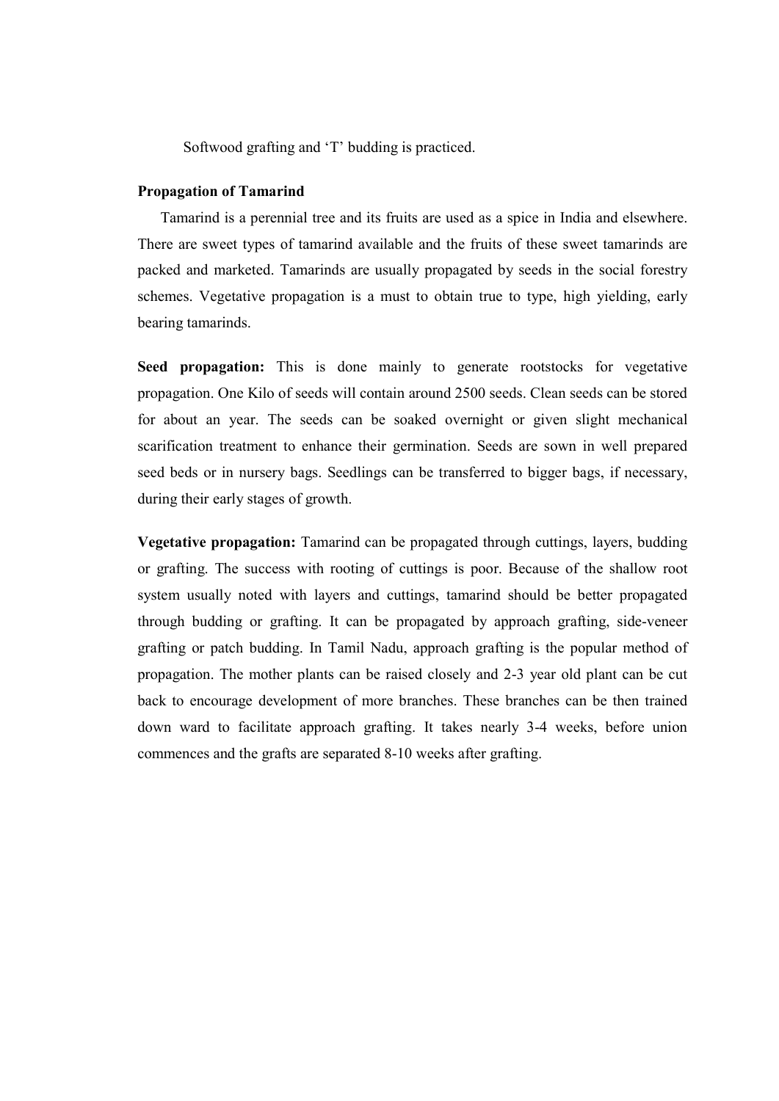Softwood grafting and 'T' budding is practiced.

#### Propagation of Tamarind

 Tamarind is a perennial tree and its fruits are used as a spice in India and elsewhere. There are sweet types of tamarind available and the fruits of these sweet tamarinds are packed and marketed. Tamarinds are usually propagated by seeds in the social forestry schemes. Vegetative propagation is a must to obtain true to type, high yielding, early bearing tamarinds.

Seed propagation: This is done mainly to generate rootstocks for vegetative propagation. One Kilo of seeds will contain around 2500 seeds. Clean seeds can be stored for about an year. The seeds can be soaked overnight or given slight mechanical scarification treatment to enhance their germination. Seeds are sown in well prepared seed beds or in nursery bags. Seedlings can be transferred to bigger bags, if necessary, during their early stages of growth.

Vegetative propagation: Tamarind can be propagated through cuttings, layers, budding or grafting. The success with rooting of cuttings is poor. Because of the shallow root system usually noted with layers and cuttings, tamarind should be better propagated through budding or grafting. It can be propagated by approach grafting, side-veneer grafting or patch budding. In Tamil Nadu, approach grafting is the popular method of propagation. The mother plants can be raised closely and 2-3 year old plant can be cut back to encourage development of more branches. These branches can be then trained down ward to facilitate approach grafting. It takes nearly 3-4 weeks, before union commences and the grafts are separated 8-10 weeks after grafting.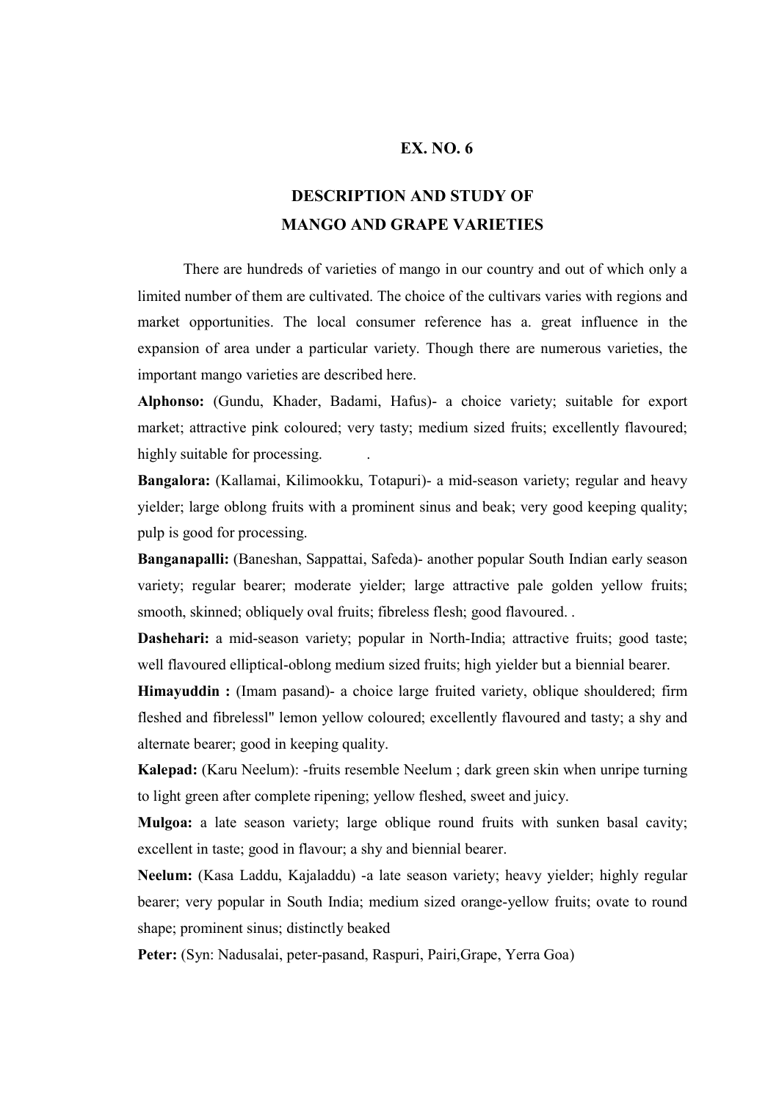# DESCRIPTION AND STUDY OF MANGO AND GRAPE VARIETIES

 There are hundreds of varieties of mango in our country and out of which only a limited number of them are cultivated. The choice of the cultivars varies with regions and market opportunities. The local consumer reference has a. great influence in the expansion of area under a particular variety. Though there are numerous varieties, the important mango varieties are described here.

Alphonso: (Gundu, Khader, Badami, Hafus)- a choice variety; suitable for export market; attractive pink coloured; very tasty; medium sized fruits; excellently flavoured; highly suitable for processing.

Bangalora: (Kallamai, Kilimookku, Totapuri)- a mid-season variety; regular and heavy yielder; large oblong fruits with a prominent sinus and beak; very good keeping quality; pulp is good for processing.

Banganapalli: (Baneshan, Sappattai, Safeda)- another popular South Indian early season variety; regular bearer; moderate yielder; large attractive pale golden yellow fruits; smooth, skinned; obliquely oval fruits; fibreless flesh; good flavoured. .

Dashehari: a mid-season variety; popular in North-India; attractive fruits; good taste; well flavoured elliptical-oblong medium sized fruits; high yielder but a biennial bearer.

Himayuddin : (Imam pasand)- a choice large fruited variety, oblique shouldered; firm fleshed and fibrelessl" lemon yellow coloured; excellently flavoured and tasty; a shy and alternate bearer; good in keeping quality.

Kalepad: (Karu Neelum): -fruits resemble Neelum ; dark green skin when unripe turning to light green after complete ripening; yellow fleshed, sweet and juicy.

Mulgoa: a late season variety; large oblique round fruits with sunken basal cavity; excellent in taste; good in flavour; a shy and biennial bearer.

Neelum: (Kasa Laddu, Kajaladdu) -a late season variety; heavy yielder; highly regular bearer; very popular in South India; medium sized orange-yellow fruits; ovate to round shape; prominent sinus; distinctly beaked

Peter: (Syn: Nadusalai, peter-pasand, Raspuri, Pairi,Grape, Yerra Goa)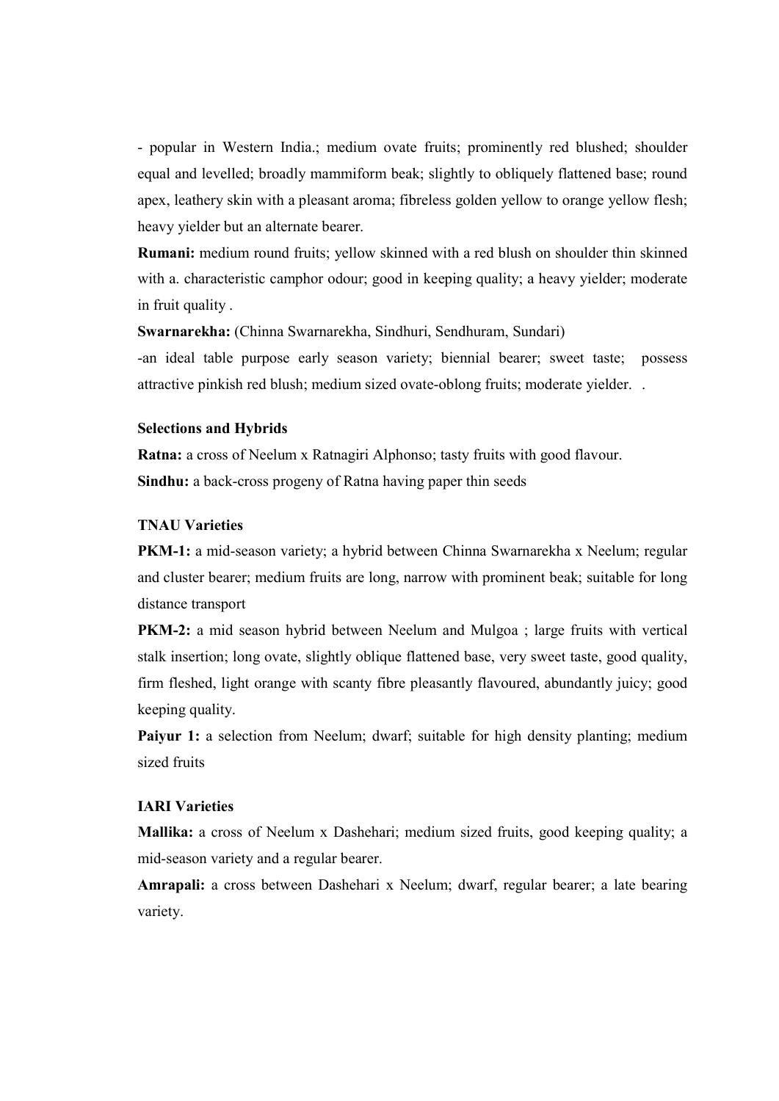- popular in Western India.; medium ovate fruits; prominently red blushed; shoulder equal and levelled; broadly mammiform beak; slightly to obliquely flattened base; round apex, leathery skin with a pleasant aroma; fibreless golden yellow to orange yellow flesh; heavy yielder but an alternate bearer.

Rumani: medium round fruits; yellow skinned with a red blush on shoulder thin skinned with a. characteristic camphor odour; good in keeping quality; a heavy yielder; moderate in fruit quality .

Swarnarekha: (Chinna Swarnarekha, Sindhuri, Sendhuram, Sundari)

-an ideal table purpose early season variety; biennial bearer; sweet taste; possess attractive pinkish red blush; medium sized ovate-oblong fruits; moderate yielder. .

### Selections and Hybrids

Ratna: a cross of Neelum x Ratnagiri Alphonso; tasty fruits with good flavour. Sindhu: a back-cross progeny of Ratna having paper thin seeds

### TNAU Varieties

PKM-1: a mid-season variety; a hybrid between Chinna Swarnarekha x Neelum; regular and cluster bearer; medium fruits are long, narrow with prominent beak; suitable for long distance transport

PKM-2: a mid season hybrid between Neelum and Mulgoa ; large fruits with vertical stalk insertion; long ovate, slightly oblique flattened base, very sweet taste, good quality, firm fleshed, light orange with scanty fibre pleasantly flavoured, abundantly juicy; good keeping quality.

Paiyur 1: a selection from Neelum; dwarf; suitable for high density planting; medium sized fruits

### IARI Varieties

Mallika: a cross of Neelum x Dashehari; medium sized fruits, good keeping quality; a mid-season variety and a regular bearer.

Amrapali: a cross between Dashehari x Neelum; dwarf, regular bearer; a late bearing variety.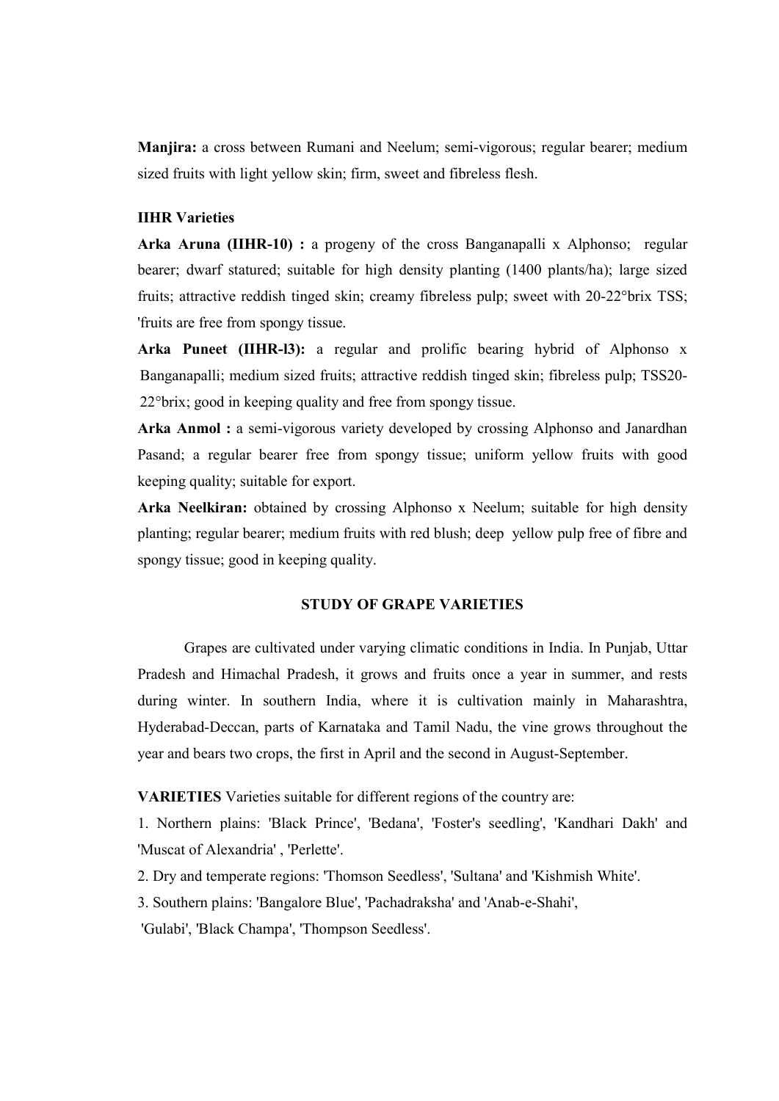Manjira: a cross between Rumani and Neelum; semi-vigorous; regular bearer; medium sized fruits with light yellow skin; firm, sweet and fibreless flesh.

### IIHR Varieties

Arka Aruna (IIHR-10) : a progeny of the cross Banganapalli x Alphonso; regular bearer; dwarf statured; suitable for high density planting (1400 plants/ha); large sized fruits; attractive reddish tinged skin; creamy fibreless pulp; sweet with 20-22°brix TSS; 'fruits are free from spongy tissue.

Arka Puneet (IIHR-l3): a regular and prolific bearing hybrid of Alphonso x Banganapalli; medium sized fruits; attractive reddish tinged skin; fibreless pulp; TSS20- 22°brix; good in keeping quality and free from spongy tissue.

Arka Anmol : a semi-vigorous variety developed by crossing Alphonso and Janardhan Pasand; a regular bearer free from spongy tissue; uniform yellow fruits with good keeping quality; suitable for export.

Arka Neelkiran: obtained by crossing Alphonso x Neelum; suitable for high density planting; regular bearer; medium fruits with red blush; deep yellow pulp free of fibre and spongy tissue; good in keeping quality.

### STUDY OF GRAPE VARIETIES

Grapes are cultivated under varying climatic conditions in India. In Punjab, Uttar Pradesh and Himachal Pradesh, it grows and fruits once a year in summer, and rests during winter. In southern India, where it is cultivation mainly in Maharashtra, Hyderabad-Deccan, parts of Karnataka and Tamil Nadu, the vine grows throughout the year and bears two crops, the first in April and the second in August-September.

VARIETIES Varieties suitable for different regions of the country are:

1. Northern plains: 'Black Prince', 'Bedana', 'Foster's seedling', 'Kandhari Dakh' and 'Muscat of Alexandria' , 'Perlette'.

2. Dry and temperate regions: 'Thomson Seedless', 'Sultana' and 'Kishmish White'.

3. Southern plains: 'Bangalore Blue', 'Pachadraksha' and 'Anab-e-Shahi',

'Gulabi', 'Black Champa', 'Thompson Seedless'.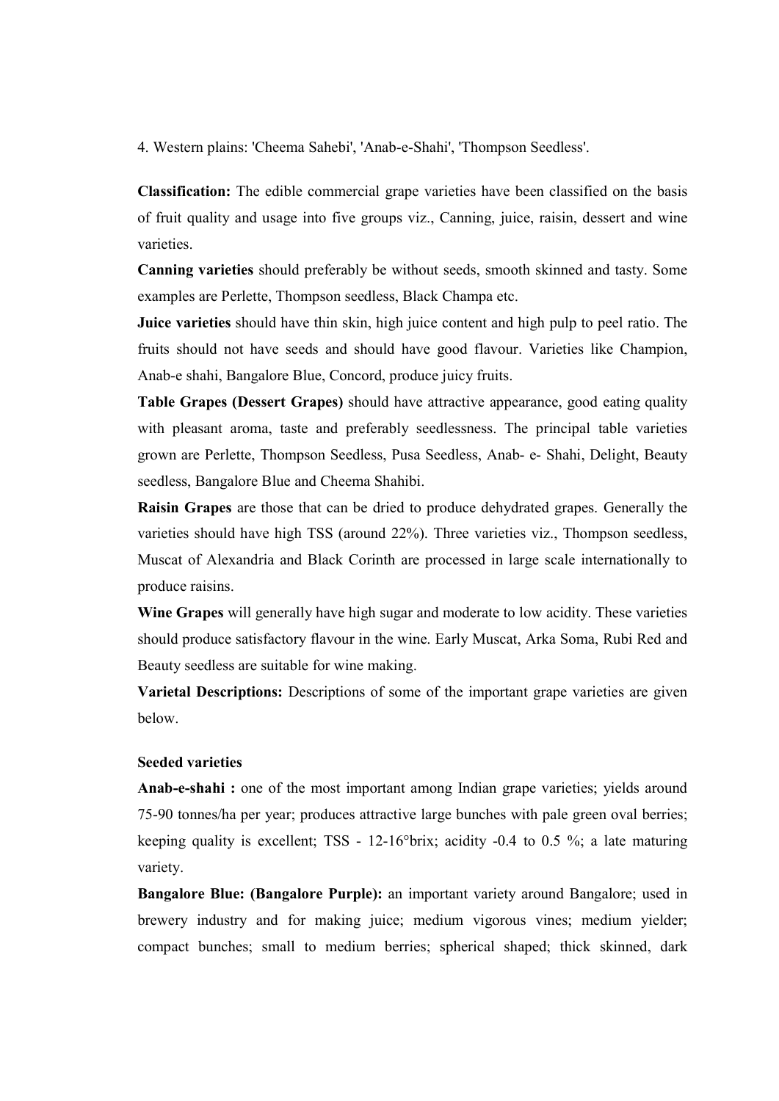4. Western plains: 'Cheema Sahebi', 'Anab-e-Shahi', 'Thompson Seedless'.

Classification: The edible commercial grape varieties have been classified on the basis of fruit quality and usage into five groups viz., Canning, juice, raisin, dessert and wine varieties.

Canning varieties should preferably be without seeds, smooth skinned and tasty. Some examples are Perlette, Thompson seedless, Black Champa etc.

Juice varieties should have thin skin, high juice content and high pulp to peel ratio. The fruits should not have seeds and should have good flavour. Varieties like Champion, Anab-e shahi, Bangalore Blue, Concord, produce juicy fruits.

Table Grapes (Dessert Grapes) should have attractive appearance, good eating quality with pleasant aroma, taste and preferably seedlessness. The principal table varieties grown are Perlette, Thompson Seedless, Pusa Seedless, Anab- e- Shahi, Delight, Beauty seedless, Bangalore Blue and Cheema Shahibi.

Raisin Grapes are those that can be dried to produce dehydrated grapes. Generally the varieties should have high TSS (around 22%). Three varieties viz., Thompson seedless, Muscat of Alexandria and Black Corinth are processed in large scale internationally to produce raisins.

Wine Grapes will generally have high sugar and moderate to low acidity. These varieties should produce satisfactory flavour in the wine. Early Muscat, Arka Soma, Rubi Red and Beauty seedless are suitable for wine making.

Varietal Descriptions: Descriptions of some of the important grape varieties are given below.

#### Seeded varieties

Anab-e-shahi : one of the most important among Indian grape varieties; yields around 75-90 tonnes/ha per year; produces attractive large bunches with pale green oval berries; keeping quality is excellent; TSS -  $12\text{-}16^{\circ}$ brix; acidity -0.4 to 0.5 %; a late maturing variety.

Bangalore Blue: (Bangalore Purple): an important variety around Bangalore; used in brewery industry and for making juice; medium vigorous vines; medium yielder; compact bunches; small to medium berries; spherical shaped; thick skinned, dark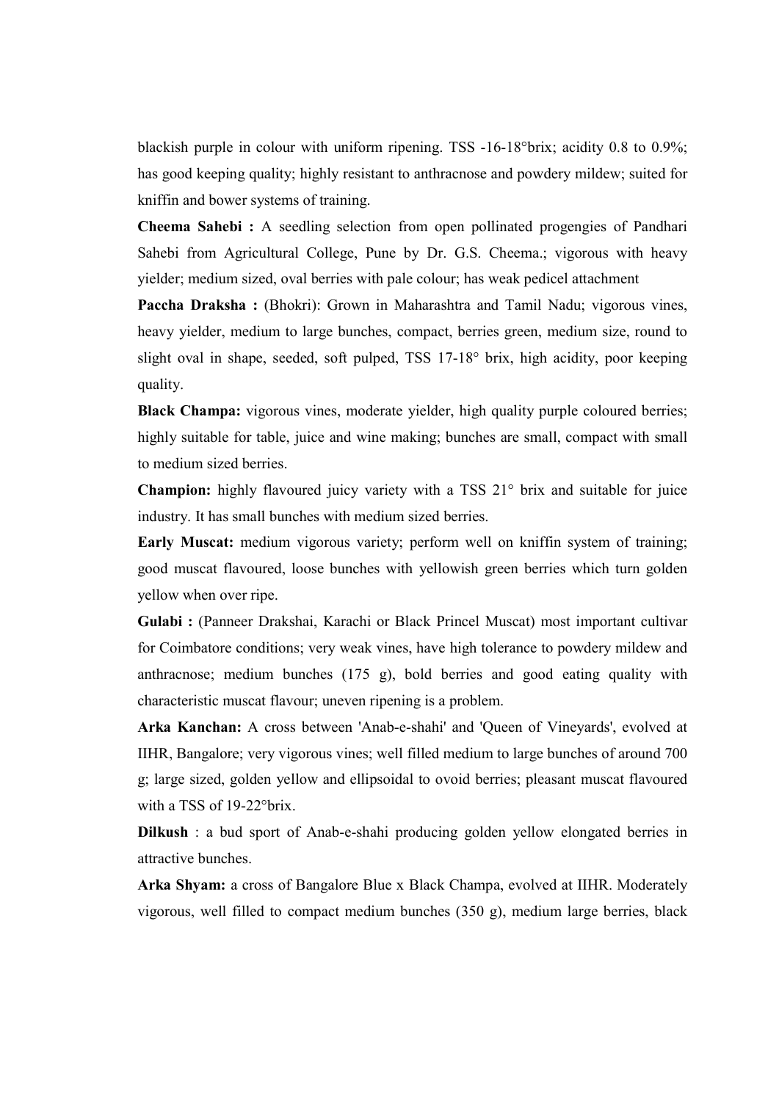blackish purple in colour with uniform ripening. TSS -16-18°brix; acidity 0.8 to 0.9%; has good keeping quality; highly resistant to anthracnose and powdery mildew; suited for kniffin and bower systems of training.

Cheema Sahebi : A seedling selection from open pollinated progengies of Pandhari Sahebi from Agricultural College, Pune by Dr. G.S. Cheema.; vigorous with heavy yielder; medium sized, oval berries with pale colour; has weak pedicel attachment

Paccha Draksha : (Bhokri): Grown in Maharashtra and Tamil Nadu; vigorous vines, heavy yielder, medium to large bunches, compact, berries green, medium size, round to slight oval in shape, seeded, soft pulped, TSS 17-18° brix, high acidity, poor keeping quality.

Black Champa: vigorous vines, moderate yielder, high quality purple coloured berries; highly suitable for table, juice and wine making; bunches are small, compact with small to medium sized berries.

Champion: highly flavoured juicy variety with a TSS 21° brix and suitable for juice industry. It has small bunches with medium sized berries.

Early Muscat: medium vigorous variety; perform well on kniffin system of training; good muscat flavoured, loose bunches with yellowish green berries which turn golden yellow when over ripe.

Gulabi : (Panneer Drakshai, Karachi or Black Princel Muscat) most important cultivar for Coimbatore conditions; very weak vines, have high tolerance to powdery mildew and anthracnose; medium bunches (175 g), bold berries and good eating quality with characteristic muscat flavour; uneven ripening is a problem.

Arka Kanchan: A cross between 'Anab-e-shahi' and 'Queen of Vineyards', evolved at IIHR, Bangalore; very vigorous vines; well filled medium to large bunches of around 700 g; large sized, golden yellow and ellipsoidal to ovoid berries; pleasant muscat flavoured with a TSS of 19-22°brix.

Dilkush : a bud sport of Anab-e-shahi producing golden yellow elongated berries in attractive bunches.

Arka Shyam: a cross of Bangalore Blue x Black Champa, evolved at IIHR. Moderately vigorous, well filled to compact medium bunches (350 g), medium large berries, black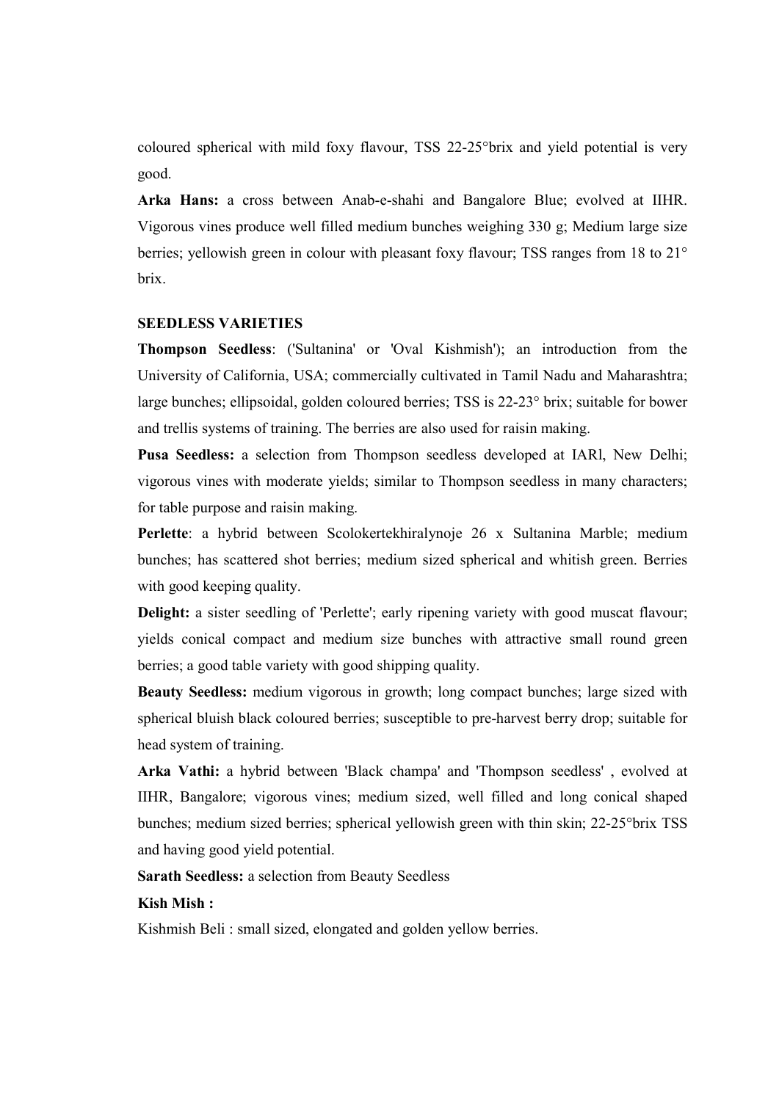coloured spherical with mild foxy flavour, TSS 22-25°brix and yield potential is very good.

Arka Hans: a cross between Anab-e-shahi and Bangalore Blue; evolved at IIHR. Vigorous vines produce well filled medium bunches weighing 330 g; Medium large size berries; yellowish green in colour with pleasant foxy flavour; TSS ranges from 18 to 21<sup>°</sup> brix.

### SEEDLESS VARIETIES

Thompson Seedless: ('Sultanina' or 'Oval Kishmish'); an introduction from the University of California, USA; commercially cultivated in Tamil Nadu and Maharashtra; large bunches; ellipsoidal, golden coloured berries; TSS is 22-23° brix; suitable for bower and trellis systems of training. The berries are also used for raisin making.

Pusa Seedless: a selection from Thompson seedless developed at IARl, New Delhi; vigorous vines with moderate yields; similar to Thompson seedless in many characters; for table purpose and raisin making.

Perlette: a hybrid between Scolokertekhiralynoje 26 x Sultanina Marble; medium bunches; has scattered shot berries; medium sized spherical and whitish green. Berries with good keeping quality.

Delight: a sister seedling of 'Perlette'; early ripening variety with good muscat flavour; yields conical compact and medium size bunches with attractive small round green berries; a good table variety with good shipping quality.

Beauty Seedless: medium vigorous in growth; long compact bunches; large sized with spherical bluish black coloured berries; susceptible to pre-harvest berry drop; suitable for head system of training.

Arka Vathi: a hybrid between 'Black champa' and 'Thompson seedless' , evolved at IIHR, Bangalore; vigorous vines; medium sized, well filled and long conical shaped bunches; medium sized berries; spherical yellowish green with thin skin; 22-25°brix TSS and having good yield potential.

Sarath Seedless: a selection from Beauty Seedless

#### Kish Mish :

Kishmish Beli : small sized, elongated and golden yellow berries.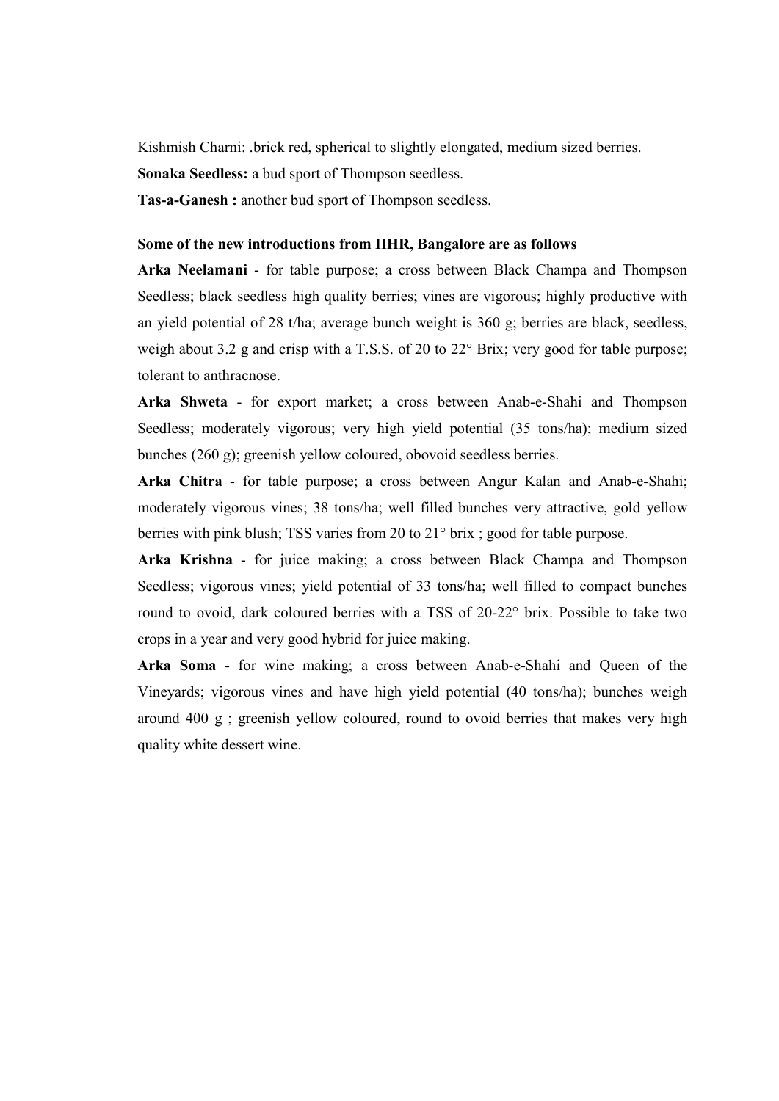Kishmish Charni: .brick red, spherical to slightly elongated, medium sized berries. Sonaka Seedless: a bud sport of Thompson seedless.

Tas-a-Ganesh : another bud sport of Thompson seedless.

### Some of the new introductions from IIHR, Bangalore are as follows

Arka Neelamani - for table purpose; a cross between Black Champa and Thompson Seedless; black seedless high quality berries; vines are vigorous; highly productive with an yield potential of 28 t/ha; average bunch weight is 360 g; berries are black, seedless, weigh about 3.2 g and crisp with a T.S.S. of 20 to 22° Brix; very good for table purpose; tolerant to anthracnose.

Arka Shweta - for export market; a cross between Anab-e-Shahi and Thompson Seedless; moderately vigorous; very high yield potential (35 tons/ha); medium sized bunches (260 g); greenish yellow coloured, obovoid seedless berries.

Arka Chitra - for table purpose; a cross between Angur Kalan and Anab-e-Shahi; moderately vigorous vines; 38 tons/ha; well filled bunches very attractive, gold yellow berries with pink blush; TSS varies from 20 to 21° brix ; good for table purpose.

Arka Krishna - for juice making; a cross between Black Champa and Thompson Seedless; vigorous vines; yield potential of 33 tons/ha; well filled to compact bunches round to ovoid, dark coloured berries with a TSS of 20-22° brix. Possible to take two crops in a year and very good hybrid for juice making.

Arka Soma - for wine making; a cross between Anab-e-Shahi and Queen of the Vineyards; vigorous vines and have high yield potential (40 tons/ha); bunches weigh around 400 g ; greenish yellow coloured, round to ovoid berries that makes very high quality white dessert wine.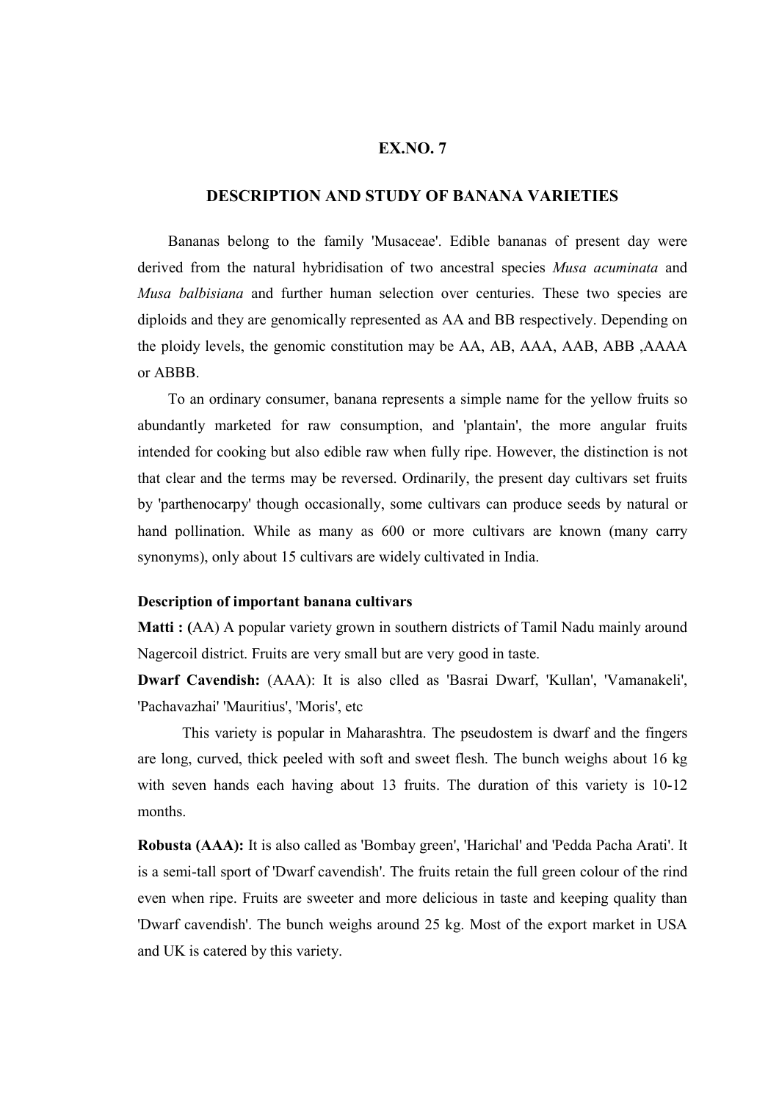### DESCRIPTION AND STUDY OF BANANA VARIETIES

 Bananas belong to the family 'Musaceae'. Edible bananas of present day were derived from the natural hybridisation of two ancestral species *Musa acuminata* and Musa balbisiana and further human selection over centuries. These two species are diploids and they are genomically represented as AA and BB respectively. Depending on the ploidy levels, the genomic constitution may be AA, AB, AAA, AAB, ABB ,AAAA or ABBB.

 To an ordinary consumer, banana represents a simple name for the yellow fruits so abundantly marketed for raw consumption, and 'plantain', the more angular fruits intended for cooking but also edible raw when fully ripe. However, the distinction is not that clear and the terms may be reversed. Ordinarily, the present day cultivars set fruits by 'parthenocarpy' though occasionally, some cultivars can produce seeds by natural or hand pollination. While as many as 600 or more cultivars are known (many carry synonyms), only about 15 cultivars are widely cultivated in India.

#### Description of important banana cultivars

Matti : (AA) A popular variety grown in southern districts of Tamil Nadu mainly around Nagercoil district. Fruits are very small but are very good in taste.

Dwarf Cavendish: (AAA): It is also clled as 'Basrai Dwarf, 'Kullan', 'Vamanakeli', 'Pachavazhai' 'Mauritius', 'Moris', etc

This variety is popular in Maharashtra. The pseudostem is dwarf and the fingers are long, curved, thick peeled with soft and sweet flesh. The bunch weighs about 16 kg with seven hands each having about 13 fruits. The duration of this variety is 10-12 months.

Robusta (AAA): It is also called as 'Bombay green', 'Harichal' and 'Pedda Pacha Arati'. It is a semi-tall sport of 'Dwarf cavendish'. The fruits retain the full green colour of the rind even when ripe. Fruits are sweeter and more delicious in taste and keeping quality than 'Dwarf cavendish'. The bunch weighs around 25 kg. Most of the export market in USA and UK is catered by this variety.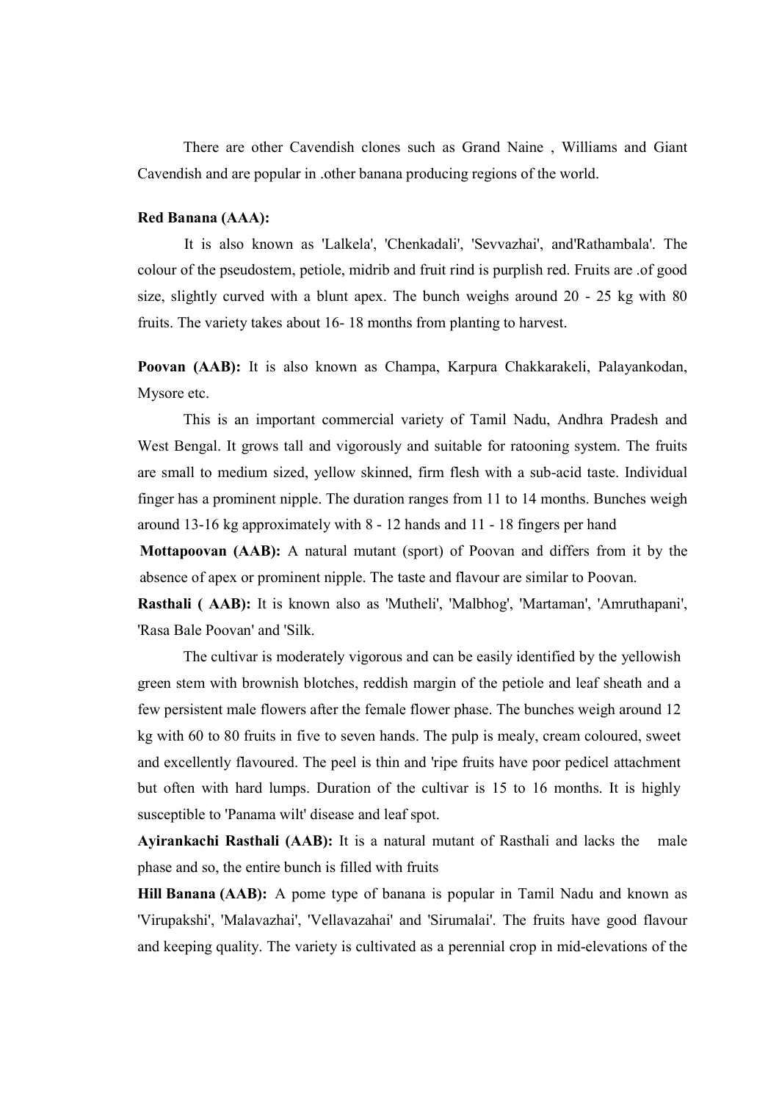There are other Cavendish clones such as Grand Naine , Williams and Giant Cavendish and are popular in .other banana producing regions of the world.

#### Red Banana (AAA):

It is also known as 'Lalkela', 'Chenkadali', 'Sevvazhai', and'Rathambala'. The colour of the pseudostem, petiole, midrib and fruit rind is purplish red. Fruits are .of good size, slightly curved with a blunt apex. The bunch weighs around 20 - 25 kg with 80 fruits. The variety takes about 16- 18 months from planting to harvest.

Poovan (AAB): It is also known as Champa, Karpura Chakkarakeli, Palayankodan, Mysore etc.

 This is an important commercial variety of Tamil Nadu, Andhra Pradesh and West Bengal. It grows tall and vigorously and suitable for ratooning system. The fruits are small to medium sized, yellow skinned, firm flesh with a sub-acid taste. Individual finger has a prominent nipple. The duration ranges from 11 to 14 months. Bunches weigh around 13-16 kg approximately with 8 - 12 hands and 11 - 18 fingers per hand

Mottapoovan (AAB): A natural mutant (sport) of Poovan and differs from it by the absence of apex or prominent nipple. The taste and flavour are similar to Poovan.

Rasthali ( AAB): It is known also as 'Mutheli', 'Malbhog', 'Martaman', 'Amruthapani', 'Rasa Bale Poovan' and 'Silk.

 The cultivar is moderately vigorous and can be easily identified by the yellowish green stem with brownish blotches, reddish margin of the petiole and leaf sheath and a few persistent male flowers after the female flower phase. The bunches weigh around 12 kg with 60 to 80 fruits in five to seven hands. The pulp is mealy, cream coloured, sweet and excellently flavoured. The peel is thin and 'ripe fruits have poor pedicel attachment but often with hard lumps. Duration of the cultivar is 15 to 16 months. It is highly susceptible to 'Panama wilt' disease and leaf spot.

Ayirankachi Rasthali (AAB): It is a natural mutant of Rasthali and lacks the male phase and so, the entire bunch is filled with fruits

Hill Banana (AAB): A pome type of banana is popular in Tamil Nadu and known as 'Virupakshi', 'Malavazhai', 'Vellavazahai' and 'Sirumalai'. The fruits have good flavour and keeping quality. The variety is cultivated as a perennial crop in mid-elevations of the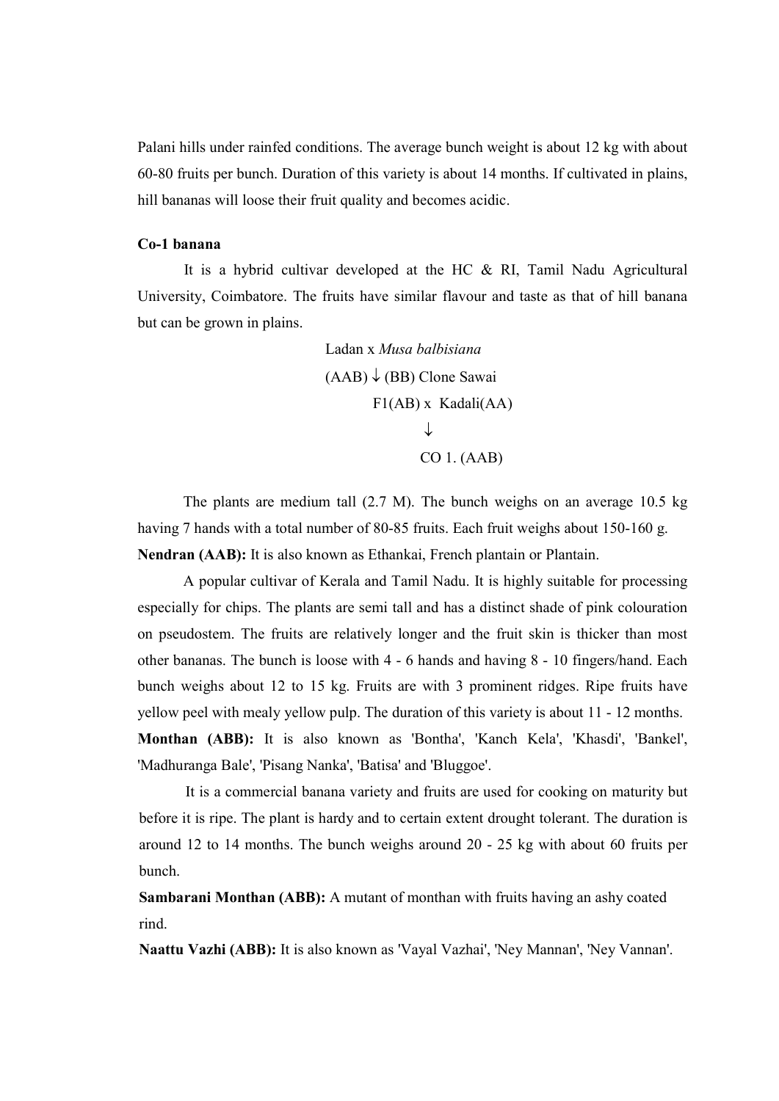Palani hills under rainfed conditions. The average bunch weight is about 12 kg with about 60-80 fruits per bunch. Duration of this variety is about 14 months. If cultivated in plains, hill bananas will loose their fruit quality and becomes acidic.

### Co-1 banana

It is a hybrid cultivar developed at the HC & RI, Tamil Nadu Agricultural University, Coimbatore. The fruits have similar flavour and taste as that of hill banana but can be grown in plains.

Ladan x Musa balbisiana  $(AAB) \downarrow (BB)$  Clone Sawai F1(AB) x Kadali(AA)  $\downarrow$ CO 1. (AAB)

 The plants are medium tall (2.7 M). The bunch weighs on an average 10.5 kg having 7 hands with a total number of 80-85 fruits. Each fruit weighs about 150-160 g. Nendran (AAB): It is also known as Ethankai, French plantain or Plantain.

 A popular cultivar of Kerala and Tamil Nadu. It is highly suitable for processing especially for chips. The plants are semi tall and has a distinct shade of pink colouration on pseudostem. The fruits are relatively longer and the fruit skin is thicker than most other bananas. The bunch is loose with 4 - 6 hands and having 8 - 10 fingers/hand. Each bunch weighs about 12 to 15 kg. Fruits are with 3 prominent ridges. Ripe fruits have yellow peel with mealy yellow pulp. The duration of this variety is about 11 - 12 months. Monthan (ABB): It is also known as 'Bontha', 'Kanch Kela', 'Khasdi', 'Bankel', 'Madhuranga Bale', 'Pisang Nanka', 'Batisa' and 'Bluggoe'.

It is a commercial banana variety and fruits are used for cooking on maturity but before it is ripe. The plant is hardy and to certain extent drought tolerant. The duration is around 12 to 14 months. The bunch weighs around 20 - 25 kg with about 60 fruits per bunch.

Sambarani Monthan (ABB): A mutant of monthan with fruits having an ashy coated rind.

Naattu Vazhi (ABB): It is also known as 'Vayal Vazhai', 'Ney Mannan', 'Ney Vannan'.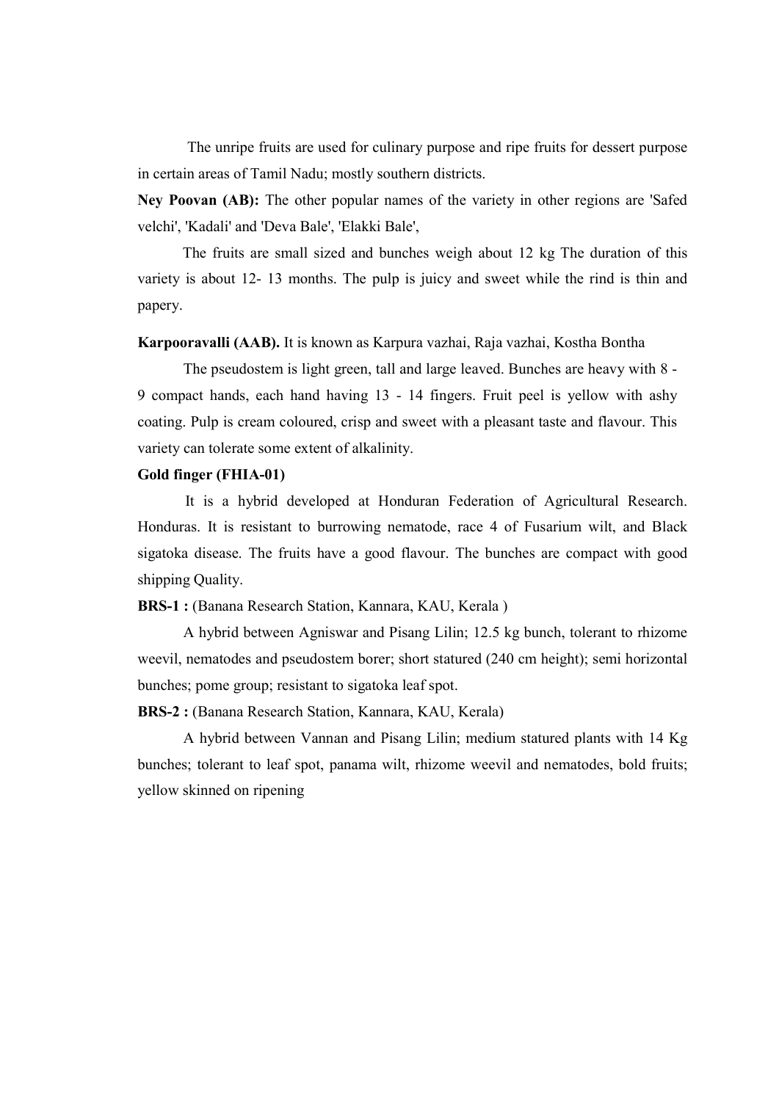The unripe fruits are used for culinary purpose and ripe fruits for dessert purpose in certain areas of Tamil Nadu; mostly southern districts.

Ney Poovan (AB): The other popular names of the variety in other regions are 'Safed velchi', 'Kadali' and 'Deva Bale', 'Elakki Bale',

The fruits are small sized and bunches weigh about 12 kg The duration of this variety is about 12- 13 months. The pulp is juicy and sweet while the rind is thin and papery.

Karpooravalli (AAB). It is known as Karpura vazhai, Raja vazhai, Kostha Bontha

 The pseudostem is light green, tall and large leaved. Bunches are heavy with 8 - 9 compact hands, each hand having 13 - 14 fingers. Fruit peel is yellow with ashy coating. Pulp is cream coloured, crisp and sweet with a pleasant taste and flavour. This variety can tolerate some extent of alkalinity.

#### Gold finger (FHIA-01)

It is a hybrid developed at Honduran Federation of Agricultural Research. Honduras. It is resistant to burrowing nematode, race 4 of Fusarium wilt, and Black sigatoka disease. The fruits have a good flavour. The bunches are compact with good shipping Quality.

BRS-1 : (Banana Research Station, Kannara, KAU, Kerala )

A hybrid between Agniswar and Pisang Lilin; 12.5 kg bunch, tolerant to rhizome weevil, nematodes and pseudostem borer; short statured (240 cm height); semi horizontal bunches; pome group; resistant to sigatoka leaf spot.

BRS-2 : (Banana Research Station, Kannara, KAU, Kerala)

 A hybrid between Vannan and Pisang Lilin; medium statured plants with 14 Kg bunches; tolerant to leaf spot, panama wilt, rhizome weevil and nematodes, bold fruits; yellow skinned on ripening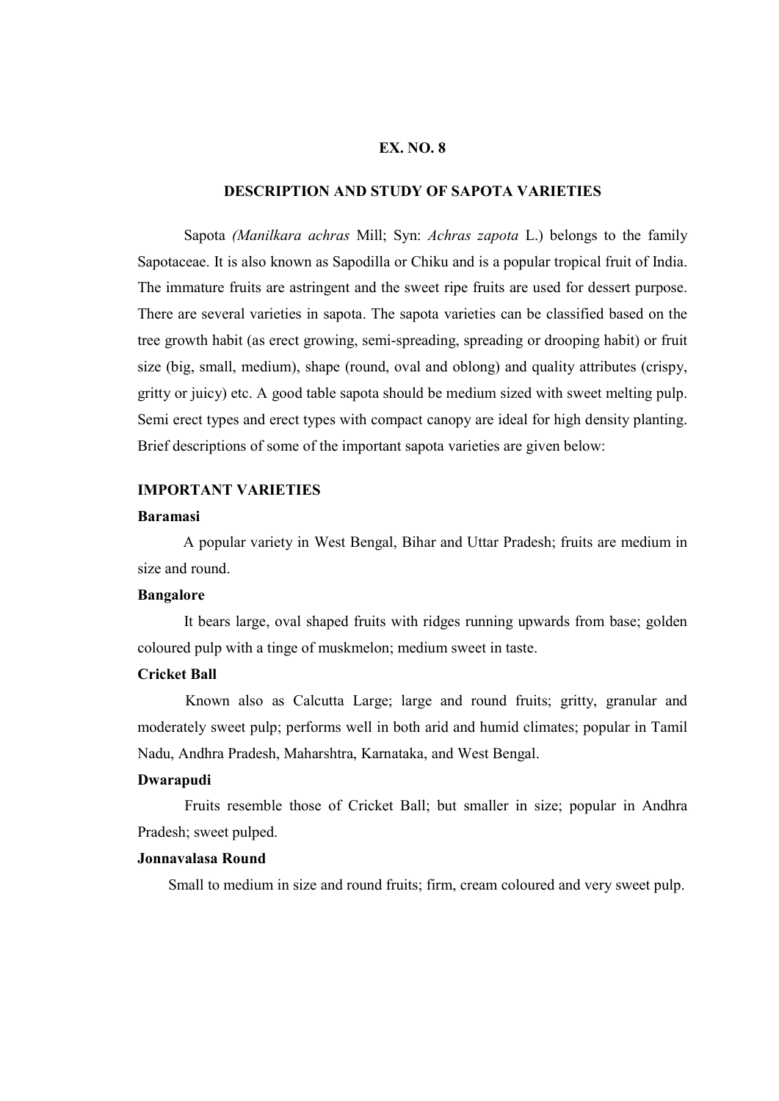#### DESCRIPTION AND STUDY OF SAPOTA VARIETIES

Sapota (Manilkara achras Mill; Syn: Achras zapota L.) belongs to the family Sapotaceae. It is also known as Sapodilla or Chiku and is a popular tropical fruit of India. The immature fruits are astringent and the sweet ripe fruits are used for dessert purpose. There are several varieties in sapota. The sapota varieties can be classified based on the tree growth habit (as erect growing, semi-spreading, spreading or drooping habit) or fruit size (big, small, medium), shape (round, oval and oblong) and quality attributes (crispy, gritty or juicy) etc. A good table sapota should be medium sized with sweet melting pulp. Semi erect types and erect types with compact canopy are ideal for high density planting. Brief descriptions of some of the important sapota varieties are given below:

### IMPORTANT VARIETIES

#### Baramasi

 A popular variety in West Bengal, Bihar and Uttar Pradesh; fruits are medium in size and round.

## Bangalore

It bears large, oval shaped fruits with ridges running upwards from base; golden coloured pulp with a tinge of muskmelon; medium sweet in taste.

### Cricket Ball

Known also as Calcutta Large; large and round fruits; gritty, granular and moderately sweet pulp; performs well in both arid and humid climates; popular in Tamil Nadu, Andhra Pradesh, Maharshtra, Karnataka, and West Bengal.

### Dwarapudi

 Fruits resemble those of Cricket Ball; but smaller in size; popular in Andhra Pradesh; sweet pulped.

## Jonnavalasa Round

Small to medium in size and round fruits; firm, cream coloured and very sweet pulp.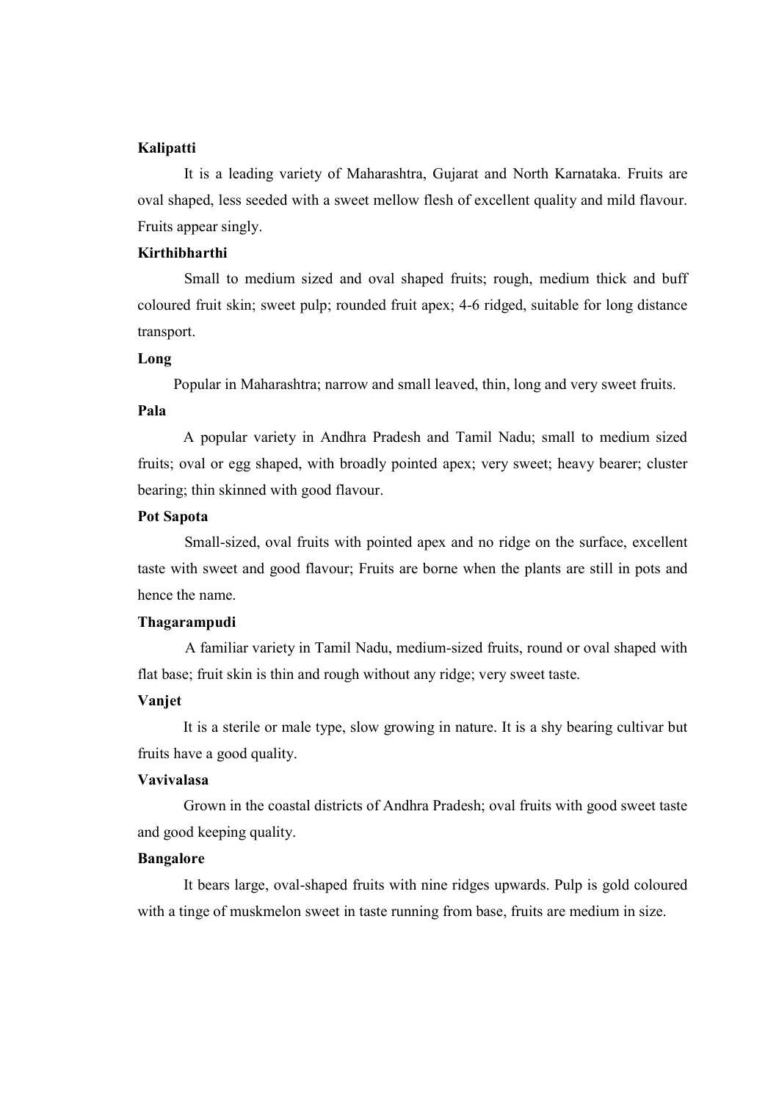### Kalipatti

It is a leading variety of Maharashtra, Gujarat and North Karnataka. Fruits are oval shaped, less seeded with a sweet mellow flesh of excellent quality and mild flavour. Fruits appear singly.

## Kirthibharthi

Small to medium sized and oval shaped fruits; rough, medium thick and buff coloured fruit skin; sweet pulp; rounded fruit apex; 4-6 ridged, suitable for long distance transport.

### Long

Popular in Maharashtra; narrow and small leaved, thin, long and very sweet fruits.

### Pala

A popular variety in Andhra Pradesh and Tamil Nadu; small to medium sized fruits; oval or egg shaped, with broadly pointed apex; very sweet; heavy bearer; cluster bearing; thin skinned with good flavour.

### Pot Sapota

Small-sized, oval fruits with pointed apex and no ridge on the surface, excellent taste with sweet and good flavour; Fruits are borne when the plants are still in pots and hence the name.

### Thagarampudi

A familiar variety in Tamil Nadu, medium-sized fruits, round or oval shaped with flat base; fruit skin is thin and rough without any ridge; very sweet taste.

#### Vanjet

 It is a sterile or male type, slow growing in nature. It is a shy bearing cultivar but fruits have a good quality.

## Vavivalasa

 Grown in the coastal districts of Andhra Pradesh; oval fruits with good sweet taste and good keeping quality.

### Bangalore

It bears large, oval-shaped fruits with nine ridges upwards. Pulp is gold coloured with a tinge of muskmelon sweet in taste running from base, fruits are medium in size.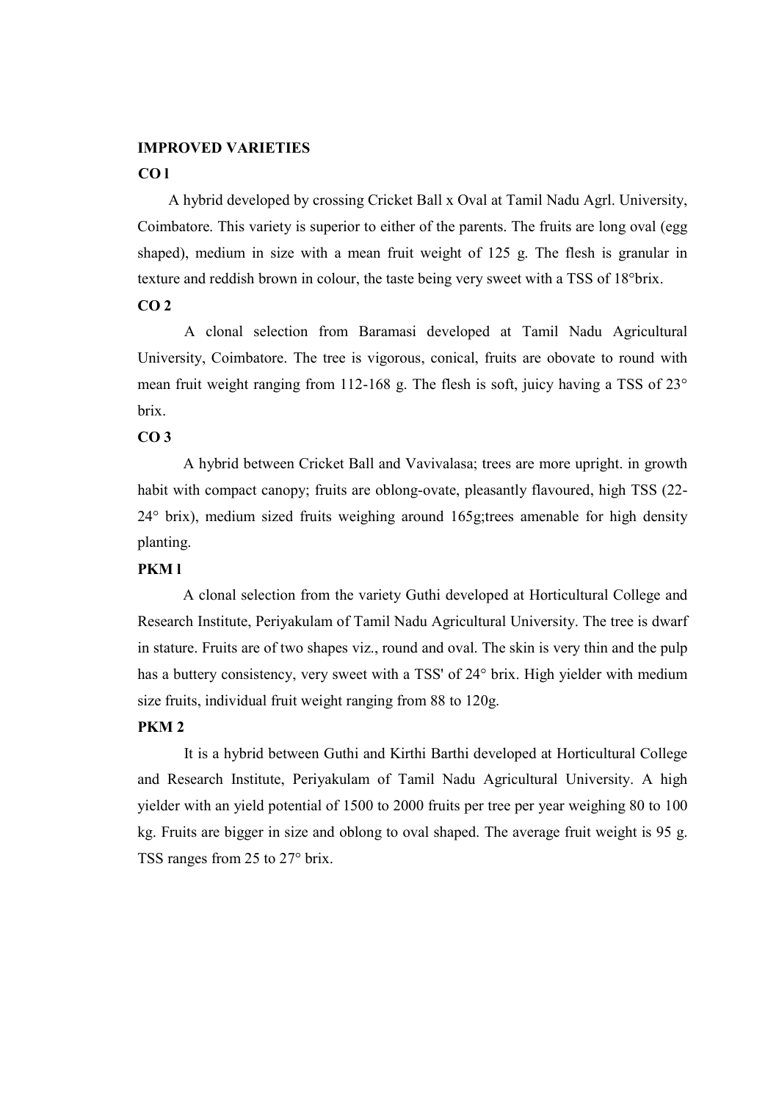### IMPROVED VARIETIES

## CO l

A hybrid developed by crossing Cricket Ball x Oval at Tamil Nadu Agrl. University, Coimbatore. This variety is superior to either of the parents. The fruits are long oval (egg shaped), medium in size with a mean fruit weight of 125 g. The flesh is granular in texture and reddish brown in colour, the taste being very sweet with a TSS of 18°brix.

## $CO<sub>2</sub>$

A clonal selection from Baramasi developed at Tamil Nadu Agricultural University, Coimbatore. The tree is vigorous, conical, fruits are obovate to round with mean fruit weight ranging from 112-168 g. The flesh is soft, juicy having a TSS of 23° brix.

## $CO<sub>3</sub>$

 A hybrid between Cricket Ball and Vavivalasa; trees are more upright. in growth habit with compact canopy; fruits are oblong-ovate, pleasantly flavoured, high TSS (22- 24° brix), medium sized fruits weighing around 165g;trees amenable for high density planting.

## PKM l

A clonal selection from the variety Guthi developed at Horticultural College and Research Institute, Periyakulam of Tamil Nadu Agricultural University. The tree is dwarf in stature. Fruits are of two shapes viz., round and oval. The skin is very thin and the pulp has a buttery consistency, very sweet with a TSS' of 24° brix. High yielder with medium size fruits, individual fruit weight ranging from 88 to 120g.

### PKM 2

It is a hybrid between Guthi and Kirthi Barthi developed at Horticultural College and Research Institute, Periyakulam of Tamil Nadu Agricultural University. A high yielder with an yield potential of 1500 to 2000 fruits per tree per year weighing 80 to 100 kg. Fruits are bigger in size and oblong to oval shaped. The average fruit weight is 95 g. TSS ranges from 25 to 27° brix.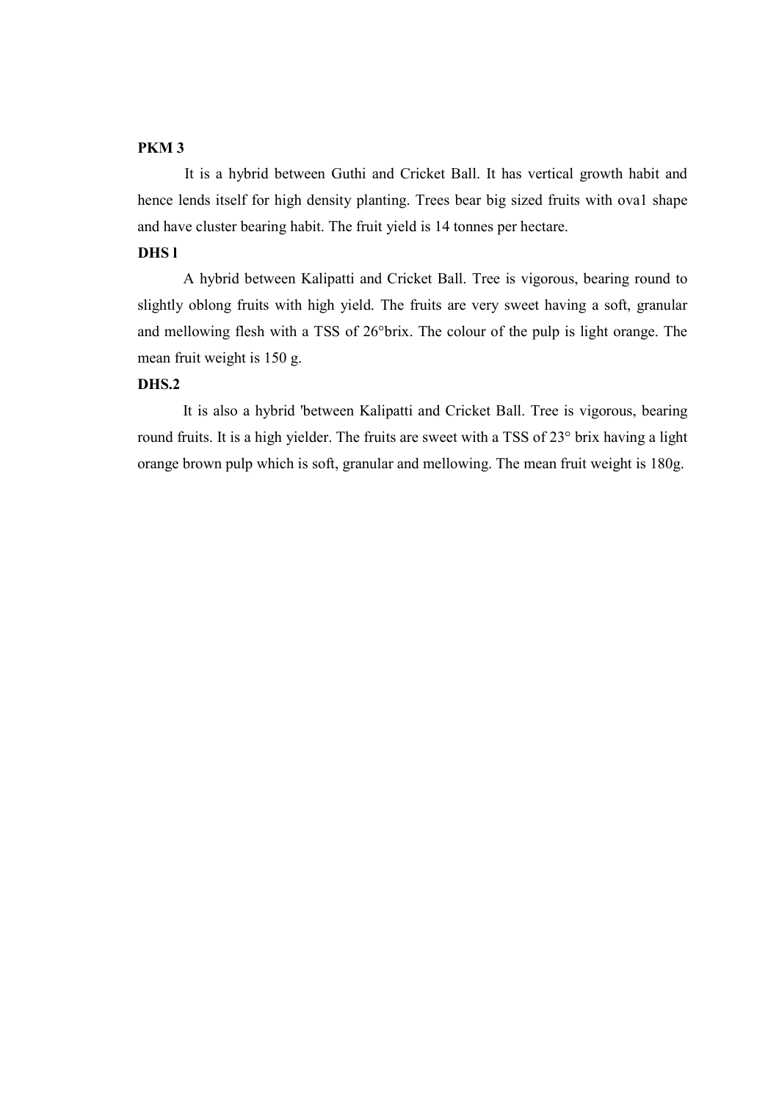# PKM 3

It is a hybrid between Guthi and Cricket Ball. It has vertical growth habit and hence lends itself for high density planting. Trees bear big sized fruits with ova1 shape and have cluster bearing habit. The fruit yield is 14 tonnes per hectare.

# DHS l

 A hybrid between Kalipatti and Cricket Ball. Tree is vigorous, bearing round to slightly oblong fruits with high yield. The fruits are very sweet having a soft, granular and mellowing flesh with a TSS of 26°brix. The colour of the pulp is light orange. The mean fruit weight is 150 g.

# DHS.2

It is also a hybrid 'between Kalipatti and Cricket Ball. Tree is vigorous, bearing round fruits. It is a high yielder. The fruits are sweet with a TSS of 23° brix having a light orange brown pulp which is soft, granular and mellowing. The mean fruit weight is 180g.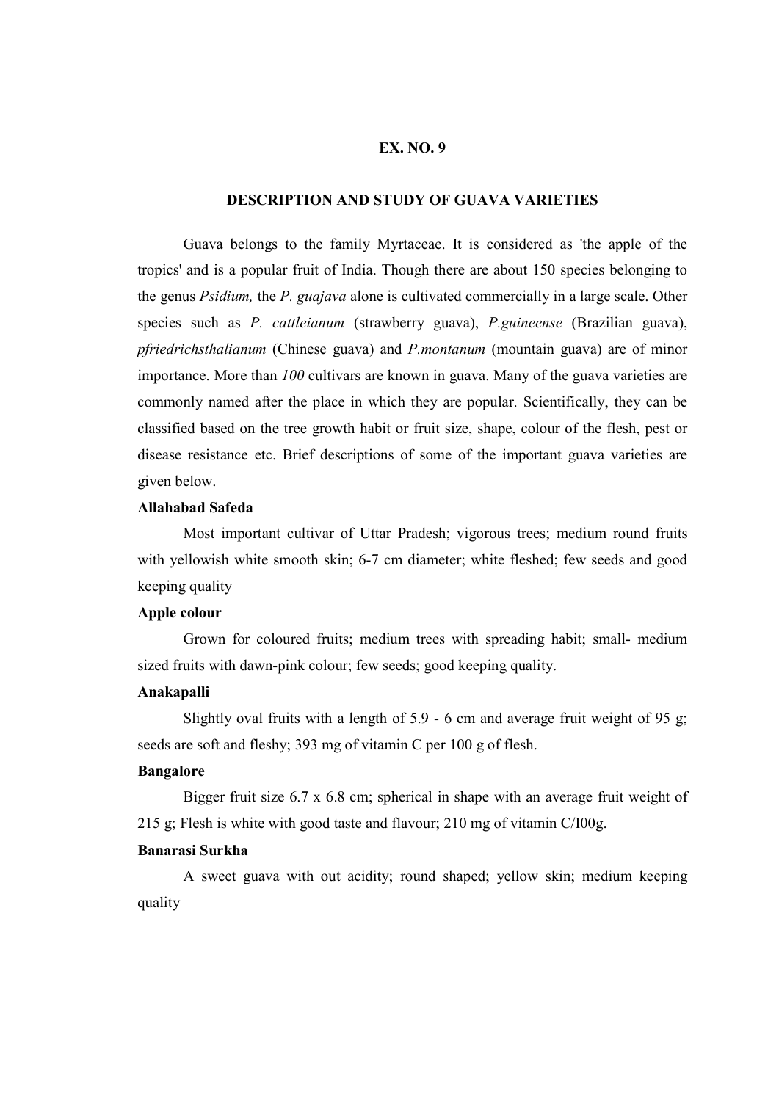## EX. NO. 9

# DESCRIPTION AND STUDY OF GUAVA VARIETIES

 Guava belongs to the family Myrtaceae. It is considered as 'the apple of the tropics' and is a popular fruit of India. Though there are about 150 species belonging to the genus Psidium, the P. guajava alone is cultivated commercially in a large scale. Other species such as P. cattleianum (strawberry guava), P.guineense (Brazilian guava), pfriedrichsthalianum (Chinese guava) and P.montanum (mountain guava) are of minor importance. More than 100 cultivars are known in guava. Many of the guava varieties are commonly named after the place in which they are popular. Scientifically, they can be classified based on the tree growth habit or fruit size, shape, colour of the flesh, pest or disease resistance etc. Brief descriptions of some of the important guava varieties are given below.

# Allahabad Safeda

 Most important cultivar of Uttar Pradesh; vigorous trees; medium round fruits with yellowish white smooth skin; 6-7 cm diameter; white fleshed; few seeds and good keeping quality

# Apple colour

Grown for coloured fruits; medium trees with spreading habit; small- medium sized fruits with dawn-pink colour; few seeds; good keeping quality.

#### Anakapalli

Slightly oval fruits with a length of 5.9 - 6 cm and average fruit weight of 95 g; seeds are soft and fleshy; 393 mg of vitamin C per 100 g of flesh.

# Bangalore

Bigger fruit size 6.7 x 6.8 cm; spherical in shape with an average fruit weight of 215 g; Flesh is white with good taste and flavour; 210 mg of vitamin C/I00g.

# Banarasi Surkha

A sweet guava with out acidity; round shaped; yellow skin; medium keeping quality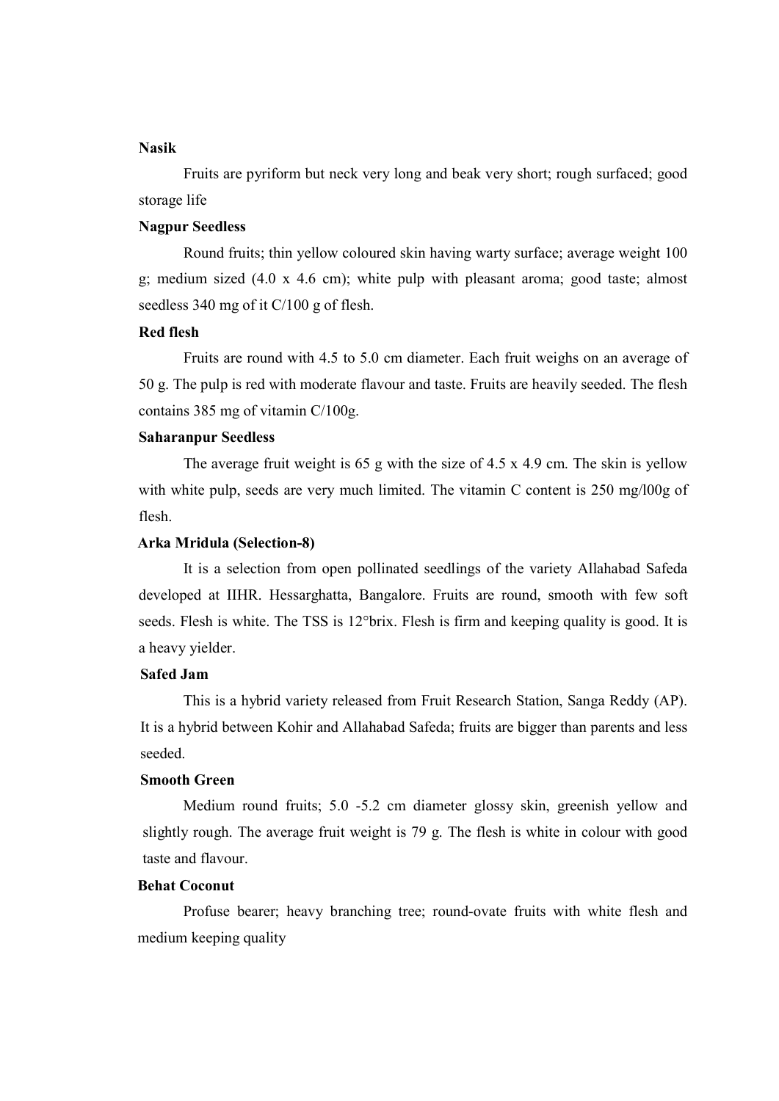## Nasik

 Fruits are pyriform but neck very long and beak very short; rough surfaced; good storage life

# Nagpur Seedless

 Round fruits; thin yellow coloured skin having warty surface; average weight 100 g; medium sized (4.0 x 4.6 cm); white pulp with pleasant aroma; good taste; almost seedless 340 mg of it C/100 g of flesh.

## Red flesh

 Fruits are round with 4.5 to 5.0 cm diameter. Each fruit weighs on an average of 50 g. The pulp is red with moderate flavour and taste. Fruits are heavily seeded. The flesh contains 385 mg of vitamin C/100g.

# Saharanpur Seedless

 The average fruit weight is 65 g with the size of 4.5 x 4.9 cm. The skin is yellow with white pulp, seeds are very much limited. The vitamin C content is 250 mg/l00g of flesh.

#### Arka Mridula (Selection-8)

 It is a selection from open pollinated seedlings of the variety Allahabad Safeda developed at IIHR. Hessarghatta, Bangalore. Fruits are round, smooth with few soft seeds. Flesh is white. The TSS is 12°brix. Flesh is firm and keeping quality is good. It is a heavy yielder.

# Safed Jam

 This is a hybrid variety released from Fruit Research Station, Sanga Reddy (AP). It is a hybrid between Kohir and Allahabad Safeda; fruits are bigger than parents and less seeded.

# Smooth Green

 Medium round fruits; 5.0 -5.2 cm diameter glossy skin, greenish yellow and slightly rough. The average fruit weight is 79 g. The flesh is white in colour with good taste and flavour.

# Behat Coconut

 Profuse bearer; heavy branching tree; round-ovate fruits with white flesh and medium keeping quality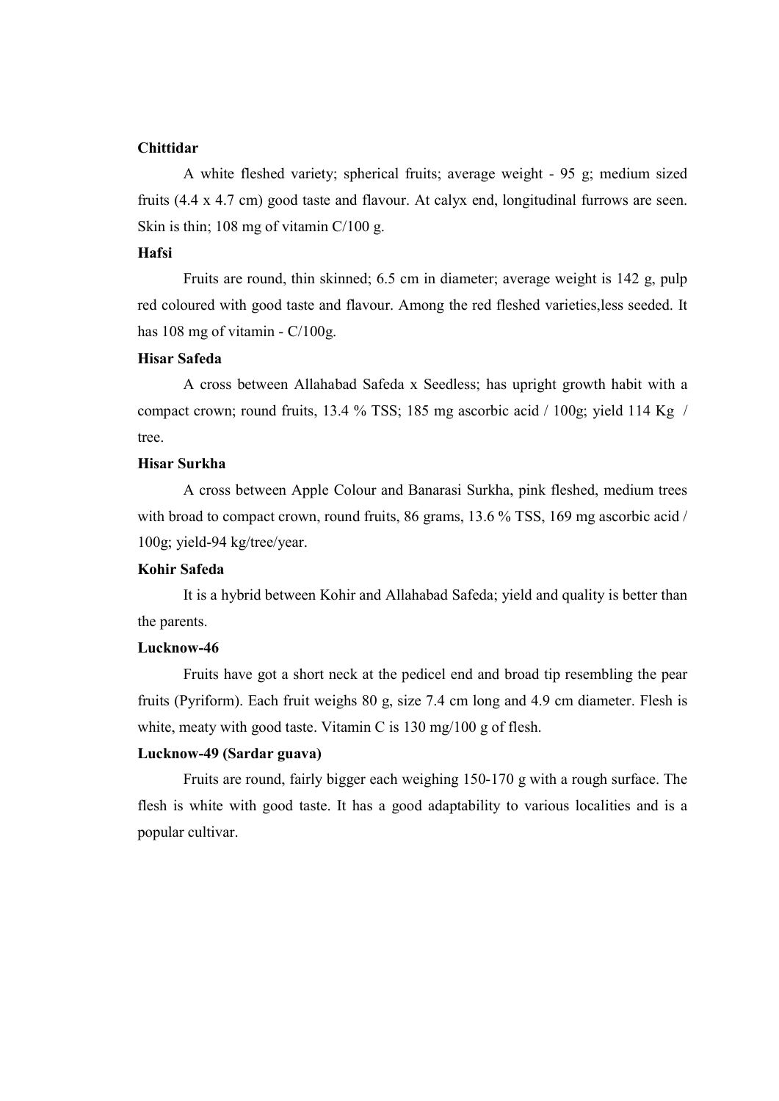# Chittidar

 A white fleshed variety; spherical fruits; average weight - 95 g; medium sized fruits (4.4 x 4.7 cm) good taste and flavour. At calyx end, longitudinal furrows are seen. Skin is thin; 108 mg of vitamin C/100 g.

# Hafsi

 Fruits are round, thin skinned; 6.5 cm in diameter; average weight is 142 g, pulp red coloured with good taste and flavour. Among the red fleshed varieties,less seeded. It has 108 mg of vitamin - C/100g.

# Hisar Safeda

 A cross between Allahabad Safeda x Seedless; has upright growth habit with a compact crown; round fruits, 13.4 % TSS; 185 mg ascorbic acid / 100g; yield 114 Kg / tree.

# Hisar Surkha

A cross between Apple Colour and Banarasi Surkha, pink fleshed, medium trees with broad to compact crown, round fruits, 86 grams, 13.6 % TSS, 169 mg ascorbic acid / 100g; yield-94 kg/tree/year.

# Kohir Safeda

It is a hybrid between Kohir and Allahabad Safeda; yield and quality is better than the parents.

# Lucknow-46

 Fruits have got a short neck at the pedicel end and broad tip resembling the pear fruits (Pyriform). Each fruit weighs 80 g, size 7.4 cm long and 4.9 cm diameter. Flesh is white, meaty with good taste. Vitamin C is 130 mg/100 g of flesh.

# Lucknow-49 (Sardar guava)

 Fruits are round, fairly bigger each weighing 150-170 g with a rough surface. The flesh is white with good taste. It has a good adaptability to various localities and is a popular cultivar.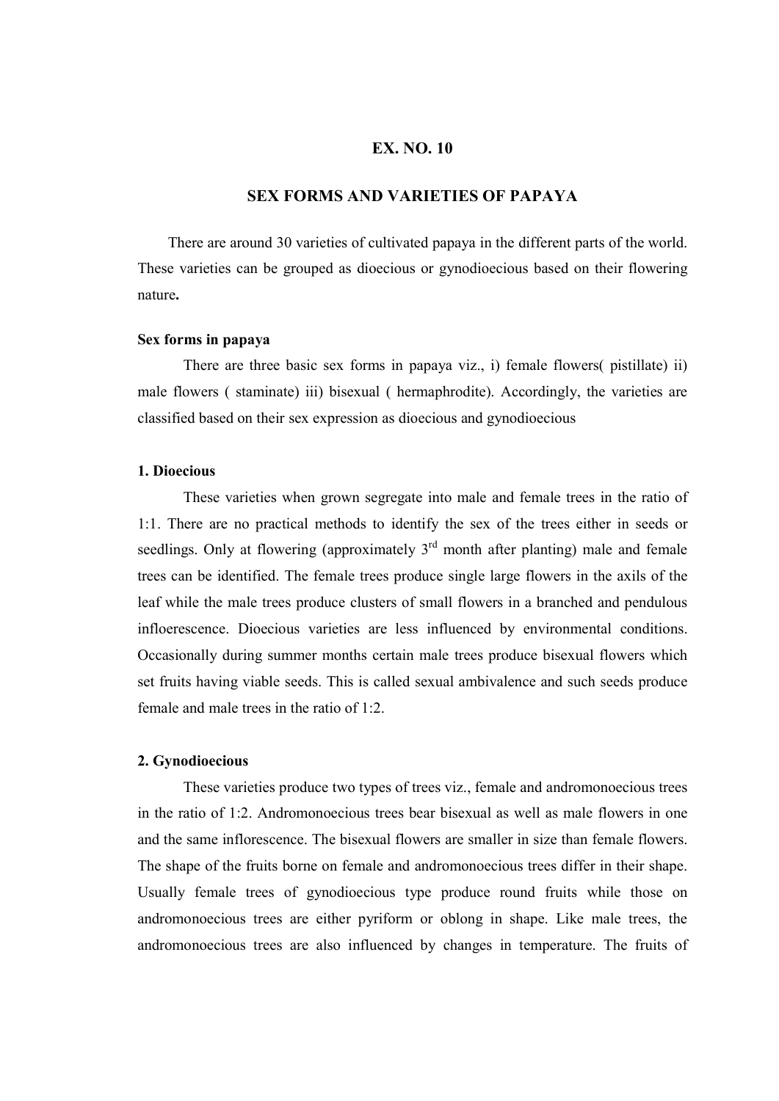## EX. NO. 10

# SEX FORMS AND VARIETIES OF PAPAYA

 There are around 30 varieties of cultivated papaya in the different parts of the world. These varieties can be grouped as dioecious or gynodioecious based on their flowering nature.

# Sex forms in papaya

 There are three basic sex forms in papaya viz., i) female flowers( pistillate) ii) male flowers ( staminate) iii) bisexual ( hermaphrodite). Accordingly, the varieties are classified based on their sex expression as dioecious and gynodioecious

# 1. Dioecious

These varieties when grown segregate into male and female trees in the ratio of 1:1. There are no practical methods to identify the sex of the trees either in seeds or seedlings. Only at flowering (approximately  $3<sup>rd</sup>$  month after planting) male and female trees can be identified. The female trees produce single large flowers in the axils of the leaf while the male trees produce clusters of small flowers in a branched and pendulous infloerescence. Dioecious varieties are less influenced by environmental conditions. Occasionally during summer months certain male trees produce bisexual flowers which set fruits having viable seeds. This is called sexual ambivalence and such seeds produce female and male trees in the ratio of 1:2.

#### 2. Gynodioecious

 These varieties produce two types of trees viz., female and andromonoecious trees in the ratio of 1:2. Andromonoecious trees bear bisexual as well as male flowers in one and the same inflorescence. The bisexual flowers are smaller in size than female flowers. The shape of the fruits borne on female and andromonoecious trees differ in their shape. Usually female trees of gynodioecious type produce round fruits while those on andromonoecious trees are either pyriform or oblong in shape. Like male trees, the andromonoecious trees are also influenced by changes in temperature. The fruits of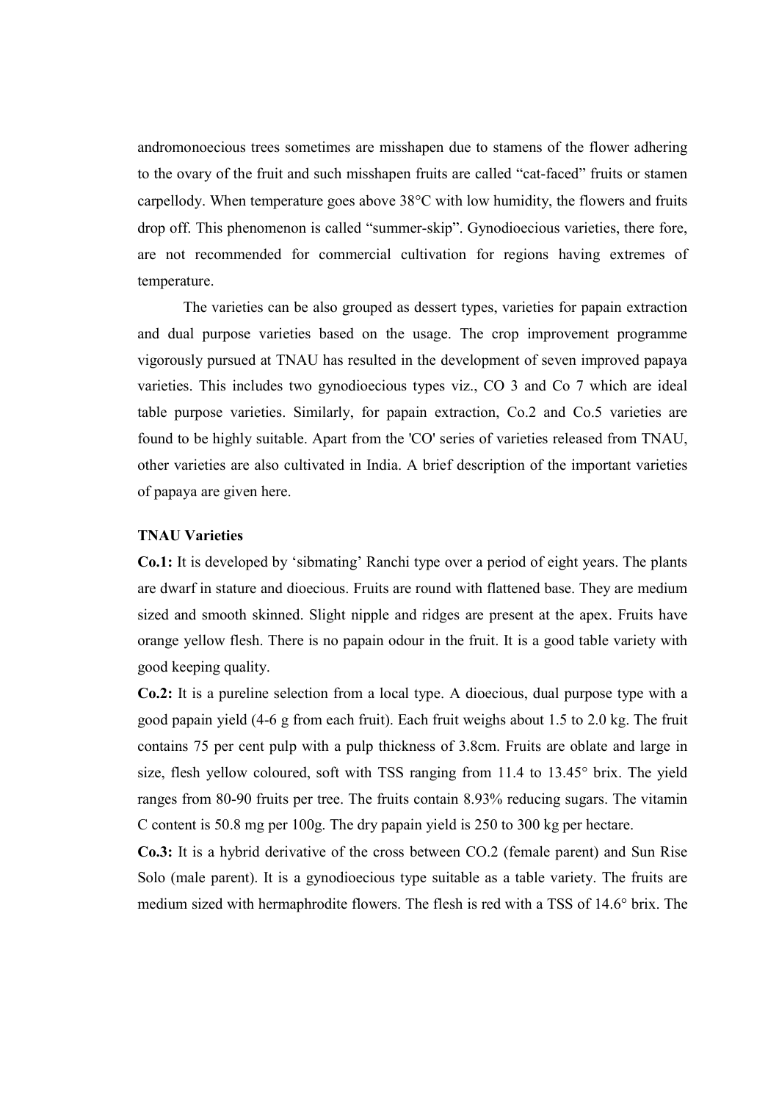andromonoecious trees sometimes are misshapen due to stamens of the flower adhering to the ovary of the fruit and such misshapen fruits are called "cat-faced" fruits or stamen carpellody. When temperature goes above  $38^{\circ}$ C with low humidity, the flowers and fruits drop off. This phenomenon is called "summer-skip". Gynodioecious varieties, there fore, are not recommended for commercial cultivation for regions having extremes of temperature.

 The varieties can be also grouped as dessert types, varieties for papain extraction and dual purpose varieties based on the usage. The crop improvement programme vigorously pursued at TNAU has resulted in the development of seven improved papaya varieties. This includes two gynodioecious types viz., CO 3 and Co 7 which are ideal table purpose varieties. Similarly, for papain extraction, Co.2 and Co.5 varieties are found to be highly suitable. Apart from the 'CO' series of varieties released from TNAU, other varieties are also cultivated in India. A brief description of the important varieties of papaya are given here.

# TNAU Varieties

Co.1: It is developed by 'sibmating' Ranchi type over a period of eight years. The plants are dwarf in stature and dioecious. Fruits are round with flattened base. They are medium sized and smooth skinned. Slight nipple and ridges are present at the apex. Fruits have orange yellow flesh. There is no papain odour in the fruit. It is a good table variety with good keeping quality.

Co.2: It is a pureline selection from a local type. A dioecious, dual purpose type with a good papain yield (4-6 g from each fruit). Each fruit weighs about 1.5 to 2.0 kg. The fruit contains 75 per cent pulp with a pulp thickness of 3.8cm. Fruits are oblate and large in size, flesh yellow coloured, soft with TSS ranging from 11.4 to 13.45° brix. The yield ranges from 80-90 fruits per tree. The fruits contain 8.93% reducing sugars. The vitamin C content is 50.8 mg per 100g. The dry papain yield is 250 to 300 kg per hectare.

Co.3: It is a hybrid derivative of the cross between CO.2 (female parent) and Sun Rise Solo (male parent). It is a gynodioecious type suitable as a table variety. The fruits are medium sized with hermaphrodite flowers. The flesh is red with a TSS of 14.6° brix. The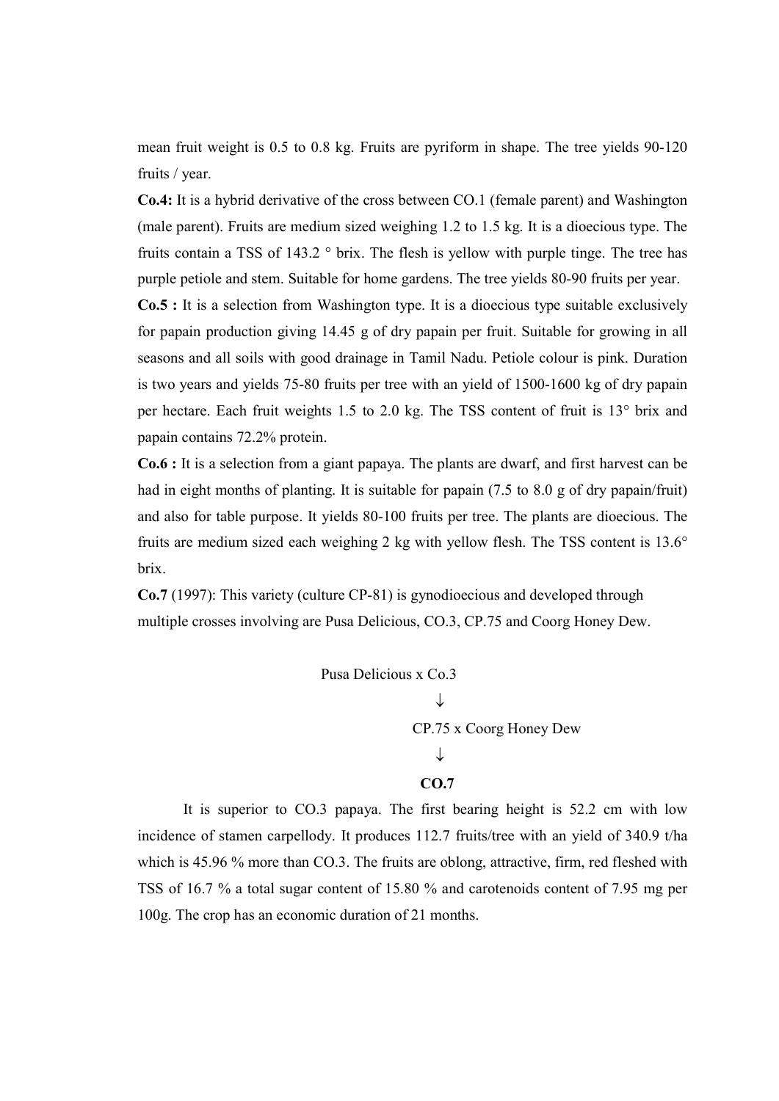mean fruit weight is 0.5 to 0.8 kg. Fruits are pyriform in shape. The tree yields 90-120 fruits / year.

Co.4: It is a hybrid derivative of the cross between CO.1 (female parent) and Washington (male parent). Fruits are medium sized weighing 1.2 to 1.5 kg. It is a dioecious type. The fruits contain a TSS of 143.2 ° brix. The flesh is yellow with purple tinge. The tree has purple petiole and stem. Suitable for home gardens. The tree yields 80-90 fruits per year.

Co.5 : It is a selection from Washington type. It is a dioecious type suitable exclusively for papain production giving 14.45 g of dry papain per fruit. Suitable for growing in all seasons and all soils with good drainage in Tamil Nadu. Petiole colour is pink. Duration is two years and yields 75-80 fruits per tree with an yield of 1500-1600 kg of dry papain per hectare. Each fruit weights 1.5 to 2.0 kg. The TSS content of fruit is 13° brix and papain contains 72.2% protein.

Co.6 : It is a selection from a giant papaya. The plants are dwarf, and first harvest can be had in eight months of planting. It is suitable for papain (7.5 to 8.0 g of dry papain/fruit) and also for table purpose. It yields 80-100 fruits per tree. The plants are dioecious. The fruits are medium sized each weighing 2 kg with yellow flesh. The TSS content is 13.6° brix.

Co.7 (1997): This variety (culture CP-81) is gynodioecious and developed through multiple crosses involving are Pusa Delicious, CO.3, CP.75 and Coorg Honey Dew.



It is superior to CO.3 papaya. The first bearing height is 52.2 cm with low incidence of stamen carpellody. It produces 112.7 fruits/tree with an yield of 340.9 t/ha which is 45.96 % more than CO.3. The fruits are oblong, attractive, firm, red fleshed with TSS of 16.7 % a total sugar content of 15.80 % and carotenoids content of 7.95 mg per 100g. The crop has an economic duration of 21 months.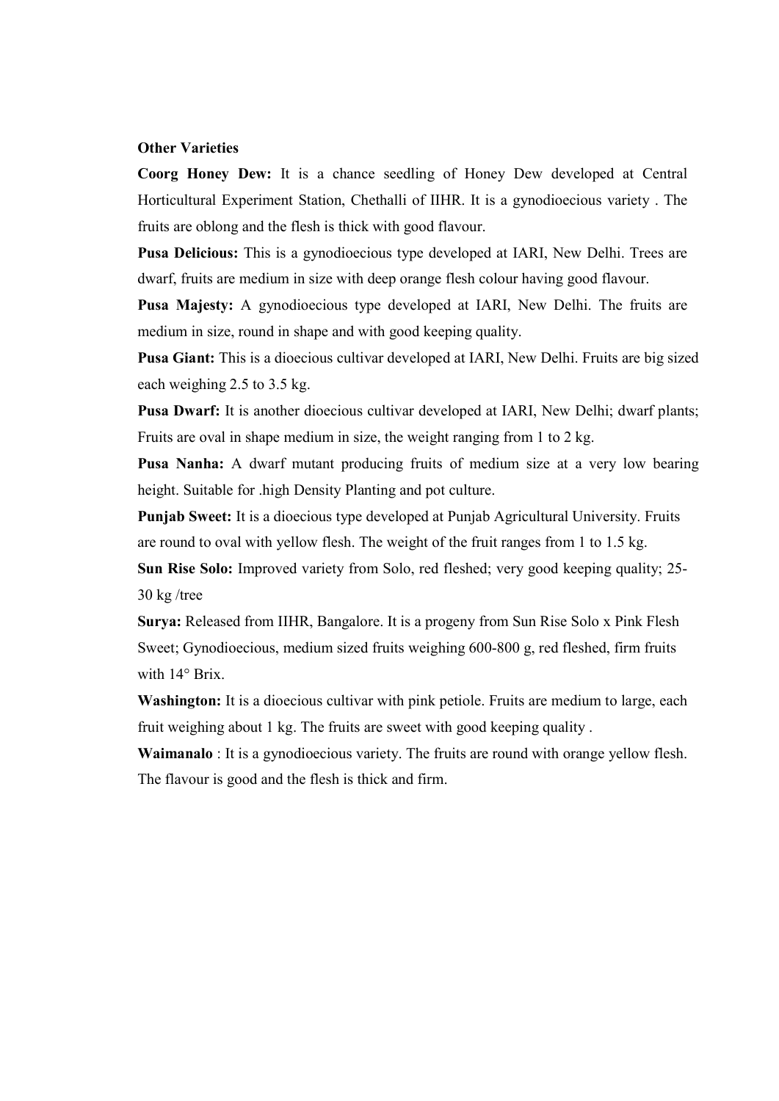## Other Varieties

Coorg Honey Dew: It is a chance seedling of Honey Dew developed at Central Horticultural Experiment Station, Chethalli of IIHR. It is a gynodioecious variety . The fruits are oblong and the flesh is thick with good flavour.

Pusa Delicious: This is a gynodioecious type developed at IARI, New Delhi. Trees are dwarf, fruits are medium in size with deep orange flesh colour having good flavour.

Pusa Majesty: A gynodioecious type developed at IARI, New Delhi. The fruits are medium in size, round in shape and with good keeping quality.

Pusa Giant: This is a dioecious cultivar developed at IARI, New Delhi. Fruits are big sized each weighing 2.5 to 3.5 kg.

Pusa Dwarf: It is another dioecious cultivar developed at IARI, New Delhi; dwarf plants; Fruits are oval in shape medium in size, the weight ranging from 1 to 2 kg.

Pusa Nanha: A dwarf mutant producing fruits of medium size at a very low bearing height. Suitable for .high Density Planting and pot culture.

Punjab Sweet: It is a dioecious type developed at Punjab Agricultural University. Fruits are round to oval with yellow flesh. The weight of the fruit ranges from 1 to 1.5 kg.

Sun Rise Solo: Improved variety from Solo, red fleshed; very good keeping quality; 25- 30 kg /tree

Surya: Released from IIHR, Bangalore. It is a progeny from Sun Rise Solo x Pink Flesh Sweet; Gynodioecious, medium sized fruits weighing 600-800 g, red fleshed, firm fruits with 14° Brix.

Washington: It is a dioecious cultivar with pink petiole. Fruits are medium to large, each fruit weighing about 1 kg. The fruits are sweet with good keeping quality .

Waimanalo : It is a gynodioecious variety. The fruits are round with orange yellow flesh. The flavour is good and the flesh is thick and firm.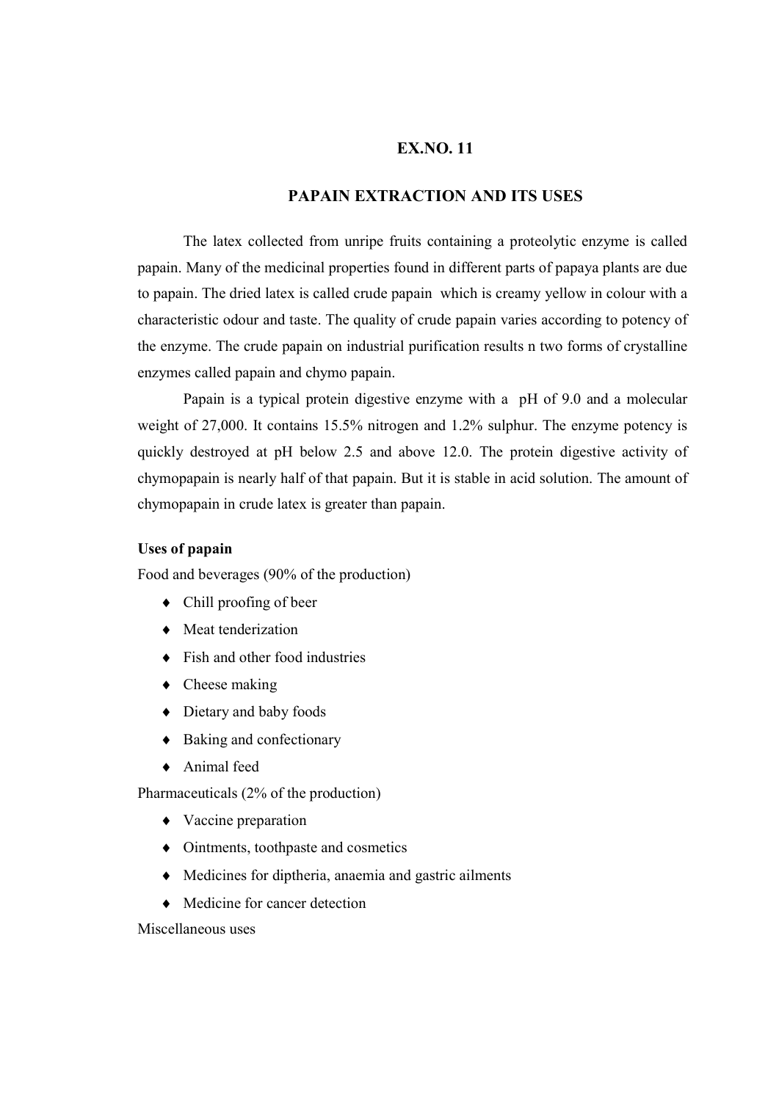# EX.NO. 11

# PAPAIN EXTRACTION AND ITS USES

The latex collected from unripe fruits containing a proteolytic enzyme is called papain. Many of the medicinal properties found in different parts of papaya plants are due to papain. The dried latex is called crude papain which is creamy yellow in colour with a characteristic odour and taste. The quality of crude papain varies according to potency of the enzyme. The crude papain on industrial purification results n two forms of crystalline enzymes called papain and chymo papain.

Papain is a typical protein digestive enzyme with a pH of 9.0 and a molecular weight of 27,000. It contains 15.5% nitrogen and 1.2% sulphur. The enzyme potency is quickly destroyed at pH below 2.5 and above 12.0. The protein digestive activity of chymopapain is nearly half of that papain. But it is stable in acid solution. The amount of chymopapain in crude latex is greater than papain.

# Uses of papain

Food and beverages (90% of the production)

- Chill proofing of beer
- Meat tenderization
- ◆ Fish and other food industries
- $\triangleleft$  Cheese making
- Dietary and baby foods
- ◆ Baking and confectionary
- ◆ Animal feed

Pharmaceuticals (2% of the production)

- Vaccine preparation
- Ointments, toothpaste and cosmetics
- Medicines for diptheria, anaemia and gastric ailments
- Medicine for cancer detection

Miscellaneous uses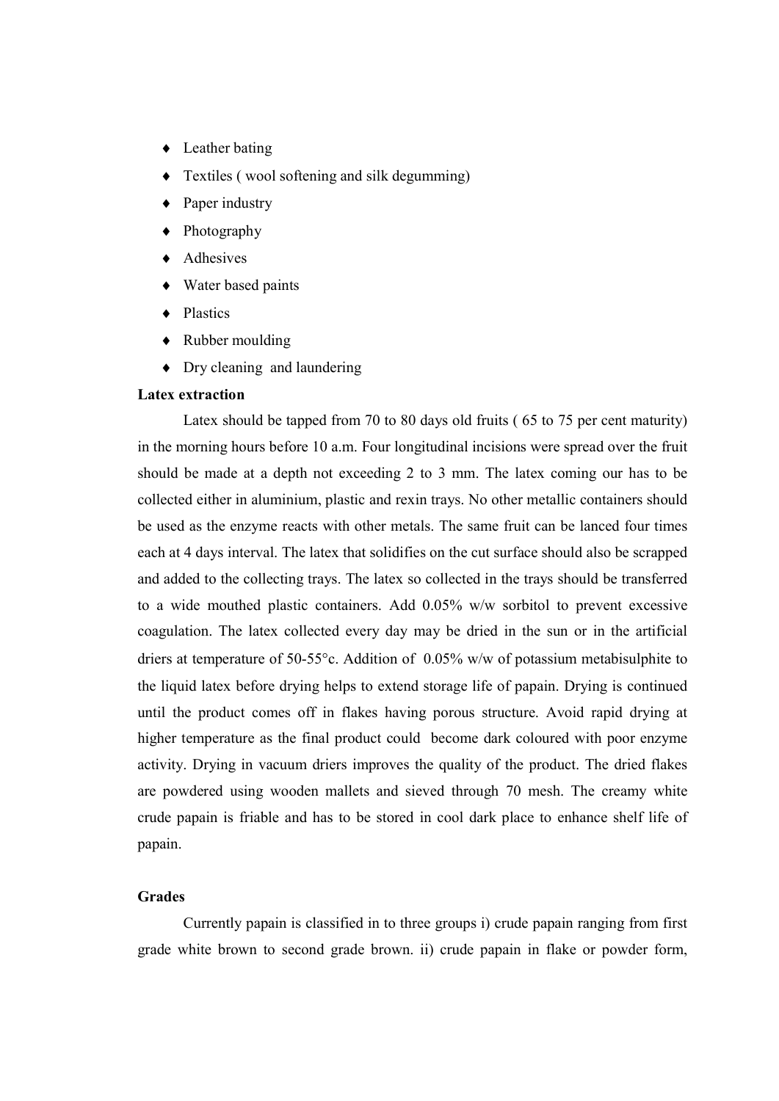- ◆ Leather bating
- Textiles ( wool softening and silk degumming)
- $\rightarrow$  Paper industry
- Photography
- $\triangle$  Adhesives
- Water based paints
- **◆** Plastics
- Rubber moulding
- Dry cleaning and laundering

# Latex extraction

Latex should be tapped from 70 to 80 days old fruits ( 65 to 75 per cent maturity) in the morning hours before 10 a.m. Four longitudinal incisions were spread over the fruit should be made at a depth not exceeding 2 to 3 mm. The latex coming our has to be collected either in aluminium, plastic and rexin trays. No other metallic containers should be used as the enzyme reacts with other metals. The same fruit can be lanced four times each at 4 days interval. The latex that solidifies on the cut surface should also be scrapped and added to the collecting trays. The latex so collected in the trays should be transferred to a wide mouthed plastic containers. Add 0.05% w/w sorbitol to prevent excessive coagulation. The latex collected every day may be dried in the sun or in the artificial driers at temperature of 50-55 $^{\circ}$ c. Addition of 0.05% w/w of potassium metabisulphite to the liquid latex before drying helps to extend storage life of papain. Drying is continued until the product comes off in flakes having porous structure. Avoid rapid drying at higher temperature as the final product could become dark coloured with poor enzyme activity. Drying in vacuum driers improves the quality of the product. The dried flakes are powdered using wooden mallets and sieved through 70 mesh. The creamy white crude papain is friable and has to be stored in cool dark place to enhance shelf life of papain.

## Grades

Currently papain is classified in to three groups i) crude papain ranging from first grade white brown to second grade brown. ii) crude papain in flake or powder form,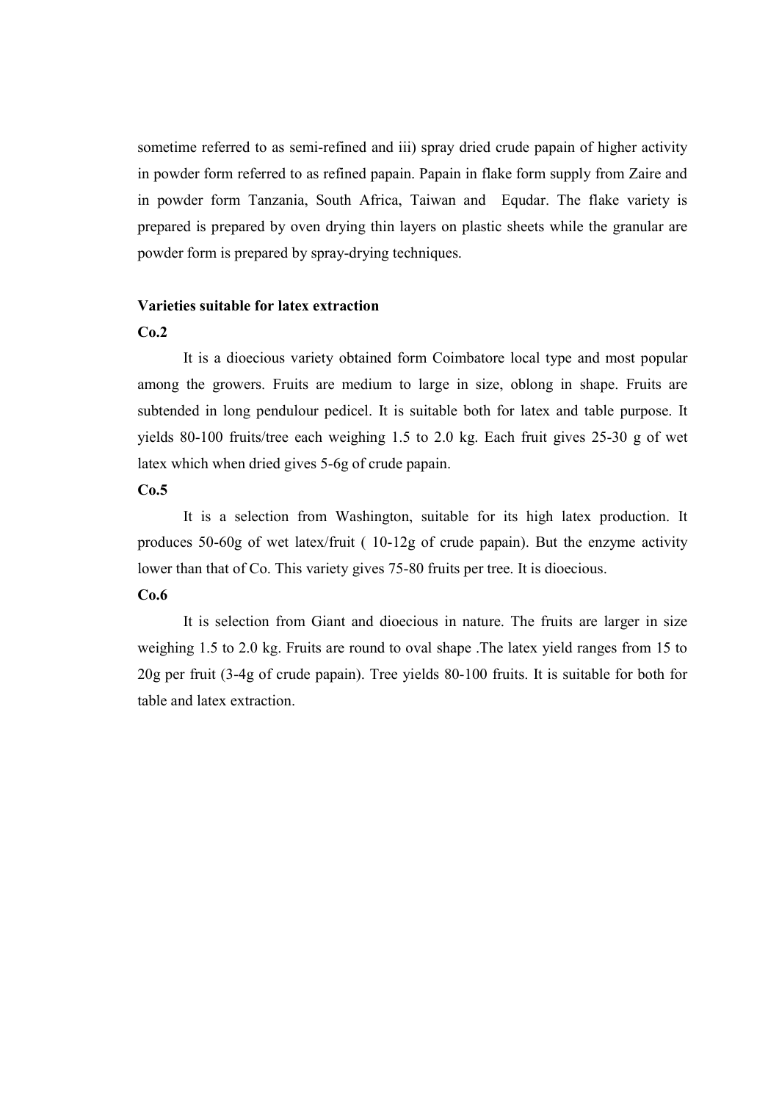sometime referred to as semi-refined and iii) spray dried crude papain of higher activity in powder form referred to as refined papain. Papain in flake form supply from Zaire and in powder form Tanzania, South Africa, Taiwan and Equdar. The flake variety is prepared is prepared by oven drying thin layers on plastic sheets while the granular are powder form is prepared by spray-drying techniques.

## Varieties suitable for latex extraction

#### Co.2

It is a dioecious variety obtained form Coimbatore local type and most popular among the growers. Fruits are medium to large in size, oblong in shape. Fruits are subtended in long pendulour pedicel. It is suitable both for latex and table purpose. It yields 80-100 fruits/tree each weighing 1.5 to 2.0 kg. Each fruit gives 25-30 g of wet latex which when dried gives 5-6g of crude papain.

# $Co.5$

 It is a selection from Washington, suitable for its high latex production. It produces 50-60g of wet latex/fruit ( 10-12g of crude papain). But the enzyme activity lower than that of Co. This variety gives 75-80 fruits per tree. It is dioecious.

# $Co.6$

 It is selection from Giant and dioecious in nature. The fruits are larger in size weighing 1.5 to 2.0 kg. Fruits are round to oval shape .The latex yield ranges from 15 to 20g per fruit (3-4g of crude papain). Tree yields 80-100 fruits. It is suitable for both for table and latex extraction.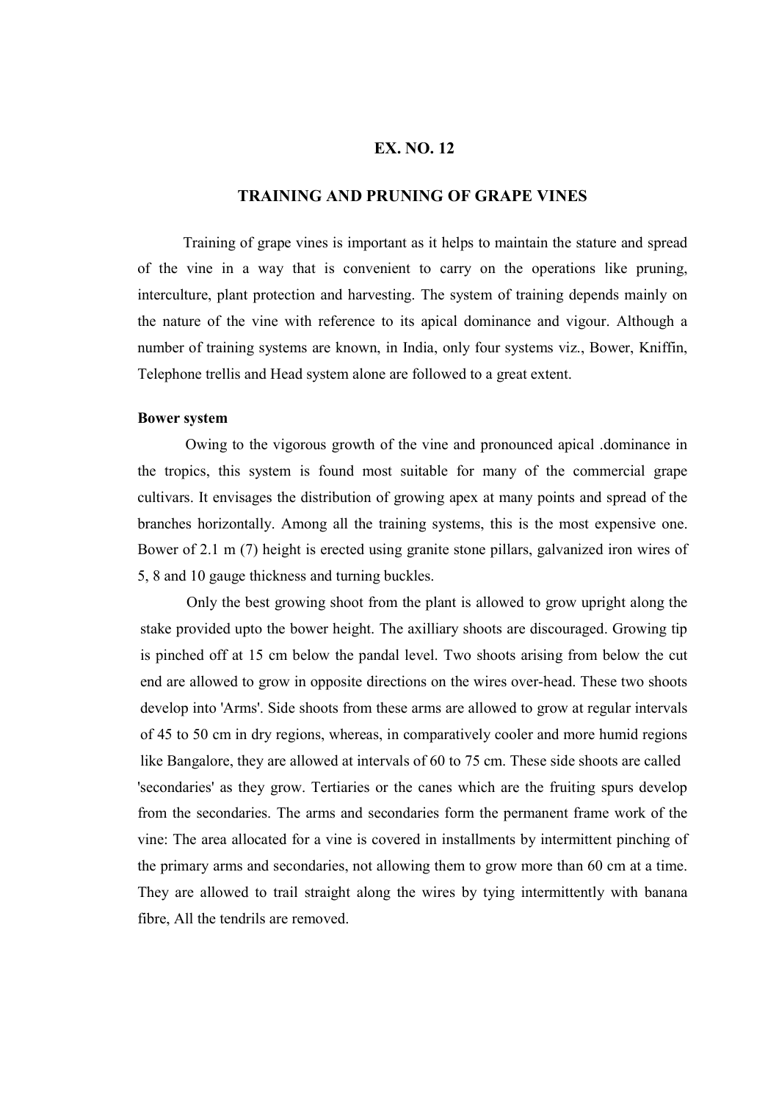# EX. NO. 12

# TRAINING AND PRUNING OF GRAPE VINES

Training of grape vines is important as it helps to maintain the stature and spread of the vine in a way that is convenient to carry on the operations like pruning, interculture, plant protection and harvesting. The system of training depends mainly on the nature of the vine with reference to its apical dominance and vigour. Although a number of training systems are known, in India, only four systems viz., Bower, Kniffin, Telephone trellis and Head system alone are followed to a great extent.

#### Bower system

Owing to the vigorous growth of the vine and pronounced apical .dominance in the tropics, this system is found most suitable for many of the commercial grape cultivars. It envisages the distribution of growing apex at many points and spread of the branches horizontally. Among all the training systems, this is the most expensive one. Bower of 2.1 m (7) height is erected using granite stone pillars, galvanized iron wires of 5, 8 and 10 gauge thickness and turning buckles.

Only the best growing shoot from the plant is allowed to grow upright along the stake provided upto the bower height. The axilliary shoots are discouraged. Growing tip is pinched off at 15 cm below the pandal level. Two shoots arising from below the cut end are allowed to grow in opposite directions on the wires over-head. These two shoots develop into 'Arms'. Side shoots from these arms are allowed to grow at regular intervals of 45 to 50 cm in dry regions, whereas, in comparatively cooler and more humid regions like Bangalore, they are allowed at intervals of 60 to 75 cm. These side shoots are called 'secondaries' as they grow. Tertiaries or the canes which are the fruiting spurs develop from the secondaries. The arms and secondaries form the permanent frame work of the vine: The area allocated for a vine is covered in installments by intermittent pinching of the primary arms and secondaries, not allowing them to grow more than 60 cm at a time. They are allowed to trail straight along the wires by tying intermittently with banana fibre, All the tendrils are removed.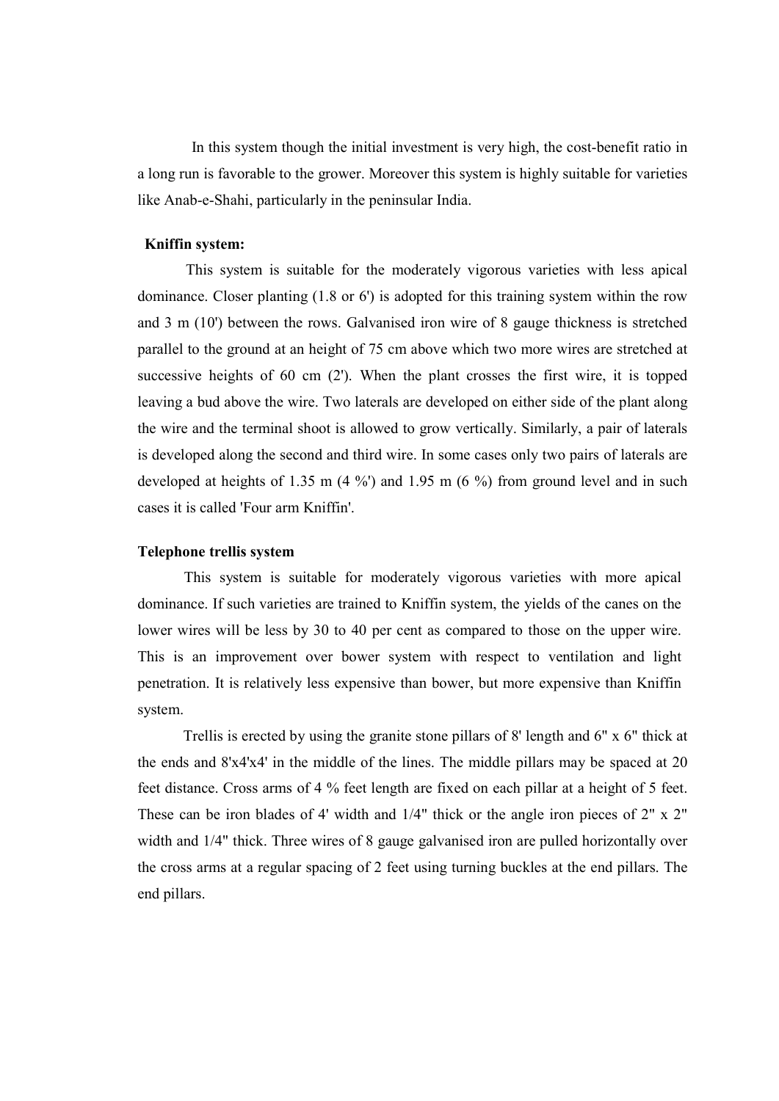In this system though the initial investment is very high, the cost-benefit ratio in a long run is favorable to the grower. Moreover this system is highly suitable for varieties like Anab-e-Shahi, particularly in the peninsular India.

## Kniffin system:

This system is suitable for the moderately vigorous varieties with less apical dominance. Closer planting (1.8 or 6') is adopted for this training system within the row and 3 m (10') between the rows. Galvanised iron wire of 8 gauge thickness is stretched parallel to the ground at an height of 75 cm above which two more wires are stretched at successive heights of 60 cm (2'). When the plant crosses the first wire, it is topped leaving a bud above the wire. Two laterals are developed on either side of the plant along the wire and the terminal shoot is allowed to grow vertically. Similarly, a pair of laterals is developed along the second and third wire. In some cases only two pairs of laterals are developed at heights of 1.35 m  $(4\frac{1}{9})$  and 1.95 m  $(6\frac{1}{9})$  from ground level and in such cases it is called 'Four arm Kniffin'.

#### Telephone trellis system

This system is suitable for moderately vigorous varieties with more apical dominance. If such varieties are trained to Kniffin system, the yields of the canes on the lower wires will be less by 30 to 40 per cent as compared to those on the upper wire. This is an improvement over bower system with respect to ventilation and light penetration. It is relatively less expensive than bower, but more expensive than Kniffin system.

Trellis is erected by using the granite stone pillars of 8' length and 6" x 6" thick at the ends and 8'x4'x4' in the middle of the lines. The middle pillars may be spaced at 20 feet distance. Cross arms of 4 % feet length are fixed on each pillar at a height of 5 feet. These can be iron blades of 4' width and 1/4" thick or the angle iron pieces of 2" x 2" width and 1/4" thick. Three wires of 8 gauge galvanised iron are pulled horizontally over the cross arms at a regular spacing of 2 feet using turning buckles at the end pillars. The end pillars.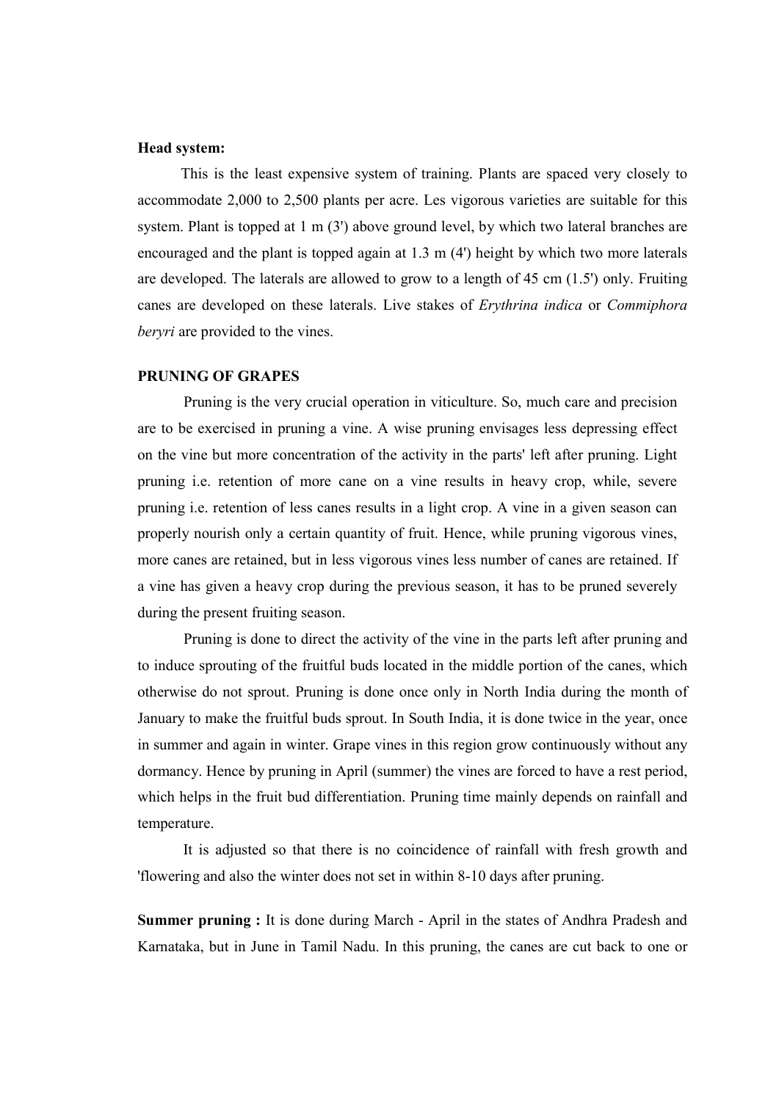# Head system:

This is the least expensive system of training. Plants are spaced very closely to accommodate 2,000 to 2,500 plants per acre. Les vigorous varieties are suitable for this system. Plant is topped at 1 m (3') above ground level, by which two lateral branches are encouraged and the plant is topped again at 1.3 m (4') height by which two more laterals are developed. The laterals are allowed to grow to a length of 45 cm (1.5') only. Fruiting canes are developed on these laterals. Live stakes of Erythrina indica or Commiphora beryri are provided to the vines.

#### PRUNING OF GRAPES

Pruning is the very crucial operation in viticulture. So, much care and precision are to be exercised in pruning a vine. A wise pruning envisages less depressing effect on the vine but more concentration of the activity in the parts' left after pruning. Light pruning i.e. retention of more cane on a vine results in heavy crop, while, severe pruning i.e. retention of less canes results in a light crop. A vine in a given season can properly nourish only a certain quantity of fruit. Hence, while pruning vigorous vines, more canes are retained, but in less vigorous vines less number of canes are retained. If a vine has given a heavy crop during the previous season, it has to be pruned severely during the present fruiting season.

Pruning is done to direct the activity of the vine in the parts left after pruning and to induce sprouting of the fruitful buds located in the middle portion of the canes, which otherwise do not sprout. Pruning is done once only in North India during the month of January to make the fruitful buds sprout. In South India, it is done twice in the year, once in summer and again in winter. Grape vines in this region grow continuously without any dormancy. Hence by pruning in April (summer) the vines are forced to have a rest period, which helps in the fruit bud differentiation. Pruning time mainly depends on rainfall and temperature.

It is adjusted so that there is no coincidence of rainfall with fresh growth and 'flowering and also the winter does not set in within 8-10 days after pruning.

Summer pruning : It is done during March - April in the states of Andhra Pradesh and Karnataka, but in June in Tamil Nadu. In this pruning, the canes are cut back to one or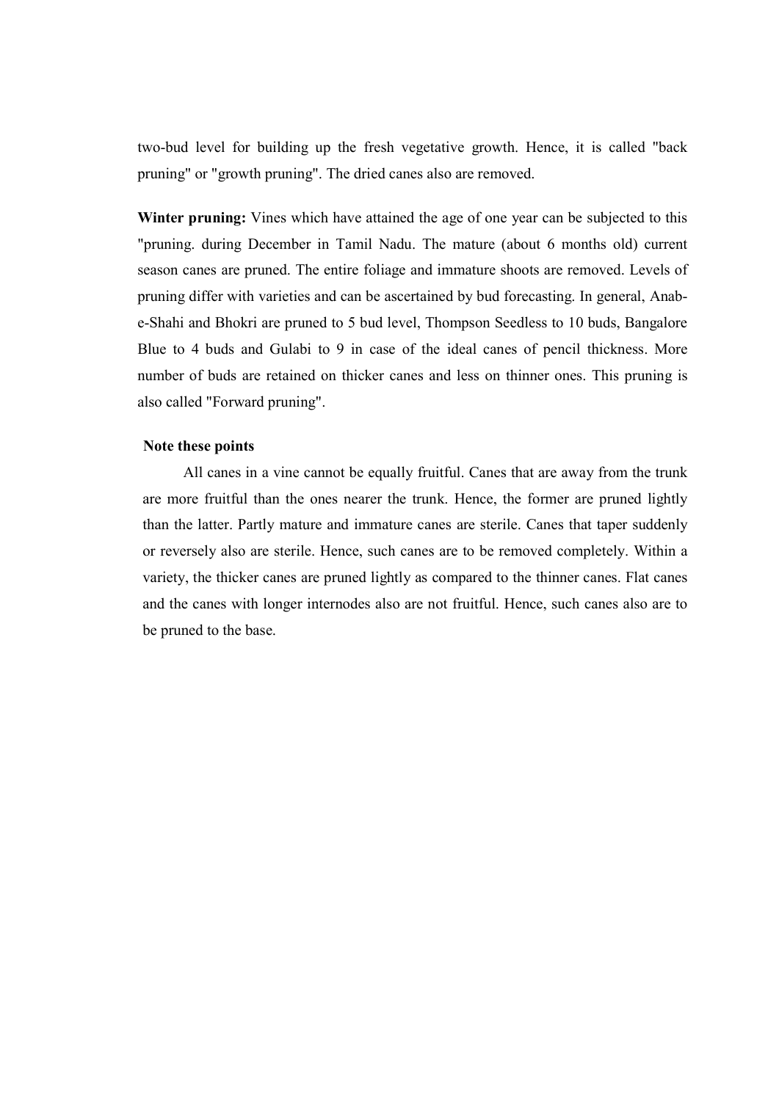two-bud level for building up the fresh vegetative growth. Hence, it is called "back pruning" or "growth pruning". The dried canes also are removed.

Winter pruning: Vines which have attained the age of one year can be subjected to this "pruning. during December in Tamil Nadu. The mature (about 6 months old) current season canes are pruned. The entire foliage and immature shoots are removed. Levels of pruning differ with varieties and can be ascertained by bud forecasting. In general, Anabe-Shahi and Bhokri are pruned to 5 bud level, Thompson Seedless to 10 buds, Bangalore Blue to 4 buds and Gulabi to 9 in case of the ideal canes of pencil thickness. More number of buds are retained on thicker canes and less on thinner ones. This pruning is also called "Forward pruning".

# Note these points

 All canes in a vine cannot be equally fruitful. Canes that are away from the trunk are more fruitful than the ones nearer the trunk. Hence, the former are pruned lightly than the latter. Partly mature and immature canes are sterile. Canes that taper suddenly or reversely also are sterile. Hence, such canes are to be removed completely. Within a variety, the thicker canes are pruned lightly as compared to the thinner canes. Flat canes and the canes with longer internodes also are not fruitful. Hence, such canes also are to be pruned to the base.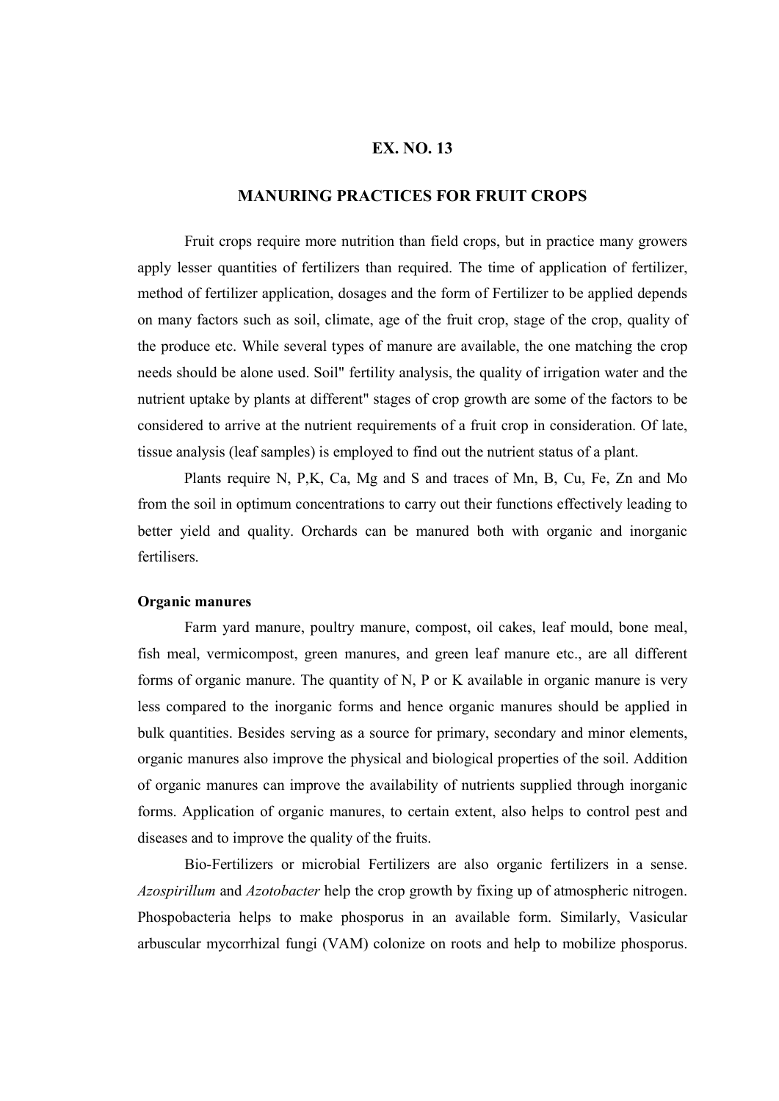# EX. NO. 13

# MANURING PRACTICES FOR FRUIT CROPS

Fruit crops require more nutrition than field crops, but in practice many growers apply lesser quantities of fertilizers than required. The time of application of fertilizer, method of fertilizer application, dosages and the form of Fertilizer to be applied depends on many factors such as soil, climate, age of the fruit crop, stage of the crop, quality of the produce etc. While several types of manure are available, the one matching the crop needs should be alone used. Soil" fertility analysis, the quality of irrigation water and the nutrient uptake by plants at different" stages of crop growth are some of the factors to be considered to arrive at the nutrient requirements of a fruit crop in consideration. Of late, tissue analysis (leaf samples) is employed to find out the nutrient status of a plant.

Plants require N, P,K, Ca, Mg and S and traces of Mn, B, Cu, Fe, Zn and Mo from the soil in optimum concentrations to carry out their functions effectively leading to better yield and quality. Orchards can be manured both with organic and inorganic fertilisers.

## Organic manures

Farm yard manure, poultry manure, compost, oil cakes, leaf mould, bone meal, fish meal, vermicompost, green manures, and green leaf manure etc., are all different forms of organic manure. The quantity of N, P or K available in organic manure is very less compared to the inorganic forms and hence organic manures should be applied in bulk quantities. Besides serving as a source for primary, secondary and minor elements, organic manures also improve the physical and biological properties of the soil. Addition of organic manures can improve the availability of nutrients supplied through inorganic forms. Application of organic manures, to certain extent, also helps to control pest and diseases and to improve the quality of the fruits.

Bio-Fertilizers or microbial Fertilizers are also organic fertilizers in a sense. Azospirillum and Azotobacter help the crop growth by fixing up of atmospheric nitrogen. Phospobacteria helps to make phosporus in an available form. Similarly, Vasicular arbuscular mycorrhizal fungi (VAM) colonize on roots and help to mobilize phosporus.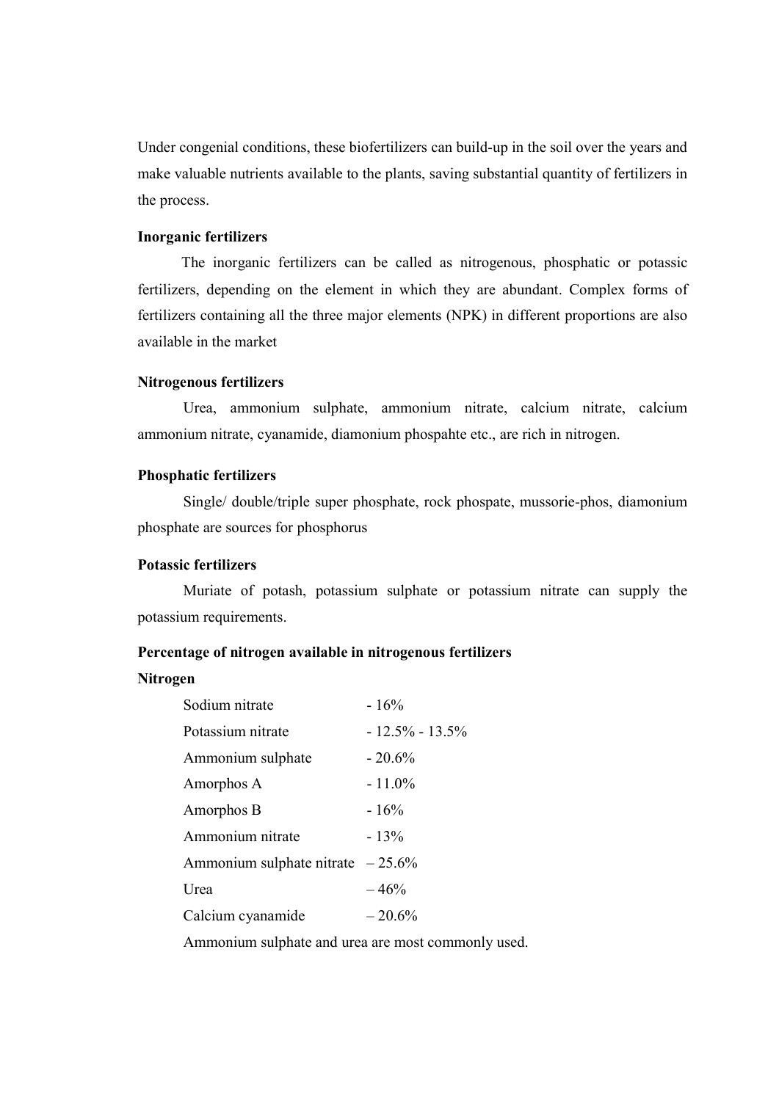Under congenial conditions, these biofertilizers can build-up in the soil over the years and make valuable nutrients available to the plants, saving substantial quantity of fertilizers in the process.

# Inorganic fertilizers

The inorganic fertilizers can be called as nitrogenous, phosphatic or potassic fertilizers, depending on the element in which they are abundant. Complex forms of fertilizers containing all the three major elements (NPK) in different proportions are also available in the market

#### Nitrogenous fertilizers

 Urea, ammonium sulphate, ammonium nitrate, calcium nitrate, calcium ammonium nitrate, cyanamide, diamonium phospahte etc., are rich in nitrogen.

#### Phosphatic fertilizers

 Single/ double/triple super phosphate, rock phospate, mussorie-phos, diamonium phosphate are sources for phosphorus

# Potassic fertilizers

 Muriate of potash, potassium sulphate or potassium nitrate can supply the potassium requirements.

## Percentage of nitrogen available in nitrogenous fertilizers

#### Nitrogen

| Sodium nitrate                      | $-16%$             |
|-------------------------------------|--------------------|
| Potassium nitrate                   | $-12.5\% - 13.5\%$ |
| Ammonium sulphate                   | $-20.6%$           |
| Amorphos A                          | $-11.0\%$          |
| Amorphos B                          | $-16%$             |
| Ammonium nitrate                    | $-13%$             |
| Ammonium sulphate nitrate $-25.6\%$ |                    |
| Urea                                | $-46%$             |
| Calcium cyanamide                   | $-20.6%$           |

Ammonium sulphate and urea are most commonly used.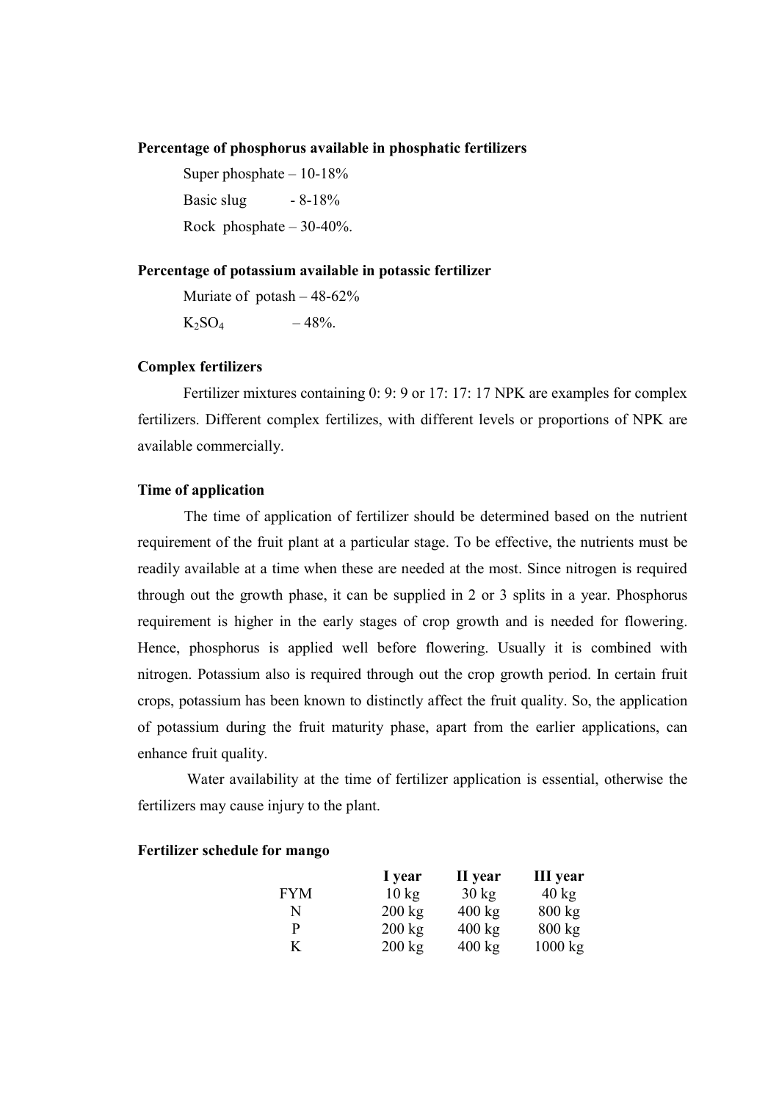# Percentage of phosphorus available in phosphatic fertilizers

 Super phosphate – 10-18% Basic slug  $-8-18\%$ Rock phosphate  $-30-40%$ .

#### Percentage of potassium available in potassic fertilizer

 Muriate of potash – 48-62%  $K_2SO_4$  – 48%.

## Complex fertilizers

Fertilizer mixtures containing 0: 9: 9 or 17: 17: 17 NPK are examples for complex fertilizers. Different complex fertilizes, with different levels or proportions of NPK are available commercially.

# Time of application

The time of application of fertilizer should be determined based on the nutrient requirement of the fruit plant at a particular stage. To be effective, the nutrients must be readily available at a time when these are needed at the most. Since nitrogen is required through out the growth phase, it can be supplied in 2 or 3 splits in a year. Phosphorus requirement is higher in the early stages of crop growth and is needed for flowering. Hence, phosphorus is applied well before flowering. Usually it is combined with nitrogen. Potassium also is required through out the crop growth period. In certain fruit crops, potassium has been known to distinctly affect the fruit quality. So, the application of potassium during the fruit maturity phase, apart from the earlier applications, can enhance fruit quality.

Water availability at the time of fertilizer application is essential, otherwise the fertilizers may cause injury to the plant.

|            | I year           | II year          | <b>III</b> year  |
|------------|------------------|------------------|------------------|
| <b>FYM</b> | $10 \text{ kg}$  | $30 \text{ kg}$  | $40 \text{ kg}$  |
| N          | $200 \text{ kg}$ | $400 \text{ kg}$ | $800 \text{ kg}$ |
| р          | $200 \text{ kg}$ | $400 \text{ kg}$ | $800 \text{ kg}$ |
|            | $200 \text{ kg}$ | $400 \text{ kg}$ | 1000 kg          |

#### Fertilizer schedule for mango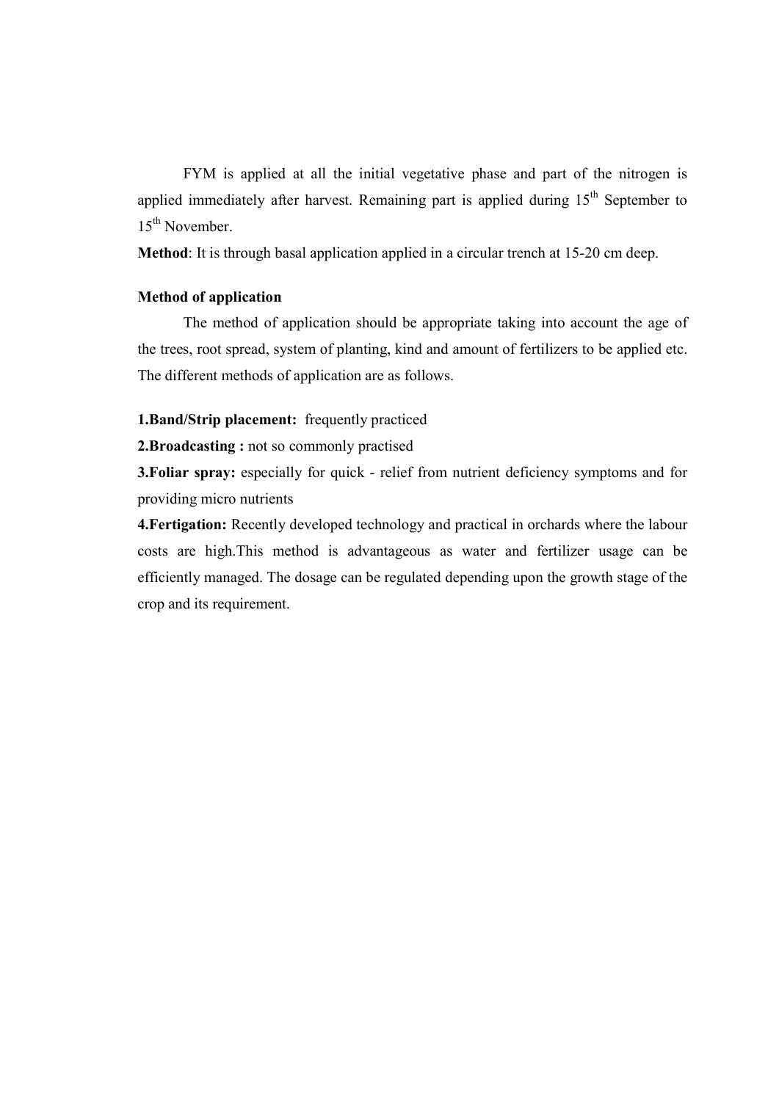FYM is applied at all the initial vegetative phase and part of the nitrogen is applied immediately after harvest. Remaining part is applied during 15<sup>th</sup> September to 15th November.

Method: It is through basal application applied in a circular trench at 15-20 cm deep.

# Method of application

 The method of application should be appropriate taking into account the age of the trees, root spread, system of planting, kind and amount of fertilizers to be applied etc. The different methods of application are as follows.

# 1.Band/Strip placement: frequently practiced

2. Broadcasting : not so commonly practised

3.Foliar spray: especially for quick - relief from nutrient deficiency symptoms and for providing micro nutrients

4.Fertigation: Recently developed technology and practical in orchards where the labour costs are high.This method is advantageous as water and fertilizer usage can be efficiently managed. The dosage can be regulated depending upon the growth stage of the crop and its requirement.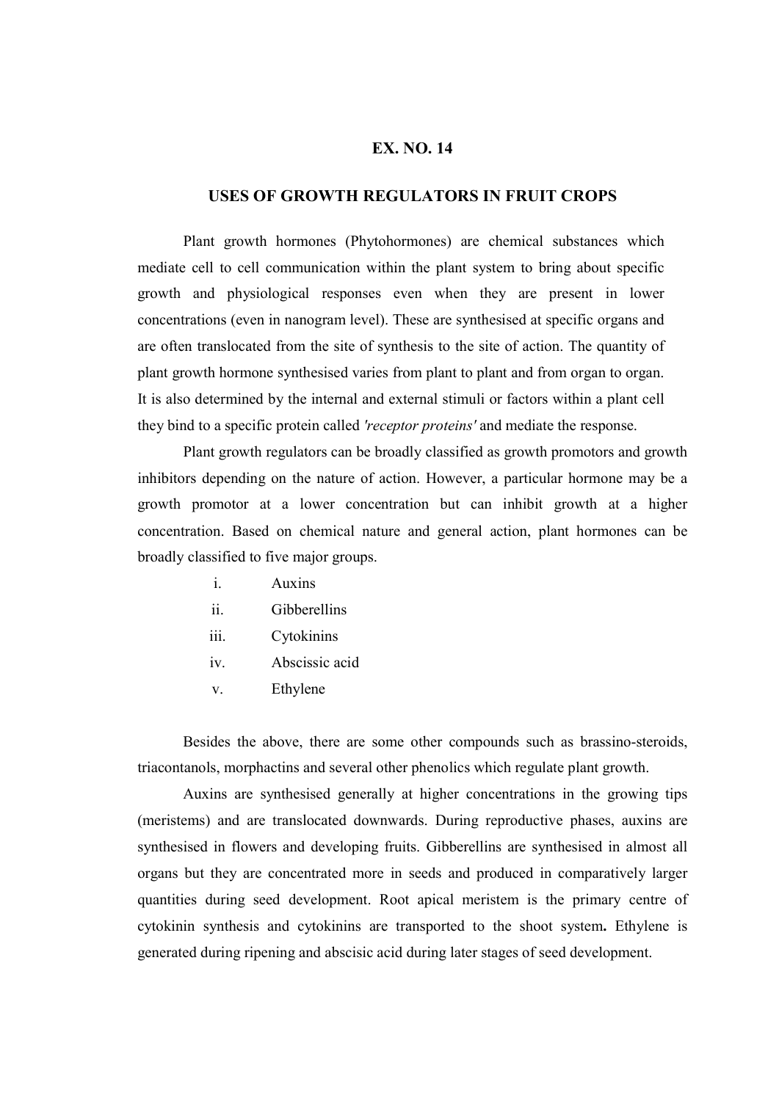# EX. NO. 14

# USES OF GROWTH REGULATORS IN FRUIT CROPS

 Plant growth hormones (Phytohormones) are chemical substances which mediate cell to cell communication within the plant system to bring about specific growth and physiological responses even when they are present in lower concentrations (even in nanogram level). These are synthesised at specific organs and are often translocated from the site of synthesis to the site of action. The quantity of plant growth hormone synthesised varies from plant to plant and from organ to organ. It is also determined by the internal and external stimuli or factors within a plant cell they bind to a specific protein called 'receptor proteins' and mediate the response.

 Plant growth regulators can be broadly classified as growth promotors and growth inhibitors depending on the nature of action. However, a particular hormone may be a growth promotor at a lower concentration but can inhibit growth at a higher concentration. Based on chemical nature and general action, plant hormones can be broadly classified to five major groups.

- i. Auxins
- ii. Gibberellins
- iii. Cytokinins
- iv. Abscissic acid
- v. Ethylene

Besides the above, there are some other compounds such as brassino-steroids, triacontanols, morphactins and several other phenolics which regulate plant growth.

Auxins are synthesised generally at higher concentrations in the growing tips (meristems) and are translocated downwards. During reproductive phases, auxins are synthesised in flowers and developing fruits. Gibberellins are synthesised in almost all organs but they are concentrated more in seeds and produced in comparatively larger quantities during seed development. Root apical meristem is the primary centre of cytokinin synthesis and cytokinins are transported to the shoot system. Ethylene is generated during ripening and abscisic acid during later stages of seed development.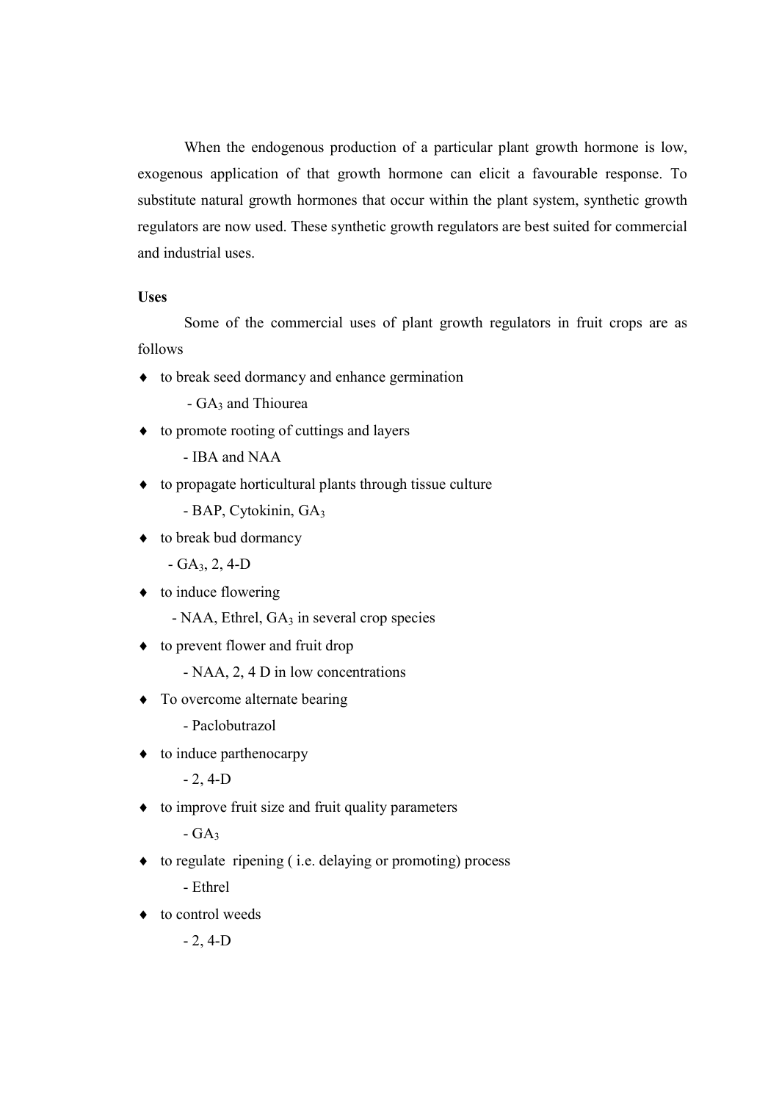When the endogenous production of a particular plant growth hormone is low, exogenous application of that growth hormone can elicit a favourable response. To substitute natural growth hormones that occur within the plant system, synthetic growth regulators are now used. These synthetic growth regulators are best suited for commercial and industrial uses.

# Uses

Some of the commercial uses of plant growth regulators in fruit crops are as follows

- $\bullet$  to break seed dormancy and enhance germination
	- GA<sub>3</sub> and Thiourea
- $\bullet$  to promote rooting of cuttings and layers
	- IBA and NAA
- $\bullet$  to propagate horticultural plants through tissue culture
	- BAP, Cytokinin, GA<sup>3</sup>
- $\bullet$  to break bud dormancy
	- $-GA<sub>3</sub>, 2, 4-D$
- $\bullet$  to induce flowering
	- NAA, Ethrel, GA<sub>3</sub> in several crop species
- $\bullet$  to prevent flower and fruit drop
	- NAA, 2, 4 D in low concentrations
- To overcome alternate bearing
	- Paclobutrazol
- $\bullet$  to induce parthenocarpy

- 2, 4-D

 $\bullet$  to improve fruit size and fruit quality parameters

 $-GA<sub>3</sub>$ 

to regulate ripening ( i.e. delaying or promoting) process

- Ethrel

to control weeds

 $- 2, 4-D$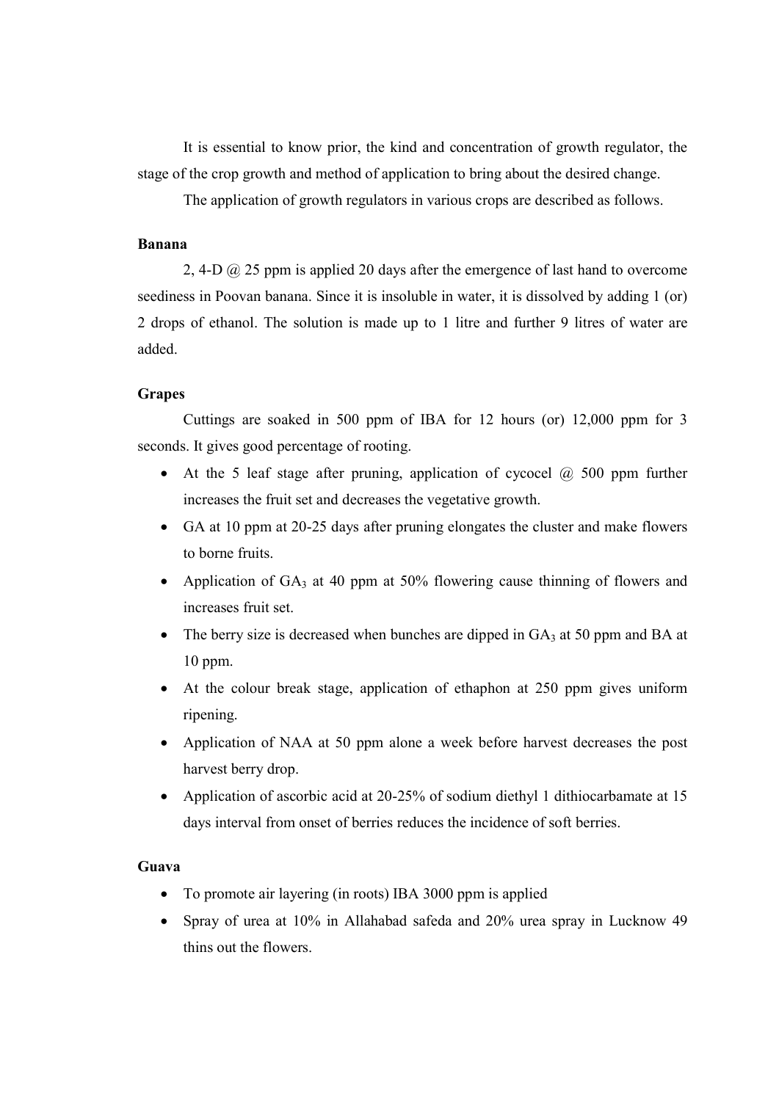It is essential to know prior, the kind and concentration of growth regulator, the stage of the crop growth and method of application to bring about the desired change.

The application of growth regulators in various crops are described as follows.

# Banana

 2, 4-D @ 25 ppm is applied 20 days after the emergence of last hand to overcome seediness in Poovan banana. Since it is insoluble in water, it is dissolved by adding 1 (or) 2 drops of ethanol. The solution is made up to 1 litre and further 9 litres of water are added.

## Grapes

 Cuttings are soaked in 500 ppm of IBA for 12 hours (or) 12,000 ppm for 3 seconds. It gives good percentage of rooting.

- At the 5 leaf stage after pruning, application of cycocel  $\omega$  500 ppm further increases the fruit set and decreases the vegetative growth.
- GA at 10 ppm at 20-25 days after pruning elongates the cluster and make flowers to borne fruits.
- Application of  $GA_3$  at 40 ppm at 50% flowering cause thinning of flowers and increases fruit set.
- The berry size is decreased when bunches are dipped in  $GA_3$  at 50 ppm and BA at 10 ppm.
- At the colour break stage, application of ethaphon at 250 ppm gives uniform ripening.
- Application of NAA at 50 ppm alone a week before harvest decreases the post harvest berry drop.
- Application of ascorbic acid at 20-25% of sodium diethyl 1 dithiocarbamate at 15 days interval from onset of berries reduces the incidence of soft berries.

### Guava

- To promote air layering (in roots) IBA 3000 ppm is applied
- Spray of urea at 10% in Allahabad safeda and 20% urea spray in Lucknow 49 thins out the flowers.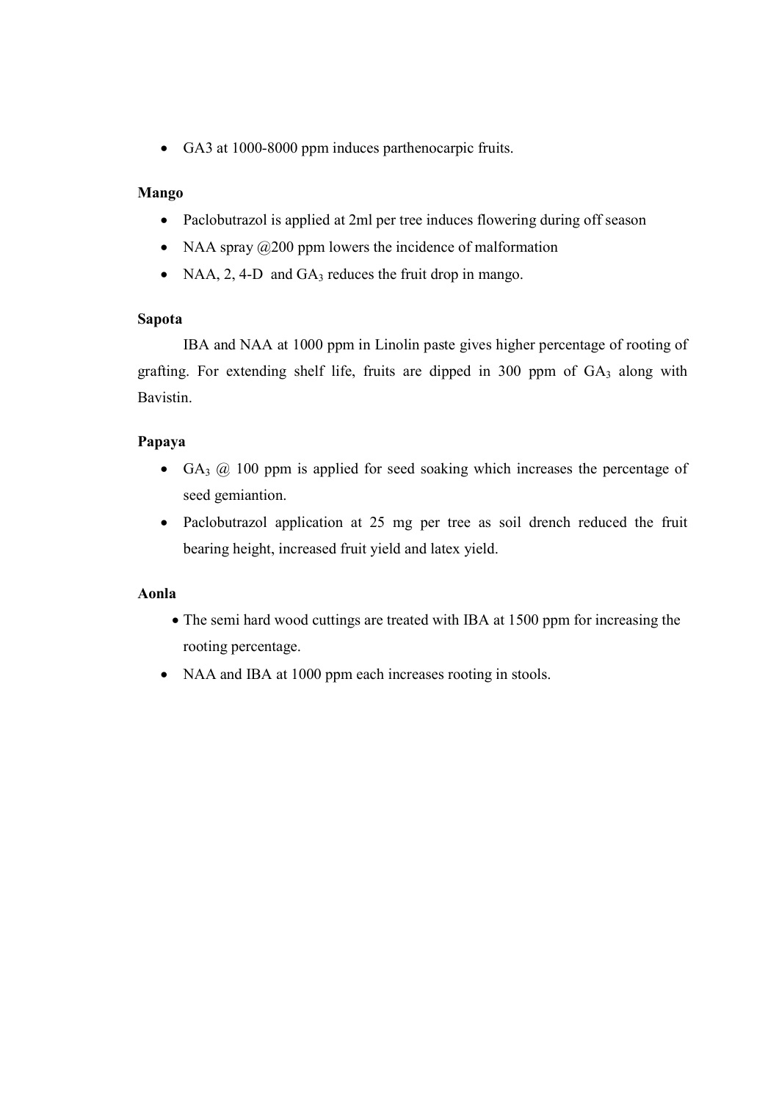GA3 at 1000-8000 ppm induces parthenocarpic fruits.

# Mango

- Paclobutrazol is applied at 2ml per tree induces flowering during off season
- NAA spray  $\omega$  200 ppm lowers the incidence of malformation
- NAA, 2, 4-D and  $GA_3$  reduces the fruit drop in mango.

# Sapota

 IBA and NAA at 1000 ppm in Linolin paste gives higher percentage of rooting of grafting. For extending shelf life, fruits are dipped in 300 ppm of GA3 along with Bavistin.

# Papaya

- GA<sub>3</sub>  $\omega$  100 ppm is applied for seed soaking which increases the percentage of seed gemiantion.
- Paclobutrazol application at 25 mg per tree as soil drench reduced the fruit bearing height, increased fruit yield and latex yield.

# Aonla

- The semi hard wood cuttings are treated with IBA at 1500 ppm for increasing the rooting percentage.
- NAA and IBA at 1000 ppm each increases rooting in stools.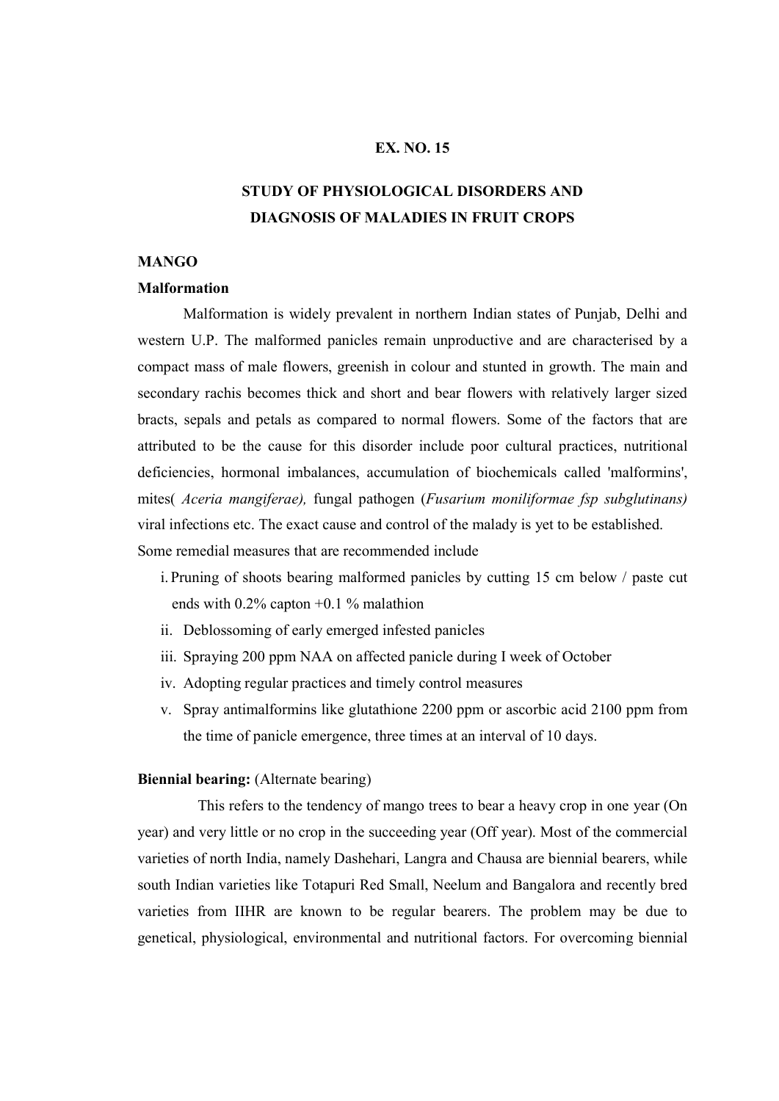# EX. NO. 15

# STUDY OF PHYSIOLOGICAL DISORDERS AND DIAGNOSIS OF MALADIES IN FRUIT CROPS

## **MANGO**

#### Malformation

 Malformation is widely prevalent in northern Indian states of Punjab, Delhi and western U.P. The malformed panicles remain unproductive and are characterised by a compact mass of male flowers, greenish in colour and stunted in growth. The main and secondary rachis becomes thick and short and bear flowers with relatively larger sized bracts, sepals and petals as compared to normal flowers. Some of the factors that are attributed to be the cause for this disorder include poor cultural practices, nutritional deficiencies, hormonal imbalances, accumulation of biochemicals called 'malformins', mites( Aceria mangiferae), fungal pathogen (Fusarium moniliformae fsp subglutinans) viral infections etc. The exact cause and control of the malady is yet to be established. Some remedial measures that are recommended include

- i. Pruning of shoots bearing malformed panicles by cutting 15 cm below / paste cut ends with  $0.2\%$  capton  $+0.1\%$  malathion
- ii. Deblossoming of early emerged infested panicles
- iii. Spraying 200 ppm NAA on affected panicle during I week of October
- iv. Adopting regular practices and timely control measures
- v. Spray antimalformins like glutathione 2200 ppm or ascorbic acid 2100 ppm from the time of panicle emergence, three times at an interval of 10 days.

## Biennial bearing: (Alternate bearing)

 This refers to the tendency of mango trees to bear a heavy crop in one year (On year) and very little or no crop in the succeeding year (Off year). Most of the commercial varieties of north India, namely Dashehari, Langra and Chausa are biennial bearers, while south Indian varieties like Totapuri Red Small, Neelum and Bangalora and recently bred varieties from IIHR are known to be regular bearers. The problem may be due to genetical, physiological, environmental and nutritional factors. For overcoming biennial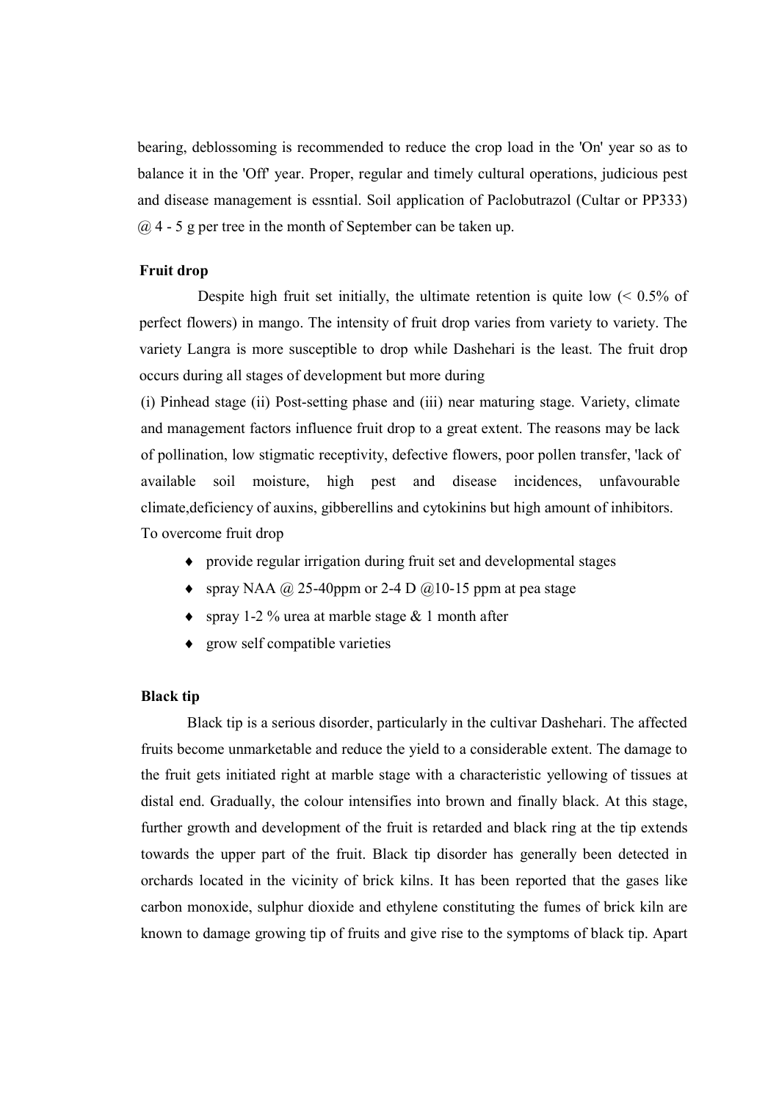bearing, deblossoming is recommended to reduce the crop load in the 'On' year so as to balance it in the 'Off' year. Proper, regular and timely cultural operations, judicious pest and disease management is essntial. Soil application of Paclobutrazol (Cultar or PP333)  $(a)$  4 - 5 g per tree in the month of September can be taken up.

#### Fruit drop

Despite high fruit set initially, the ultimate retention is quite low  $\approx 0.5\%$  of perfect flowers) in mango. The intensity of fruit drop varies from variety to variety. The variety Langra is more susceptible to drop while Dashehari is the least. The fruit drop occurs during all stages of development but more during

(i) Pinhead stage (ii) Post-setting phase and (iii) near maturing stage. Variety, climate and management factors influence fruit drop to a great extent. The reasons may be lack of pollination, low stigmatic receptivity, defective flowers, poor pollen transfer, 'lack of available soil moisture, high pest and disease incidences, unfavourable climate,deficiency of auxins, gibberellins and cytokinins but high amount of inhibitors. To overcome fruit drop

- provide regular irrigation during fruit set and developmental stages
- spray NAA  $\omega$  25-40ppm or 2-4 D  $\omega$ 10-15 ppm at pea stage
- ◆ spray 1-2 % urea at marble stage & 1 month after
- grow self compatible varieties

## Black tip

 Black tip is a serious disorder, particularly in the cultivar Dashehari. The affected fruits become unmarketable and reduce the yield to a considerable extent. The damage to the fruit gets initiated right at marble stage with a characteristic yellowing of tissues at distal end. Gradually, the colour intensifies into brown and finally black. At this stage, further growth and development of the fruit is retarded and black ring at the tip extends towards the upper part of the fruit. Black tip disorder has generally been detected in orchards located in the vicinity of brick kilns. It has been reported that the gases like carbon monoxide, sulphur dioxide and ethylene constituting the fumes of brick kiln are known to damage growing tip of fruits and give rise to the symptoms of black tip. Apart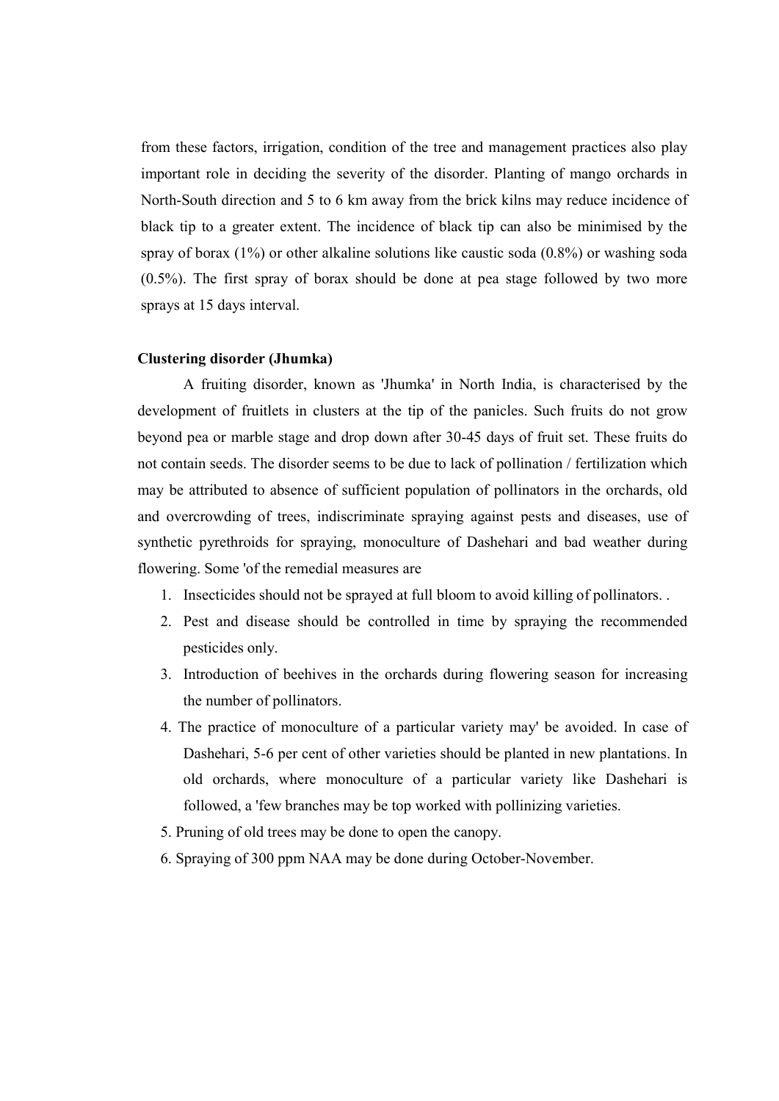from these factors, irrigation, condition of the tree and management practices also play important role in deciding the severity of the disorder. Planting of mango orchards in North-South direction and 5 to 6 km away from the brick kilns may reduce incidence of black tip to a greater extent. The incidence of black tip can also be minimised by the spray of borax (1%) or other alkaline solutions like caustic soda (0.8%) or washing soda (0.5%). The first spray of borax should be done at pea stage followed by two more sprays at 15 days interval.

#### Clustering disorder (Jhumka)

 A fruiting disorder, known as 'Jhumka' in North India, is characterised by the development of fruitlets in clusters at the tip of the panicles. Such fruits do not grow beyond pea or marble stage and drop down after 30-45 days of fruit set. These fruits do not contain seeds. The disorder seems to be due to lack of pollination / fertilization which may be attributed to absence of sufficient population of pollinators in the orchards, old and overcrowding of trees, indiscriminate spraying against pests and diseases, use of synthetic pyrethroids for spraying, monoculture of Dashehari and bad weather during flowering. Some 'of the remedial measures are

- 1. Insecticides should not be sprayed at full bloom to avoid killing of pollinators. .
- 2. Pest and disease should be controlled in time by spraying the recommended pesticides only.
- 3. Introduction of beehives in the orchards during flowering season for increasing the number of pollinators.
- 4. The practice of monoculture of a particular variety may' be avoided. In case of Dashehari, 5-6 per cent of other varieties should be planted in new plantations. In old orchards, where monoculture of a particular variety like Dashehari is followed, a 'few branches may be top worked with pollinizing varieties.
- 5. Pruning of old trees may be done to open the canopy.
- 6. Spraying of 300 ppm NAA may be done during October-November.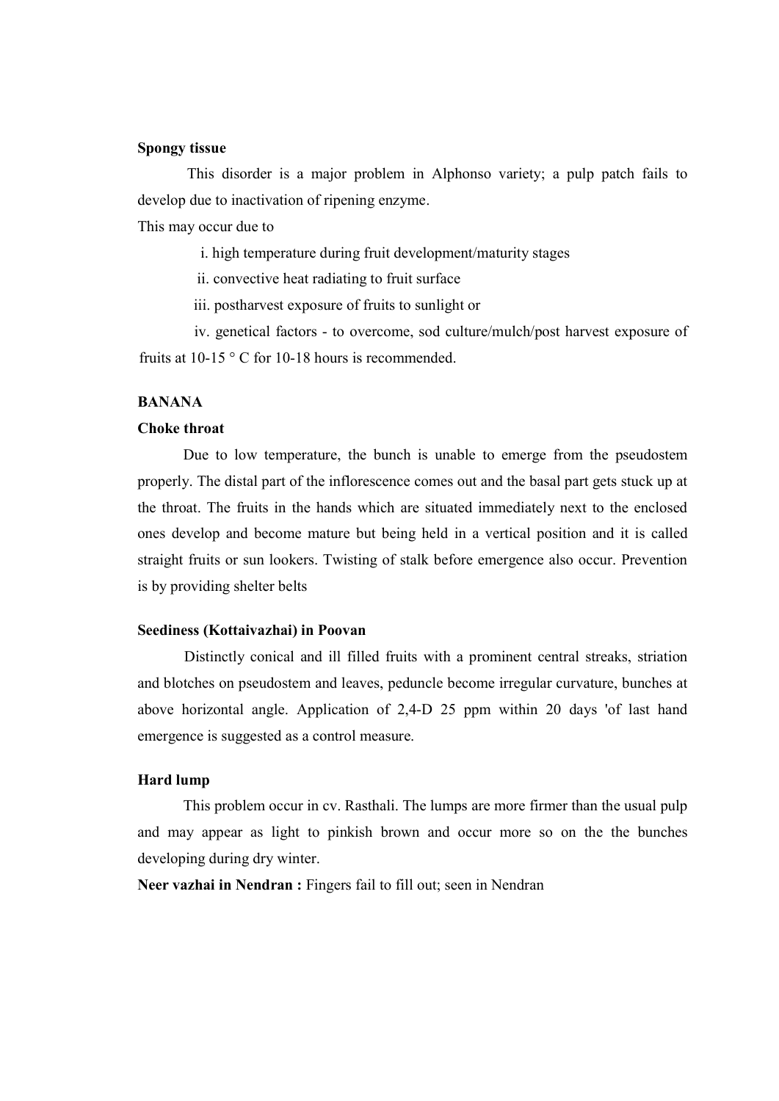# Spongy tissue

This disorder is a major problem in Alphonso variety; a pulp patch fails to develop due to inactivation of ripening enzyme.

This may occur due to

i. high temperature during fruit development/maturity stages

ii. convective heat radiating to fruit surface

iii. postharvest exposure of fruits to sunlight or

iv. genetical factors - to overcome, sod culture/mulch/post harvest exposure of fruits at 10-15 ° C for 10-18 hours is recommended.

# **BANANA**

#### Choke throat

 Due to low temperature, the bunch is unable to emerge from the pseudostem properly. The distal part of the inflorescence comes out and the basal part gets stuck up at the throat. The fruits in the hands which are situated immediately next to the enclosed ones develop and become mature but being held in a vertical position and it is called straight fruits or sun lookers. Twisting of stalk before emergence also occur. Prevention is by providing shelter belts

#### Seediness (Kottaivazhai) in Poovan

Distinctly conical and ill filled fruits with a prominent central streaks, striation and blotches on pseudostem and leaves, peduncle become irregular curvature, bunches at above horizontal angle. Application of 2,4-D 25 ppm within 20 days 'of last hand emergence is suggested as a control measure.

# Hard lump

 This problem occur in cv. Rasthali. The lumps are more firmer than the usual pulp and may appear as light to pinkish brown and occur more so on the the bunches developing during dry winter.

Neer vazhai in Nendran : Fingers fail to fill out; seen in Nendran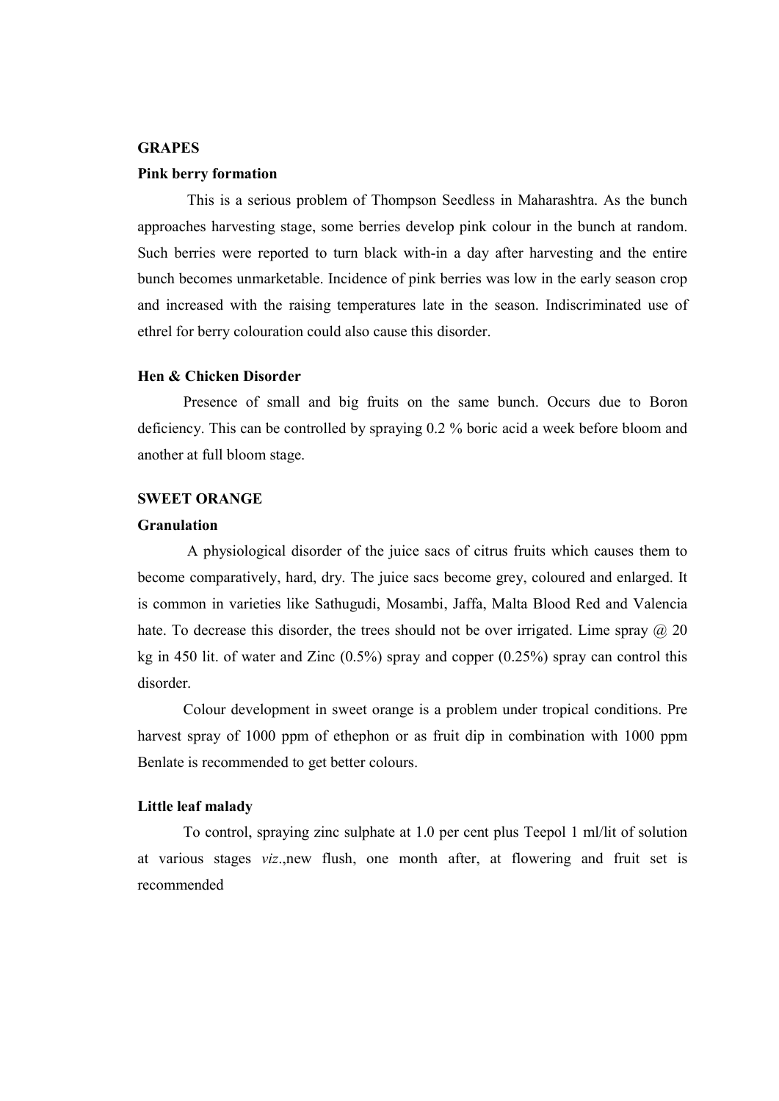# GRAPES Pink berry formation

 This is a serious problem of Thompson Seedless in Maharashtra. As the bunch approaches harvesting stage, some berries develop pink colour in the bunch at random. Such berries were reported to turn black with-in a day after harvesting and the entire bunch becomes unmarketable. Incidence of pink berries was low in the early season crop and increased with the raising temperatures late in the season. Indiscriminated use of ethrel for berry colouration could also cause this disorder.

## Hen & Chicken Disorder

 Presence of small and big fruits on the same bunch. Occurs due to Boron deficiency. This can be controlled by spraying 0.2 % boric acid a week before bloom and another at full bloom stage.

## SWEET ORANGE

#### Granulation

 A physiological disorder of the juice sacs of citrus fruits which causes them to become comparatively, hard, dry. The juice sacs become grey, coloured and enlarged. It is common in varieties like Sathugudi, Mosambi, Jaffa, Malta Blood Red and Valencia hate. To decrease this disorder, the trees should not be over irrigated. Lime spray  $\omega$  20 kg in 450 lit. of water and Zinc  $(0.5\%)$  spray and copper  $(0.25\%)$  spray can control this disorder.

 Colour development in sweet orange is a problem under tropical conditions. Pre harvest spray of 1000 ppm of ethephon or as fruit dip in combination with 1000 ppm Benlate is recommended to get better colours.

# Little leaf malady

To control, spraying zinc sulphate at 1.0 per cent plus Teepol 1 ml/lit of solution at various stages viz.,new flush, one month after, at flowering and fruit set is recommended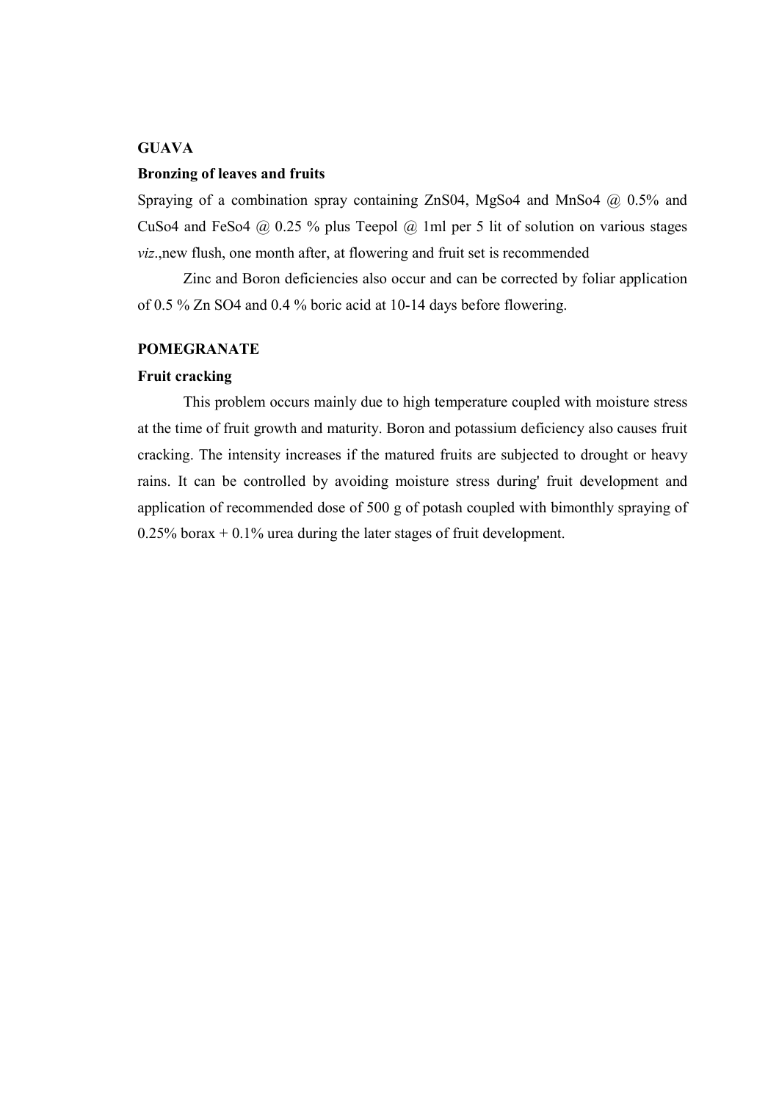# GUAVA

## Bronzing of leaves and fruits

Spraying of a combination spray containing ZnS04, MgSo4 and MnSo4 @ 0.5% and CuSo4 and FeSo4  $\omega$  0.25 % plus Teepol  $\omega$  1ml per 5 lit of solution on various stages viz.,new flush, one month after, at flowering and fruit set is recommended

Zinc and Boron deficiencies also occur and can be corrected by foliar application of 0.5 % Zn SO4 and 0.4 % boric acid at 10-14 days before flowering.

#### POMEGRANATE

#### Fruit cracking

 This problem occurs mainly due to high temperature coupled with moisture stress at the time of fruit growth and maturity. Boron and potassium deficiency also causes fruit cracking. The intensity increases if the matured fruits are subjected to drought or heavy rains. It can be controlled by avoiding moisture stress during' fruit development and application of recommended dose of 500 g of potash coupled with bimonthly spraying of  $0.25\%$  borax + 0.1% urea during the later stages of fruit development.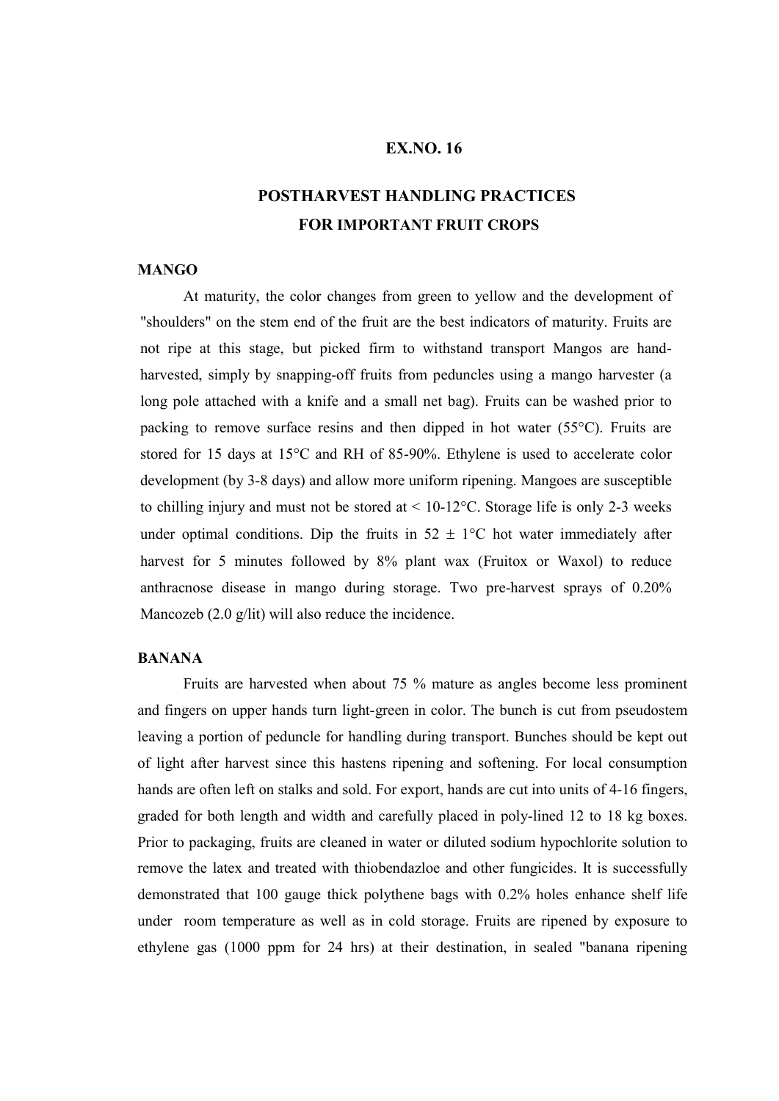# EX.NO. 16

# POSTHARVEST HANDLING PRACTICES FOR IMPORTANT FRUIT CROPS

# **MANGO**

 At maturity, the color changes from green to yellow and the development of "shoulders" on the stem end of the fruit are the best indicators of maturity. Fruits are not ripe at this stage, but picked firm to withstand transport Mangos are handharvested, simply by snapping-off fruits from peduncles using a mango harvester (a long pole attached with a knife and a small net bag). Fruits can be washed prior to packing to remove surface resins and then dipped in hot water (55°C). Fruits are stored for 15 days at 15°C and RH of 85-90%. Ethylene is used to accelerate color development (by 3-8 days) and allow more uniform ripening. Mangoes are susceptible to chilling injury and must not be stored at  $\leq 10{\text -}12^{\circ}\text{C}$ . Storage life is only 2-3 weeks under optimal conditions. Dip the fruits in  $52 \pm 1$ °C hot water immediately after harvest for 5 minutes followed by 8% plant wax (Fruitox or Waxol) to reduce anthracnose disease in mango during storage. Two pre-harvest sprays of 0.20% Mancozeb (2.0 g/lit) will also reduce the incidence.

## BANANA

 Fruits are harvested when about 75 % mature as angles become less prominent and fingers on upper hands turn light-green in color. The bunch is cut from pseudostem leaving a portion of peduncle for handling during transport. Bunches should be kept out of light after harvest since this hastens ripening and softening. For local consumption hands are often left on stalks and sold. For export, hands are cut into units of 4-16 fingers, graded for both length and width and carefully placed in poly-lined 12 to 18 kg boxes. Prior to packaging, fruits are cleaned in water or diluted sodium hypochlorite solution to remove the latex and treated with thiobendazloe and other fungicides. It is successfully demonstrated that 100 gauge thick polythene bags with 0.2% holes enhance shelf life under room temperature as well as in cold storage. Fruits are ripened by exposure to ethylene gas (1000 ppm for 24 hrs) at their destination, in sealed "banana ripening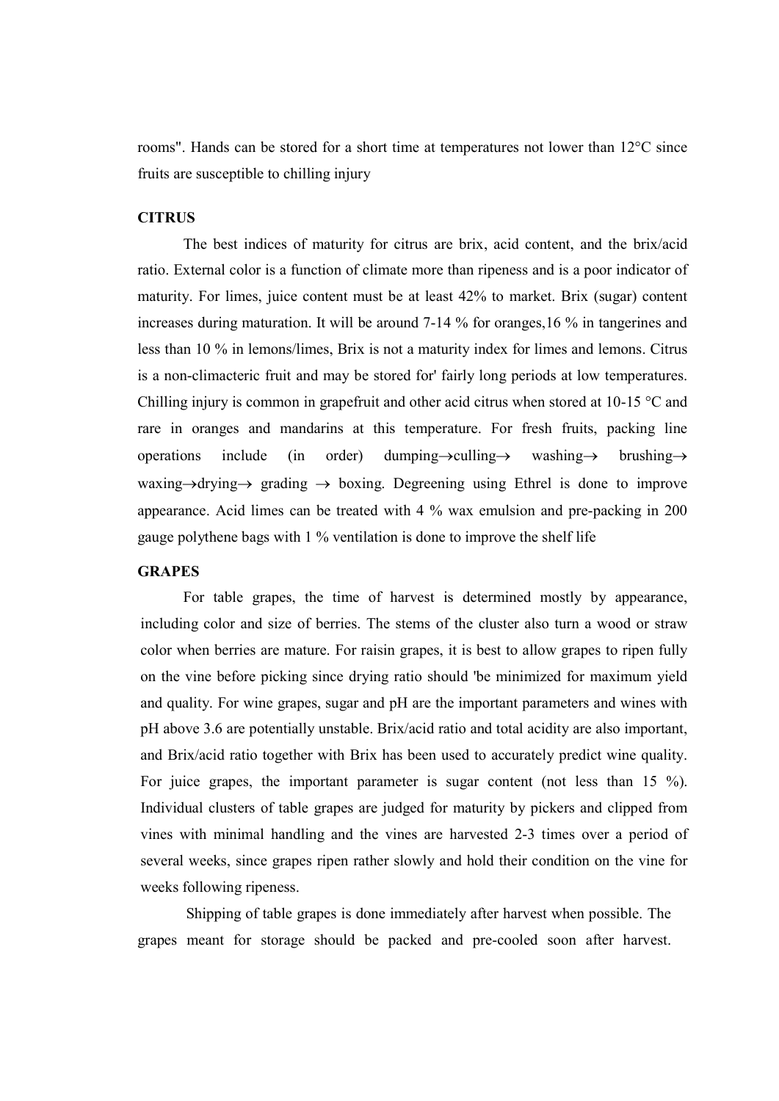rooms". Hands can be stored for a short time at temperatures not lower than 12°C since fruits are susceptible to chilling injury

## **CITRUS**

 The best indices of maturity for citrus are brix, acid content, and the brix/acid ratio. External color is a function of climate more than ripeness and is a poor indicator of maturity. For limes, juice content must be at least 42% to market. Brix (sugar) content increases during maturation. It will be around 7-14 % for oranges,16 % in tangerines and less than 10 % in lemons/limes, Brix is not a maturity index for limes and lemons. Citrus is a non-climacteric fruit and may be stored for' fairly long periods at low temperatures. Chilling injury is common in grapefruit and other acid citrus when stored at 10-15 °C and rare in oranges and mandarins at this temperature. For fresh fruits, packing line operations include (in order) dumping $\rightarrow$ culling $\rightarrow$  washing brushing  $\rightarrow$ waxing  $\rightarrow$  drying  $\rightarrow$  grading  $\rightarrow$  boxing. Degreening using Ethrel is done to improve appearance. Acid limes can be treated with 4 % wax emulsion and pre-packing in 200 gauge polythene bags with 1 % ventilation is done to improve the shelf life

# **GRAPES**

 For table grapes, the time of harvest is determined mostly by appearance, including color and size of berries. The stems of the cluster also turn a wood or straw color when berries are mature. For raisin grapes, it is best to allow grapes to ripen fully on the vine before picking since drying ratio should 'be minimized for maximum yield and quality. For wine grapes, sugar and pH are the important parameters and wines with pH above 3.6 are potentially unstable. Brix/acid ratio and total acidity are also important, and Brix/acid ratio together with Brix has been used to accurately predict wine quality. For juice grapes, the important parameter is sugar content (not less than 15 %). Individual clusters of table grapes are judged for maturity by pickers and clipped from vines with minimal handling and the vines are harvested 2-3 times over a period of several weeks, since grapes ripen rather slowly and hold their condition on the vine for weeks following ripeness.

Shipping of table grapes is done immediately after harvest when possible. The grapes meant for storage should be packed and pre-cooled soon after harvest.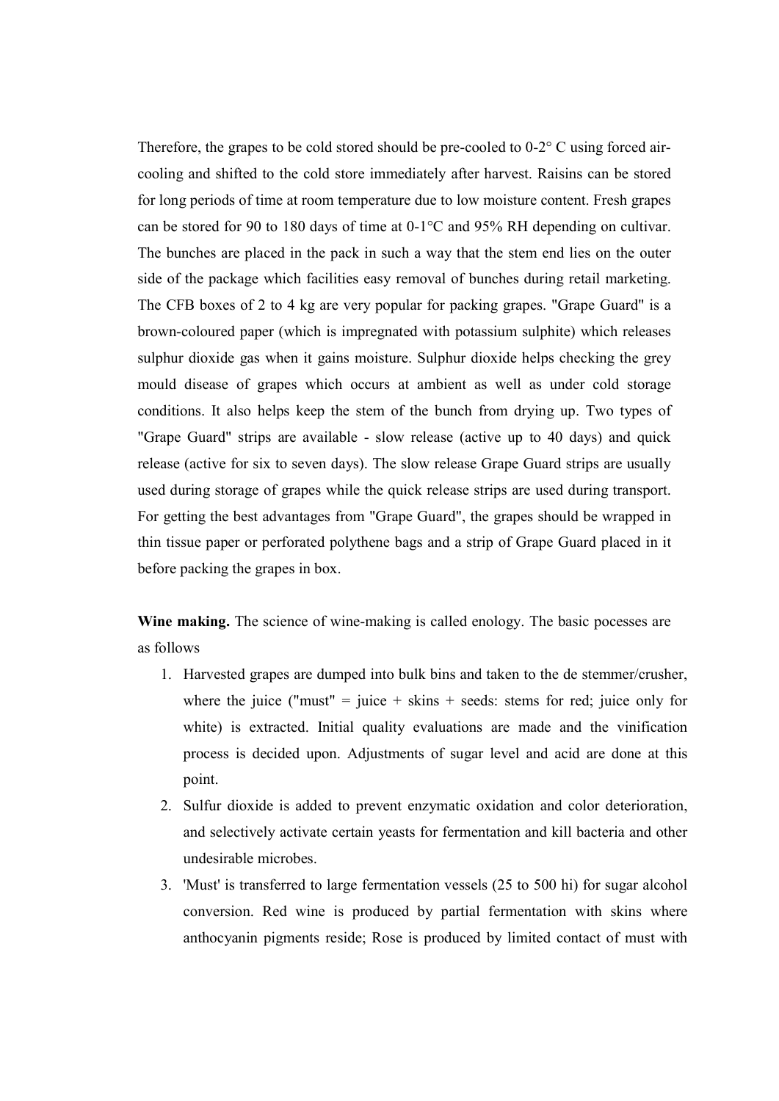Therefore, the grapes to be cold stored should be pre-cooled to 0-2° C using forced aircooling and shifted to the cold store immediately after harvest. Raisins can be stored for long periods of time at room temperature due to low moisture content. Fresh grapes can be stored for 90 to 180 days of time at 0-1°C and 95% RH depending on cultivar. The bunches are placed in the pack in such a way that the stem end lies on the outer side of the package which facilities easy removal of bunches during retail marketing. The CFB boxes of 2 to 4 kg are very popular for packing grapes. "Grape Guard" is a brown-coloured paper (which is impregnated with potassium sulphite) which releases sulphur dioxide gas when it gains moisture. Sulphur dioxide helps checking the grey mould disease of grapes which occurs at ambient as well as under cold storage conditions. It also helps keep the stem of the bunch from drying up. Two types of "Grape Guard" strips are available - slow release (active up to 40 days) and quick release (active for six to seven days). The slow release Grape Guard strips are usually used during storage of grapes while the quick release strips are used during transport. For getting the best advantages from "Grape Guard", the grapes should be wrapped in thin tissue paper or perforated polythene bags and a strip of Grape Guard placed in it before packing the grapes in box.

Wine making. The science of wine-making is called enology. The basic pocesses are as follows

- 1. Harvested grapes are dumped into bulk bins and taken to the de stemmer/crusher, where the juice ("must" = juice + skins + seeds: stems for red; juice only for white) is extracted. Initial quality evaluations are made and the vinification process is decided upon. Adjustments of sugar level and acid are done at this point.
- 2. Sulfur dioxide is added to prevent enzymatic oxidation and color deterioration, and selectively activate certain yeasts for fermentation and kill bacteria and other undesirable microbes.
- 3. 'Must' is transferred to large fermentation vessels (25 to 500 hi) for sugar alcohol conversion. Red wine is produced by partial fermentation with skins where anthocyanin pigments reside; Rose is produced by limited contact of must with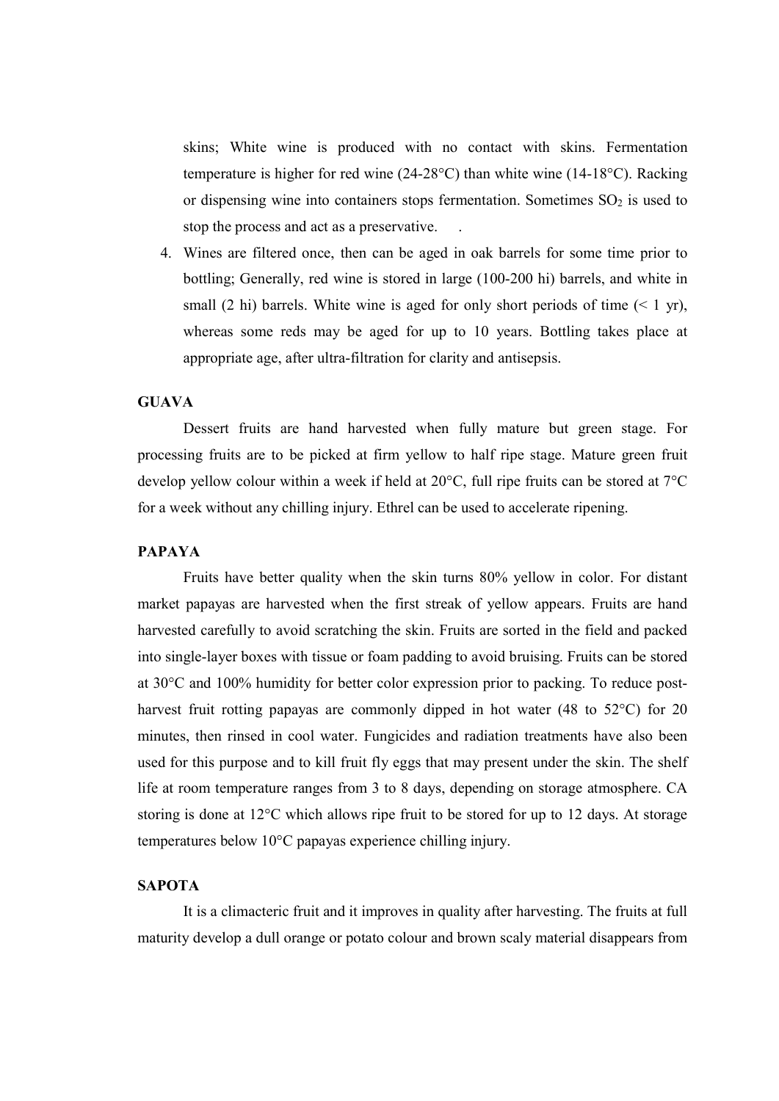skins; White wine is produced with no contact with skins. Fermentation temperature is higher for red wine (24-28°C) than white wine (14-18°C). Racking or dispensing wine into containers stops fermentation. Sometimes  $SO<sub>2</sub>$  is used to stop the process and act as a preservative. .

4. Wines are filtered once, then can be aged in oak barrels for some time prior to bottling; Generally, red wine is stored in large (100-200 hi) barrels, and white in small (2 hi) barrels. White wine is aged for only short periods of time  $($  1 yr), whereas some reds may be aged for up to 10 years. Bottling takes place at appropriate age, after ultra-filtration for clarity and antisepsis.

# **GUAVA**

 Dessert fruits are hand harvested when fully mature but green stage. For processing fruits are to be picked at firm yellow to half ripe stage. Mature green fruit develop yellow colour within a week if held at 20°C, full ripe fruits can be stored at 7°C for a week without any chilling injury. Ethrel can be used to accelerate ripening.

# PAPAYA

 Fruits have better quality when the skin turns 80% yellow in color. For distant market papayas are harvested when the first streak of yellow appears. Fruits are hand harvested carefully to avoid scratching the skin. Fruits are sorted in the field and packed into single-layer boxes with tissue or foam padding to avoid bruising. Fruits can be stored at 30°C and 100% humidity for better color expression prior to packing. To reduce postharvest fruit rotting papayas are commonly dipped in hot water (48 to 52 °C) for 20 minutes, then rinsed in cool water. Fungicides and radiation treatments have also been used for this purpose and to kill fruit fly eggs that may present under the skin. The shelf life at room temperature ranges from 3 to 8 days, depending on storage atmosphere. CA storing is done at 12°C which allows ripe fruit to be stored for up to 12 days. At storage temperatures below 10°C papayas experience chilling injury.

#### **SAPOTA**

It is a climacteric fruit and it improves in quality after harvesting. The fruits at full maturity develop a dull orange or potato colour and brown scaly material disappears from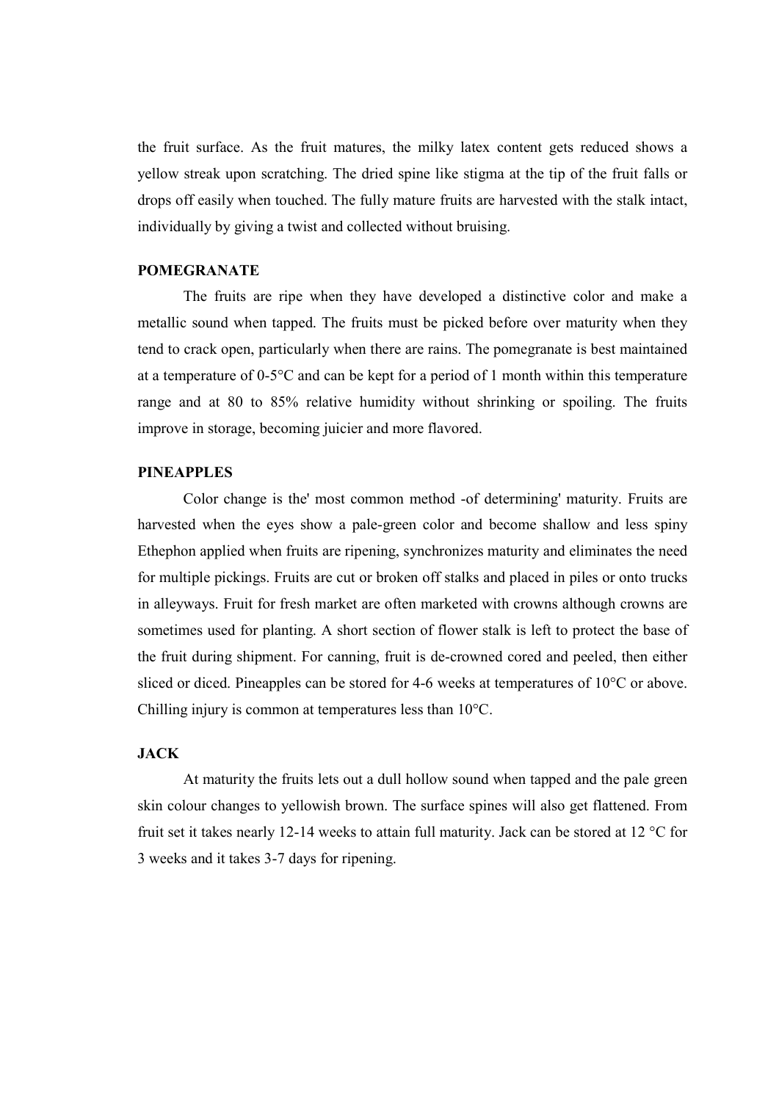the fruit surface. As the fruit matures, the milky latex content gets reduced shows a yellow streak upon scratching. The dried spine like stigma at the tip of the fruit falls or drops off easily when touched. The fully mature fruits are harvested with the stalk intact, individually by giving a twist and collected without bruising.

# POMEGRANATE

 The fruits are ripe when they have developed a distinctive color and make a metallic sound when tapped. The fruits must be picked before over maturity when they tend to crack open, particularly when there are rains. The pomegranate is best maintained at a temperature of 0-5°C and can be kept for a period of 1 month within this temperature range and at 80 to 85% relative humidity without shrinking or spoiling. The fruits improve in storage, becoming juicier and more flavored.

# PINEAPPLES

 Color change is the' most common method -of determining' maturity. Fruits are harvested when the eyes show a pale-green color and become shallow and less spiny Ethephon applied when fruits are ripening, synchronizes maturity and eliminates the need for multiple pickings. Fruits are cut or broken off stalks and placed in piles or onto trucks in alleyways. Fruit for fresh market are often marketed with crowns although crowns are sometimes used for planting. A short section of flower stalk is left to protect the base of the fruit during shipment. For canning, fruit is de-crowned cored and peeled, then either sliced or diced. Pineapples can be stored for 4-6 weeks at temperatures of 10°C or above. Chilling injury is common at temperatures less than 10°C.

# **JACK**

 At maturity the fruits lets out a dull hollow sound when tapped and the pale green skin colour changes to yellowish brown. The surface spines will also get flattened. From fruit set it takes nearly 12-14 weeks to attain full maturity. Jack can be stored at 12 °C for 3 weeks and it takes 3-7 days for ripening.